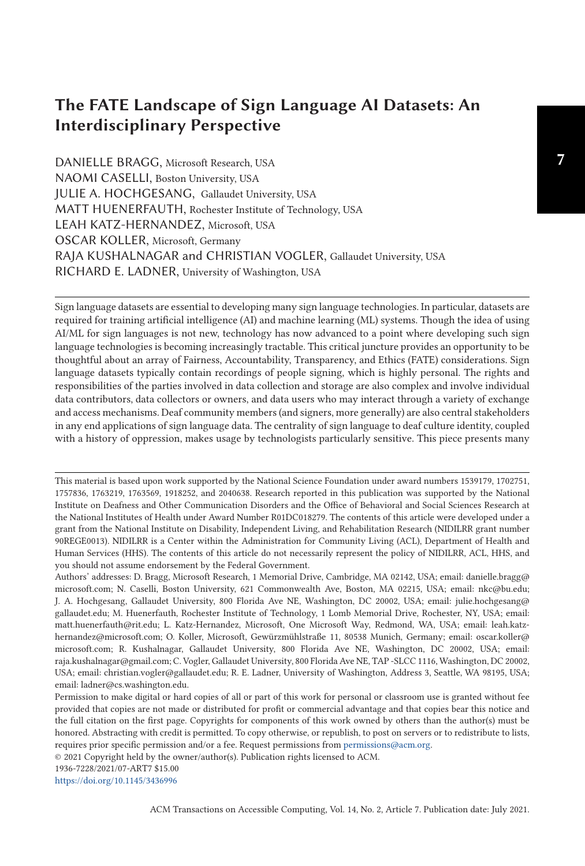# **The FATE Landscape of Sign Language AI Datasets: An Interdisciplinary Perspective**

DANIELLE BRAGG, Microsoft Research, USA NAOMI CASELLI, Boston University, USA JULIE A. HOCHGESANG, Gallaudet University, USA MATT HUENERFAUTH, Rochester Institute of Technology, USA LEAH KATZ-HERNANDEZ, Microsoft, USA OSCAR KOLLER, Microsoft, Germany RAJA KUSHALNAGAR and CHRISTIAN VOGLER, Gallaudet University, USA RICHARD E. LADNER, University of Washington, USA

Sign language datasets are essential to developing many sign language technologies. In particular, datasets are required for training artificial intelligence (AI) and machine learning (ML) systems. Though the idea of using AI/ML for sign languages is not new, technology has now advanced to a point where developing such sign language technologies is becoming increasingly tractable. This critical juncture provides an opportunity to be thoughtful about an array of Fairness, Accountability, Transparency, and Ethics (FATE) considerations. Sign language datasets typically contain recordings of people signing, which is highly personal. The rights and responsibilities of the parties involved in data collection and storage are also complex and involve individual data contributors, data collectors or owners, and data users who may interact through a variety of exchange and access mechanisms. Deaf community members (and signers, more generally) are also central stakeholders in any end applications of sign language data. The centrality of sign language to deaf culture identity, coupled with a history of oppression, makes usage by technologists particularly sensitive. This piece presents many

Authors' addresses: D. Bragg, Microsoft Research, 1 Memorial Drive, Cambridge, MA 02142, USA; email: danielle.bragg@ microsoft.com; N. Caselli, Boston University, 621 Commonwealth Ave, Boston, MA 02215, USA; email: nkc@bu.edu; J. A. Hochgesang, Gallaudet University, 800 Florida Ave NE, Washington, DC 20002, USA; email: julie.hochgesang@ gallaudet.edu; M. Huenerfauth, Rochester Institute of Technology, 1 Lomb Memorial Drive, Rochester, NY, USA; email: matt.huenerfauth@rit.edu; L. Katz-Hernandez, Microsoft, One Microsoft Way, Redmond, WA, USA; email: leah.katzhernandez@microsoft.com; O. Koller, Microsoft, Gewürzmühlstraße 11, 80538 Munich, Germany; email: oscar.koller@ microsoft.com; R. Kushalnagar, Gallaudet University, 800 Florida Ave NE, Washington, DC 20002, USA; email: raja.kushalnagar@gmail.com; C. Vogler, Gallaudet University, 800 Florida Ave NE, TAP -SLCC 1116, Washington, DC 20002, USA; email: christian.vogler@gallaudet.edu; R. E. Ladner, University of Washington, Address 3, Seattle, WA 98195, USA; email: ladner@cs.washington.edu.

Permission to make digital or hard copies of all or part of this work for personal or classroom use is granted without fee provided that copies are not made or distributed for profit or commercial advantage and that copies bear this notice and the full citation on the first page. Copyrights for components of this work owned by others than the author(s) must be honored. Abstracting with credit is permitted. To copy otherwise, or republish, to post on servers or to redistribute to lists, requires prior specific permission and/or a fee. Request permissions from [permissions@acm.org.](mailto:permissions@acm.org)

© 2021 Copyright held by the owner/author(s). Publication rights licensed to ACM.

<https://doi.org/10.1145/3436996>

This material is based upon work supported by the National Science Foundation under award numbers 1539179, 1702751, 1757836, 1763219, 1763569, 1918252, and 2040638. Research reported in this publication was supported by the National Institute on Deafness and Other Communication Disorders and the Office of Behavioral and Social Sciences Research at the National Institutes of Health under Award Number R01DC018279. The contents of this article were developed under a grant from the National Institute on Disability, Independent Living, and Rehabilitation Research (NIDILRR grant number 90REGE0013). NIDILRR is a Center within the Administration for Community Living (ACL), Department of Health and Human Services (HHS). The contents of this article do not necessarily represent the policy of NIDILRR, ACL, HHS, and you should not assume endorsement by the Federal Government.

<sup>1936-7228/2021/07-</sup>ART7 \$15.00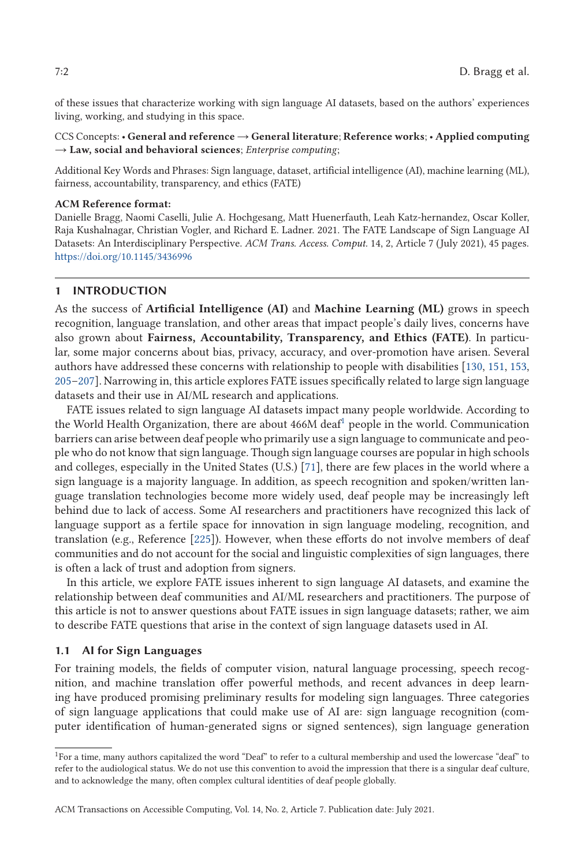of these issues that characterize working with sign language AI datasets, based on the authors' experiences living, working, and studying in this space.

CCS Concepts: • **General and reference** → **General literature**; **Reference works**; • **Applied computing** → **Law, social and behavioral sciences**; *Enterprise computing*;

Additional Key Words and Phrases: Sign language, dataset, artificial intelligence (AI), machine learning (ML), fairness, accountability, transparency, and ethics (FATE)

#### **ACM Reference format:**

Danielle Bragg, Naomi Caselli, Julie A. Hochgesang, Matt Huenerfauth, Leah Katz-hernandez, Oscar Koller, Raja Kushalnagar, Christian Vogler, and Richard E. Ladner. 2021. The FATE Landscape of Sign Language AI Datasets: An Interdisciplinary Perspective. *ACM Trans. Access. Comput.* 14, 2, Article 7 (July 2021), 45 pages. <https://doi.org/10.1145/3436996>

# **1 INTRODUCTION**

As the success of **Artificial Intelligence (AI)** and **Machine Learning (ML)** grows in speech recognition, language translation, and other areas that impact people's daily lives, concerns have also grown about **Fairness, Accountability, Transparency, and Ethics (FATE)**. In particular, some major concerns about bias, privacy, accuracy, and over-promotion have arisen. Several authors have addressed these concerns with relationship to people with disabilities [\[130,](#page-41-0) [151,](#page-41-0) [153,](#page-41-0) [205–207\]](#page-44-0). Narrowing in, this article explores FATE issues specifically related to large sign language datasets and their use in AI/ML research and applications.

FATE issues related to sign language AI datasets impact many people worldwide. According to the World Health Organization, there are about  $466M$  deaf<sup>1</sup> people in the world. Communication barriers can arise between deaf people who primarily use a sign language to communicate and people who do not know that sign language. Though sign language courses are popular in high schools and colleges, especially in the United States (U.S.) [\[71\]](#page-38-0), there are few places in the world where a sign language is a majority language. In addition, as speech recognition and spoken/written language translation technologies become more widely used, deaf people may be increasingly left behind due to lack of access. Some AI researchers and practitioners have recognized this lack of language support as a fertile space for innovation in sign language modeling, recognition, and translation (e.g., Reference [\[225\]](#page-44-0)). However, when these efforts do not involve members of deaf communities and do not account for the social and linguistic complexities of sign languages, there is often a lack of trust and adoption from signers.

In this article, we explore FATE issues inherent to sign language AI datasets, and examine the relationship between deaf communities and AI/ML researchers and practitioners. The purpose of this article is not to answer questions about FATE issues in sign language datasets; rather, we aim to describe FATE questions that arise in the context of sign language datasets used in AI.

# **1.1 AI for Sign Languages**

For training models, the fields of computer vision, natural language processing, speech recognition, and machine translation offer powerful methods, and recent advances in deep learning have produced promising preliminary results for modeling sign languages. Three categories of sign language applications that could make use of AI are: sign language recognition (computer identification of human-generated signs or signed sentences), sign language generation

<sup>1</sup>For a time, many authors capitalized the word "Deaf" to refer to a cultural membership and used the lowercase "deaf" to refer to the audiological status. We do not use this convention to avoid the impression that there is a singular deaf culture, and to acknowledge the many, often complex cultural identities of deaf people globally.

ACM Transactions on Accessible Computing, Vol. 14, No. 2, Article 7. Publication date: July 2021.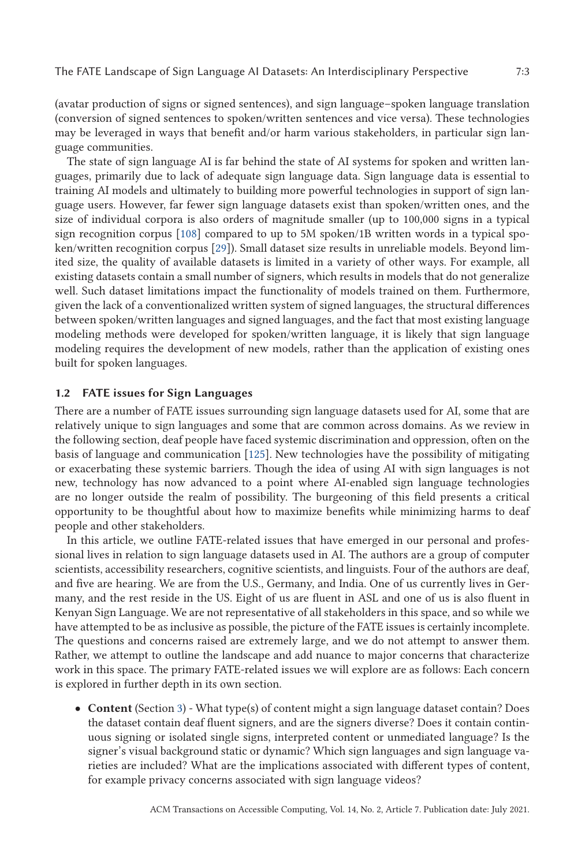(avatar production of signs or signed sentences), and sign language–spoken language translation (conversion of signed sentences to spoken/written sentences and vice versa). These technologies may be leveraged in ways that benefit and/or harm various stakeholders, in particular sign language communities.

The state of sign language AI is far behind the state of AI systems for spoken and written languages, primarily due to lack of adequate sign language data. Sign language data is essential to training AI models and ultimately to building more powerful technologies in support of sign language users. However, far fewer sign language datasets exist than spoken/written ones, and the size of individual corpora is also orders of magnitude smaller (up to 100,000 signs in a typical sign recognition corpus [\[108\]](#page-40-0) compared to up to 5M spoken/1B written words in a typical spoken/written recognition corpus [\[29\]](#page-37-0)). Small dataset size results in unreliable models. Beyond limited size, the quality of available datasets is limited in a variety of other ways. For example, all existing datasets contain a small number of signers, which results in models that do not generalize well. Such dataset limitations impact the functionality of models trained on them. Furthermore, given the lack of a conventionalized written system of signed languages, the structural differences between spoken/written languages and signed languages, and the fact that most existing language modeling methods were developed for spoken/written language, it is likely that sign language modeling requires the development of new models, rather than the application of existing ones built for spoken languages.

### **1.2 FATE issues for Sign Languages**

There are a number of FATE issues surrounding sign language datasets used for AI, some that are relatively unique to sign languages and some that are common across domains. As we review in the following section, deaf people have faced systemic discrimination and oppression, often on the basis of language and communication [\[125\]](#page-40-0). New technologies have the possibility of mitigating or exacerbating these systemic barriers. Though the idea of using AI with sign languages is not new, technology has now advanced to a point where AI-enabled sign language technologies are no longer outside the realm of possibility. The burgeoning of this field presents a critical opportunity to be thoughtful about how to maximize benefits while minimizing harms to deaf people and other stakeholders.

In this article, we outline FATE-related issues that have emerged in our personal and professional lives in relation to sign language datasets used in AI. The authors are a group of computer scientists, accessibility researchers, cognitive scientists, and linguists. Four of the authors are deaf, and five are hearing. We are from the U.S., Germany, and India. One of us currently lives in Germany, and the rest reside in the US. Eight of us are fluent in ASL and one of us is also fluent in Kenyan Sign Language. We are not representative of all stakeholders in this space, and so while we have attempted to be as inclusive as possible, the picture of the FATE issues is certainly incomplete. The questions and concerns raised are extremely large, and we do not attempt to answer them. Rather, we attempt to outline the landscape and add nuance to major concerns that characterize work in this space. The primary FATE-related issues we will explore are as follows: Each concern is explored in further depth in its own section.

• **Content** (Section [3\)](#page-7-0) - What type(s) of content might a sign language dataset contain? Does the dataset contain deaf fluent signers, and are the signers diverse? Does it contain continuous signing or isolated single signs, interpreted content or unmediated language? Is the signer's visual background static or dynamic? Which sign languages and sign language varieties are included? What are the implications associated with different types of content, for example privacy concerns associated with sign language videos?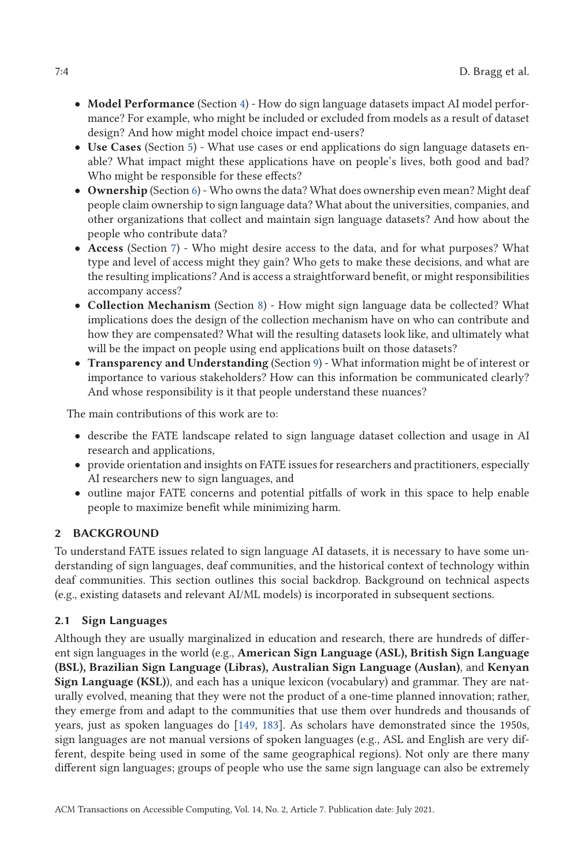- <span id="page-3-0"></span>• **Model Performance** (Section [4\)](#page-12-0) - How do sign language datasets impact AI model performance? For example, who might be included or excluded from models as a result of dataset design? And how might model choice impact end-users?
- **Use Cases** (Section [5\)](#page-15-0) What use cases or end applications do sign language datasets enable? What impact might these applications have on people's lives, both good and bad? Who might be responsible for these effects?
- **Ownership** (Section [6\)](#page-18-0) Who owns the data? What does ownership even mean? Might deaf people claim ownership to sign language data? What about the universities, companies, and other organizations that collect and maintain sign language datasets? And how about the people who contribute data?
- **Access** (Section [7\)](#page-23-0) Who might desire access to the data, and for what purposes? What type and level of access might they gain? Who gets to make these decisions, and what are the resulting implications? And is access a straightforward benefit, or might responsibilities accompany access?
- **Collection Mechanism** (Section [8\)](#page-26-0) How might sign language data be collected? What implications does the design of the collection mechanism have on who can contribute and how they are compensated? What will the resulting datasets look like, and ultimately what will be the impact on people using end applications built on those datasets?
- **Transparency and Understanding** (Section [9\)](#page-29-0) What information might be of interest or importance to various stakeholders? How can this information be communicated clearly? And whose responsibility is it that people understand these nuances?

The main contributions of this work are to:

- describe the FATE landscape related to sign language dataset collection and usage in AI research and applications,
- provide orientation and insights on FATE issues for researchers and practitioners, especially AI researchers new to sign languages, and
- outline major FATE concerns and potential pitfalls of work in this space to help enable people to maximize benefit while minimizing harm.

# **2 BACKGROUND**

To understand FATE issues related to sign language AI datasets, it is necessary to have some understanding of sign languages, deaf communities, and the historical context of technology within deaf communities. This section outlines this social backdrop. Background on technical aspects (e.g., existing datasets and relevant AI/ML models) is incorporated in subsequent sections.

# **2.1 Sign Languages**

Although they are usually marginalized in education and research, there are hundreds of different sign languages in the world (e.g., **American Sign Language (ASL), British Sign Language (BSL), Brazilian Sign Language (Libras), Australian Sign Language (Auslan)**, and **Kenyan Sign Language (KSL)**), and each has a unique lexicon (vocabulary) and grammar. They are naturally evolved, meaning that they were not the product of a one-time planned innovation; rather, they emerge from and adapt to the communities that use them over hundreds and thousands of years, just as spoken languages do [\[149,](#page-41-0) [183\]](#page-43-0). As scholars have demonstrated since the 1950s, sign languages are not manual versions of spoken languages (e.g., ASL and English are very different, despite being used in some of the same geographical regions). Not only are there many different sign languages; groups of people who use the same sign language can also be extremely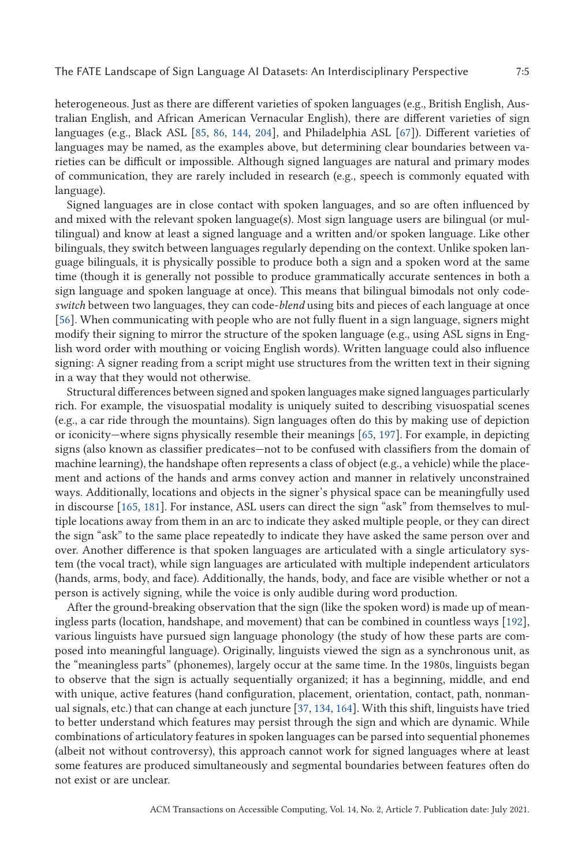heterogeneous. Just as there are different varieties of spoken languages (e.g., British English, Australian English, and African American Vernacular English), there are different varieties of sign languages (e.g., Black ASL [\[85,](#page-39-0) [86,](#page-39-0) [144,](#page-41-0) [204\]](#page-43-0), and Philadelphia ASL [\[67\]](#page-38-0)). Different varieties of languages may be named, as the examples above, but determining clear boundaries between varieties can be difficult or impossible. Although signed languages are natural and primary modes of communication, they are rarely included in research (e.g., speech is commonly equated with language).

Signed languages are in close contact with spoken languages, and so are often influenced by and mixed with the relevant spoken language(s). Most sign language users are bilingual (or multilingual) and know at least a signed language and a written and/or spoken language. Like other bilinguals, they switch between languages regularly depending on the context. Unlike spoken language bilinguals, it is physically possible to produce both a sign and a spoken word at the same time (though it is generally not possible to produce grammatically accurate sentences in both a sign language and spoken language at once). This means that bilingual bimodals not only code*switch* between two languages, they can code-*blend* using bits and pieces of each language at once [\[56\]](#page-38-0). When communicating with people who are not fully fluent in a sign language, signers might modify their signing to mirror the structure of the spoken language (e.g., using ASL signs in English word order with mouthing or voicing English words). Written language could also influence signing: A signer reading from a script might use structures from the written text in their signing in a way that they would not otherwise.

Structural differences between signed and spoken languages make signed languages particularly rich. For example, the visuospatial modality is uniquely suited to describing visuospatial scenes (e.g., a car ride through the mountains). Sign languages often do this by making use of depiction or iconicity—where signs physically resemble their meanings [\[65,](#page-38-0) [197\]](#page-43-0). For example, in depicting signs (also known as classifier predicates—not to be confused with classifiers from the domain of machine learning), the handshape often represents a class of object (e.g., a vehicle) while the placement and actions of the hands and arms convey action and manner in relatively unconstrained ways. Additionally, locations and objects in the signer's physical space can be meaningfully used in discourse [\[165,](#page-42-0) [181\]](#page-43-0). For instance, ASL users can direct the sign "ask" from themselves to multiple locations away from them in an arc to indicate they asked multiple people, or they can direct the sign "ask" to the same place repeatedly to indicate they have asked the same person over and over. Another difference is that spoken languages are articulated with a single articulatory system (the vocal tract), while sign languages are articulated with multiple independent articulators (hands, arms, body, and face). Additionally, the hands, body, and face are visible whether or not a person is actively signing, while the voice is only audible during word production.

After the ground-breaking observation that the sign (like the spoken word) is made up of meaningless parts (location, handshape, and movement) that can be combined in countless ways [\[192\]](#page-43-0), various linguists have pursued sign language phonology (the study of how these parts are composed into meaningful language). Originally, linguists viewed the sign as a synchronous unit, as the "meaningless parts" (phonemes), largely occur at the same time. In the 1980s, linguists began to observe that the sign is actually sequentially organized; it has a beginning, middle, and end with unique, active features (hand configuration, placement, orientation, contact, path, nonmanual signals, etc.) that can change at each juncture [\[37,](#page-37-0) [134,](#page-41-0) [164\]](#page-42-0). With this shift, linguists have tried to better understand which features may persist through the sign and which are dynamic. While combinations of articulatory features in spoken languages can be parsed into sequential phonemes (albeit not without controversy), this approach cannot work for signed languages where at least some features are produced simultaneously and segmental boundaries between features often do not exist or are unclear.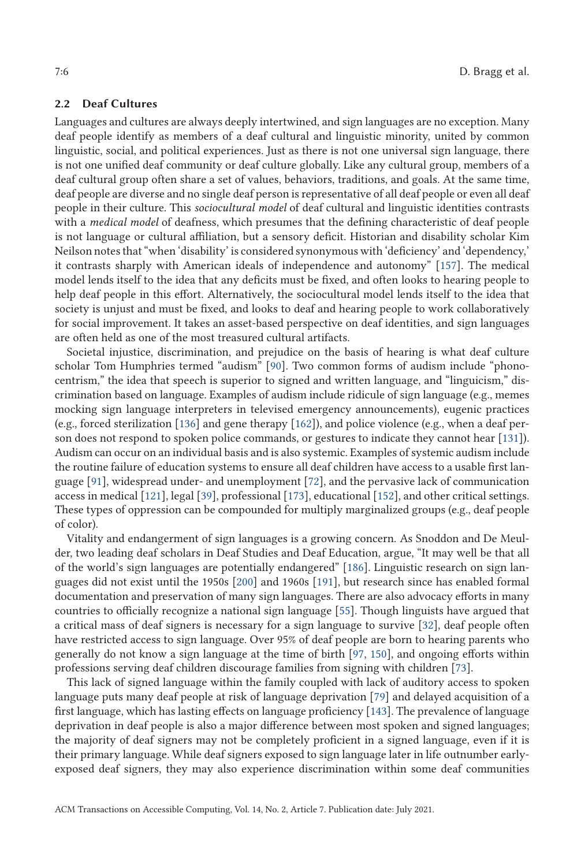# **2.2 Deaf Cultures**

Languages and cultures are always deeply intertwined, and sign languages are no exception. Many deaf people identify as members of a deaf cultural and linguistic minority, united by common linguistic, social, and political experiences. Just as there is not one universal sign language, there is not one unified deaf community or deaf culture globally. Like any cultural group, members of a deaf cultural group often share a set of values, behaviors, traditions, and goals. At the same time, deaf people are diverse and no single deaf person is representative of all deaf people or even all deaf people in their culture. This *sociocultural model* of deaf cultural and linguistic identities contrasts with a *medical model* of deafness, which presumes that the defining characteristic of deaf people is not language or cultural affiliation, but a sensory deficit. Historian and disability scholar Kim Neilson notes that "when 'disability' is considered synonymous with 'deficiency' and 'dependency,' it contrasts sharply with American ideals of independence and autonomy" [\[157\]](#page-42-0). The medical model lends itself to the idea that any deficits must be fixed, and often looks to hearing people to help deaf people in this effort. Alternatively, the sociocultural model lends itself to the idea that society is unjust and must be fixed, and looks to deaf and hearing people to work collaboratively for social improvement. It takes an asset-based perspective on deaf identities, and sign languages are often held as one of the most treasured cultural artifacts.

Societal injustice, discrimination, and prejudice on the basis of hearing is what deaf culture scholar Tom Humphries termed "audism" [\[90\]](#page-39-0). Two common forms of audism include "phonocentrism," the idea that speech is superior to signed and written language, and "linguicism," discrimination based on language. Examples of audism include ridicule of sign language (e.g., memes mocking sign language interpreters in televised emergency announcements), eugenic practices (e.g., forced sterilization [\[136\]](#page-41-0) and gene therapy [\[162\]](#page-42-0)), and police violence (e.g., when a deaf person does not respond to spoken police commands, or gestures to indicate they cannot hear [\[131\]](#page-41-0)). Audism can occur on an individual basis and is also systemic. Examples of systemic audism include the routine failure of education systems to ensure all deaf children have access to a usable first language [\[91\]](#page-39-0), widespread under- and unemployment [\[72\]](#page-38-0), and the pervasive lack of communication access in medical [\[121\]](#page-40-0), legal [\[39\]](#page-37-0), professional [\[173\]](#page-42-0), educational [\[152\]](#page-41-0), and other critical settings. These types of oppression can be compounded for multiply marginalized groups (e.g., deaf people of color).

Vitality and endangerment of sign languages is a growing concern. As Snoddon and De Meulder, two leading deaf scholars in Deaf Studies and Deaf Education, argue, "It may well be that all of the world's sign languages are potentially endangered" [\[186\]](#page-43-0). Linguistic research on sign languages did not exist until the 1950s [\[200\]](#page-43-0) and 1960s [\[191\]](#page-43-0), but research since has enabled formal documentation and preservation of many sign languages. There are also advocacy efforts in many countries to officially recognize a national sign language [\[55\]](#page-38-0). Though linguists have argued that a critical mass of deaf signers is necessary for a sign language to survive [\[32\]](#page-37-0), deaf people often have restricted access to sign language. Over 95% of deaf people are born to hearing parents who generally do not know a sign language at the time of birth [\[97,](#page-39-0) [150\]](#page-41-0), and ongoing efforts within professions serving deaf children discourage families from signing with children [\[73\]](#page-38-0).

This lack of signed language within the family coupled with lack of auditory access to spoken language puts many deaf people at risk of language deprivation [\[79\]](#page-39-0) and delayed acquisition of a first language, which has lasting effects on language proficiency [\[143\]](#page-41-0). The prevalence of language deprivation in deaf people is also a major difference between most spoken and signed languages; the majority of deaf signers may not be completely proficient in a signed language, even if it is their primary language. While deaf signers exposed to sign language later in life outnumber earlyexposed deaf signers, they may also experience discrimination within some deaf communities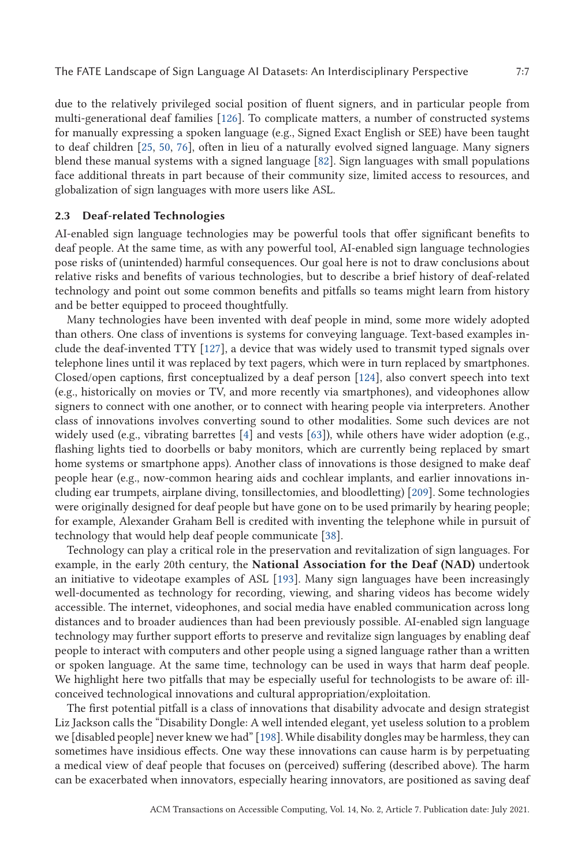due to the relatively privileged social position of fluent signers, and in particular people from multi-generational deaf families [\[126\]](#page-40-0). To complicate matters, a number of constructed systems for manually expressing a spoken language (e.g., Signed Exact English or SEE) have been taught to deaf children [\[25,](#page-36-0) [50,](#page-38-0) [76\]](#page-39-0), often in lieu of a naturally evolved signed language. Many signers blend these manual systems with a signed language [\[82\]](#page-39-0). Sign languages with small populations face additional threats in part because of their community size, limited access to resources, and globalization of sign languages with more users like ASL.

#### **2.3 Deaf-related Technologies**

AI-enabled sign language technologies may be powerful tools that offer significant benefits to deaf people. At the same time, as with any powerful tool, AI-enabled sign language technologies pose risks of (unintended) harmful consequences. Our goal here is not to draw conclusions about relative risks and benefits of various technologies, but to describe a brief history of deaf-related technology and point out some common benefits and pitfalls so teams might learn from history and be better equipped to proceed thoughtfully.

Many technologies have been invented with deaf people in mind, some more widely adopted than others. One class of inventions is systems for conveying language. Text-based examples include the deaf-invented TTY [\[127\]](#page-41-0), a device that was widely used to transmit typed signals over telephone lines until it was replaced by text pagers, which were in turn replaced by smartphones. Closed/open captions, first conceptualized by a deaf person [\[124\]](#page-40-0), also convert speech into text (e.g., historically on movies or TV, and more recently via smartphones), and videophones allow signers to connect with one another, or to connect with hearing people via interpreters. Another class of innovations involves converting sound to other modalities. Some such devices are not widely used (e.g., vibrating barrettes [\[4\]](#page-36-0) and vests [\[63\]](#page-38-0)), while others have wider adoption (e.g., flashing lights tied to doorbells or baby monitors, which are currently being replaced by smart home systems or smartphone apps). Another class of innovations is those designed to make deaf people hear (e.g., now-common hearing aids and cochlear implants, and earlier innovations including ear trumpets, airplane diving, tonsillectomies, and bloodletting) [\[209\]](#page-44-0). Some technologies were originally designed for deaf people but have gone on to be used primarily by hearing people; for example, Alexander Graham Bell is credited with inventing the telephone while in pursuit of technology that would help deaf people communicate [\[38\]](#page-37-0).

Technology can play a critical role in the preservation and revitalization of sign languages. For example, in the early 20th century, the **National Association for the Deaf (NAD)** undertook an initiative to videotape examples of ASL [\[193\]](#page-43-0). Many sign languages have been increasingly well-documented as technology for recording, viewing, and sharing videos has become widely accessible. The internet, videophones, and social media have enabled communication across long distances and to broader audiences than had been previously possible. AI-enabled sign language technology may further support efforts to preserve and revitalize sign languages by enabling deaf people to interact with computers and other people using a signed language rather than a written or spoken language. At the same time, technology can be used in ways that harm deaf people. We highlight here two pitfalls that may be especially useful for technologists to be aware of: illconceived technological innovations and cultural appropriation/exploitation.

The first potential pitfall is a class of innovations that disability advocate and design strategist Liz Jackson calls the "Disability Dongle: A well intended elegant, yet useless solution to a problem we [disabled people] never knew we had" [\[198\]](#page-43-0). While disability dongles may be harmless, they can sometimes have insidious effects. One way these innovations can cause harm is by perpetuating a medical view of deaf people that focuses on (perceived) suffering (described above). The harm can be exacerbated when innovators, especially hearing innovators, are positioned as saving deaf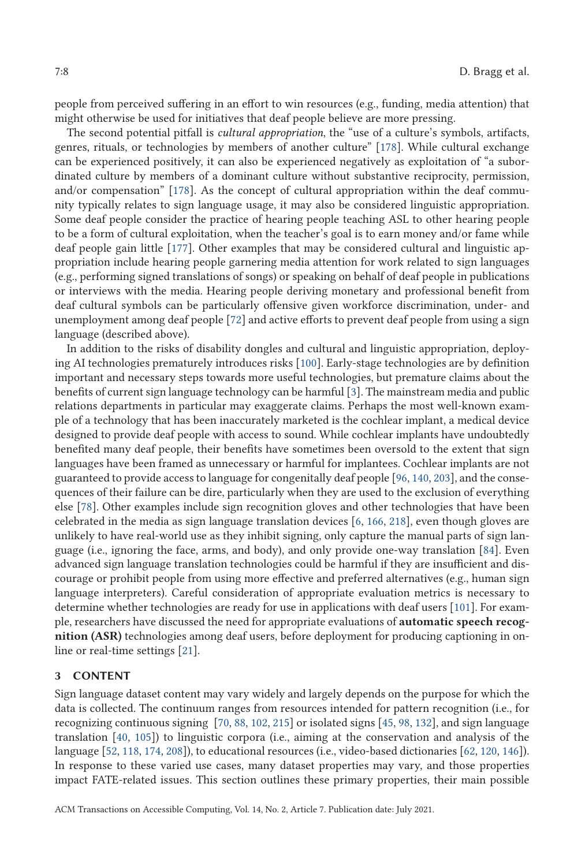<span id="page-7-0"></span>people from perceived suffering in an effort to win resources (e.g., funding, media attention) that might otherwise be used for initiatives that deaf people believe are more pressing.

The second potential pitfall is *cultural appropriation*, the "use of a culture's symbols, artifacts, genres, rituals, or technologies by members of another culture" [\[178\]](#page-42-0). While cultural exchange can be experienced positively, it can also be experienced negatively as exploitation of "a subordinated culture by members of a dominant culture without substantive reciprocity, permission, and/or compensation" [\[178\]](#page-42-0). As the concept of cultural appropriation within the deaf community typically relates to sign language usage, it may also be considered linguistic appropriation. Some deaf people consider the practice of hearing people teaching ASL to other hearing people to be a form of cultural exploitation, when the teacher's goal is to earn money and/or fame while deaf people gain little [\[177\]](#page-42-0). Other examples that may be considered cultural and linguistic appropriation include hearing people garnering media attention for work related to sign languages (e.g., performing signed translations of songs) or speaking on behalf of deaf people in publications or interviews with the media. Hearing people deriving monetary and professional benefit from deaf cultural symbols can be particularly offensive given workforce discrimination, under- and unemployment among deaf people [\[72\]](#page-38-0) and active efforts to prevent deaf people from using a sign language (described above).

In addition to the risks of disability dongles and cultural and linguistic appropriation, deploying AI technologies prematurely introduces risks [\[100\]](#page-39-0). Early-stage technologies are by definition important and necessary steps towards more useful technologies, but premature claims about the benefits of current sign language technology can be harmful [\[3\]](#page-35-0). The mainstream media and public relations departments in particular may exaggerate claims. Perhaps the most well-known example of a technology that has been inaccurately marketed is the cochlear implant, a medical device designed to provide deaf people with access to sound. While cochlear implants have undoubtedly benefited many deaf people, their benefits have sometimes been oversold to the extent that sign languages have been framed as unnecessary or harmful for implantees. Cochlear implants are not guaranteed to provide access to language for congenitally deaf people [\[96,](#page-39-0) [140,](#page-41-0) [203\]](#page-43-0), and the consequences of their failure can be dire, particularly when they are used to the exclusion of everything else [\[78\]](#page-39-0). Other examples include sign recognition gloves and other technologies that have been celebrated in the media as sign language translation devices [\[6,](#page-36-0) [166,](#page-42-0) [218\]](#page-44-0), even though gloves are unlikely to have real-world use as they inhibit signing, only capture the manual parts of sign language (i.e., ignoring the face, arms, and body), and only provide one-way translation [\[84\]](#page-39-0). Even advanced sign language translation technologies could be harmful if they are insufficient and discourage or prohibit people from using more effective and preferred alternatives (e.g., human sign language interpreters). Careful consideration of appropriate evaluation metrics is necessary to determine whether technologies are ready for use in applications with deaf users [\[101\]](#page-39-0). For example, researchers have discussed the need for appropriate evaluations of **automatic speech recognition (ASR)** technologies among deaf users, before deployment for producing captioning in online or real-time settings [\[21\]](#page-36-0).

#### **3 CONTENT**

Sign language dataset content may vary widely and largely depends on the purpose for which the data is collected. The continuum ranges from resources intended for pattern recognition (i.e., for recognizing continuous signing [\[70,](#page-38-0) [88,](#page-39-0) [102,](#page-40-0) [215\]](#page-44-0) or isolated signs [\[45,](#page-37-0) [98,](#page-39-0) [132\]](#page-41-0), and sign language translation [\[40,](#page-37-0) [105\]](#page-40-0)) to linguistic corpora (i.e., aiming at the conservation and analysis of the language [\[52,](#page-38-0) [118,](#page-40-0) [174,](#page-42-0) [208\]](#page-44-0)), to educational resources (i.e., video-based dictionaries [\[62,](#page-38-0) [120,](#page-40-0) [146\]](#page-41-0)). In response to these varied use cases, many dataset properties may vary, and those properties impact FATE-related issues. This section outlines these primary properties, their main possible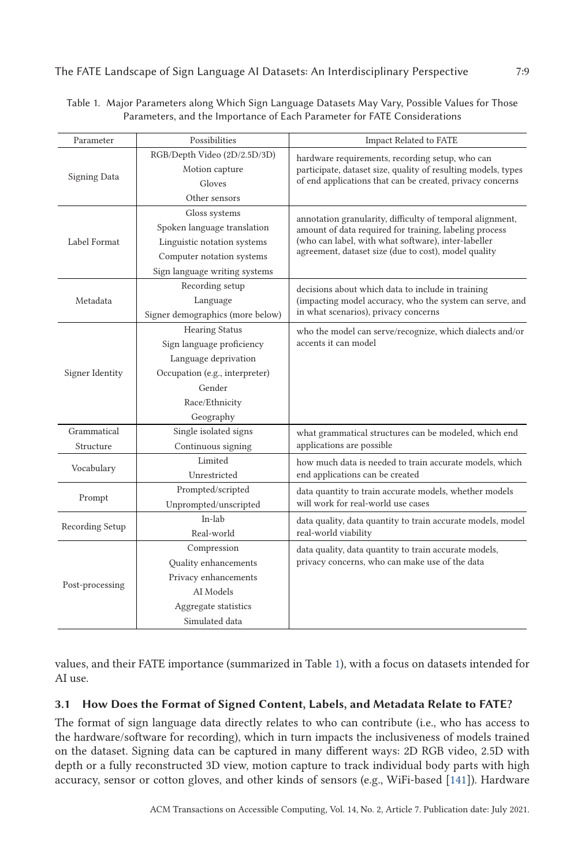The FATE Landscape of Sign Language AI Datasets: An Interdisciplinary Perspective 7:9

| Parameter           | Possibilities                    | <b>Impact Related to FATE</b>                                                                                                                                                                                                      |
|---------------------|----------------------------------|------------------------------------------------------------------------------------------------------------------------------------------------------------------------------------------------------------------------------------|
| <b>Signing Data</b> | RGB/Depth Video (2D/2.5D/3D)     | hardware requirements, recording setup, who can<br>participate, dataset size, quality of resulting models, types<br>of end applications that can be created, privacy concerns                                                      |
|                     | Motion capture                   |                                                                                                                                                                                                                                    |
|                     | Gloves                           |                                                                                                                                                                                                                                    |
|                     | Other sensors                    |                                                                                                                                                                                                                                    |
| Label Format        | Gloss systems                    | annotation granularity, difficulty of temporal alignment,<br>amount of data required for training, labeling process<br>(who can label, with what software), inter-labeller<br>agreement, dataset size (due to cost), model quality |
|                     | Spoken language translation      |                                                                                                                                                                                                                                    |
|                     | Linguistic notation systems      |                                                                                                                                                                                                                                    |
|                     | Computer notation systems        |                                                                                                                                                                                                                                    |
|                     | Sign language writing systems    |                                                                                                                                                                                                                                    |
| Metadata            | Recording setup                  | decisions about which data to include in training<br>(impacting model accuracy, who the system can serve, and<br>in what scenarios), privacy concerns                                                                              |
|                     | Language                         |                                                                                                                                                                                                                                    |
|                     | Signer demographics (more below) |                                                                                                                                                                                                                                    |
| Signer Identity     | <b>Hearing Status</b>            | who the model can serve/recognize, which dialects and/or<br>accents it can model                                                                                                                                                   |
|                     | Sign language proficiency        |                                                                                                                                                                                                                                    |
|                     | Language deprivation             |                                                                                                                                                                                                                                    |
|                     | Occupation (e.g., interpreter)   |                                                                                                                                                                                                                                    |
|                     | Gender                           |                                                                                                                                                                                                                                    |
|                     | Race/Ethnicity                   |                                                                                                                                                                                                                                    |
|                     | Geography                        |                                                                                                                                                                                                                                    |
| Grammatical         | Single isolated signs            | what grammatical structures can be modeled, which end<br>applications are possible                                                                                                                                                 |
| Structure           | Continuous signing               |                                                                                                                                                                                                                                    |
| Vocabulary          | Limited                          | how much data is needed to train accurate models, which<br>end applications can be created                                                                                                                                         |
|                     | Unrestricted                     |                                                                                                                                                                                                                                    |
| Prompt              | Prompted/scripted                | data quantity to train accurate models, whether models<br>will work for real-world use cases                                                                                                                                       |
|                     | Unprompted/unscripted            |                                                                                                                                                                                                                                    |
| Recording Setup     | In-lab                           | data quality, data quantity to train accurate models, model<br>real-world viability                                                                                                                                                |
|                     | Real-world                       |                                                                                                                                                                                                                                    |
| Post-processing     | Compression                      | data quality, data quantity to train accurate models,<br>privacy concerns, who can make use of the data                                                                                                                            |
|                     | Quality enhancements             |                                                                                                                                                                                                                                    |
|                     | Privacy enhancements             |                                                                                                                                                                                                                                    |
|                     | AI Models                        |                                                                                                                                                                                                                                    |
|                     | Aggregate statistics             |                                                                                                                                                                                                                                    |
|                     | Simulated data                   |                                                                                                                                                                                                                                    |

Table 1. Major Parameters along Which Sign Language Datasets May Vary, Possible Values for Those Parameters, and the Importance of Each Parameter for FATE Considerations

values, and their FATE importance (summarized in Table 1), with a focus on datasets intended for AI use.

# **3.1 How Does the Format of Signed Content, Labels, and Metadata Relate to FATE?**

The format of sign language data directly relates to who can contribute (i.e., who has access to the hardware/software for recording), which in turn impacts the inclusiveness of models trained on the dataset. Signing data can be captured in many different ways: 2D RGB video, 2.5D with depth or a fully reconstructed 3D view, motion capture to track individual body parts with high accuracy, sensor or cotton gloves, and other kinds of sensors (e.g., WiFi-based [\[141\]](#page-41-0)). Hardware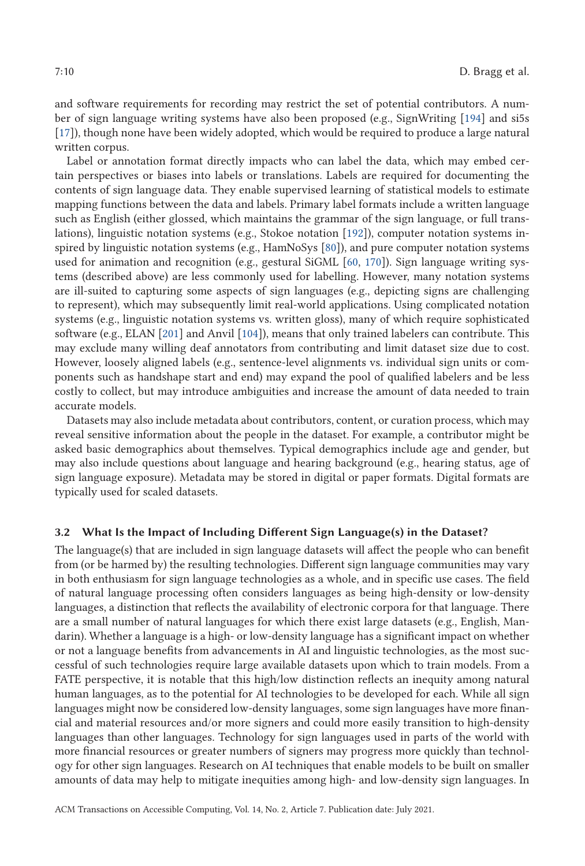and software requirements for recording may restrict the set of potential contributors. A number of sign language writing systems have also been proposed (e.g., SignWriting [\[194\]](#page-43-0) and si5s [\[17\]](#page-36-0)), though none have been widely adopted, which would be required to produce a large natural written corpus.

Label or annotation format directly impacts who can label the data, which may embed certain perspectives or biases into labels or translations. Labels are required for documenting the contents of sign language data. They enable supervised learning of statistical models to estimate mapping functions between the data and labels. Primary label formats include a written language such as English (either glossed, which maintains the grammar of the sign language, or full translations), linguistic notation systems (e.g., Stokoe notation [\[192\]](#page-43-0)), computer notation systems inspired by linguistic notation systems (e.g., HamNoSys [\[80\]](#page-39-0)), and pure computer notation systems used for animation and recognition (e.g., gestural SiGML [\[60,](#page-38-0) [170\]](#page-42-0)). Sign language writing systems (described above) are less commonly used for labelling. However, many notation systems are ill-suited to capturing some aspects of sign languages (e.g., depicting signs are challenging to represent), which may subsequently limit real-world applications. Using complicated notation systems (e.g., linguistic notation systems vs. written gloss), many of which require sophisticated software (e.g., ELAN [\[201\]](#page-43-0) and Anvil [\[104\]](#page-40-0)), means that only trained labelers can contribute. This may exclude many willing deaf annotators from contributing and limit dataset size due to cost. However, loosely aligned labels (e.g., sentence-level alignments vs. individual sign units or components such as handshape start and end) may expand the pool of qualified labelers and be less costly to collect, but may introduce ambiguities and increase the amount of data needed to train accurate models.

Datasets may also include metadata about contributors, content, or curation process, which may reveal sensitive information about the people in the dataset. For example, a contributor might be asked basic demographics about themselves. Typical demographics include age and gender, but may also include questions about language and hearing background (e.g., hearing status, age of sign language exposure). Metadata may be stored in digital or paper formats. Digital formats are typically used for scaled datasets.

#### **3.2 What Is the Impact of Including Different Sign Language(s) in the Dataset?**

The language(s) that are included in sign language datasets will affect the people who can benefit from (or be harmed by) the resulting technologies. Different sign language communities may vary in both enthusiasm for sign language technologies as a whole, and in specific use cases. The field of natural language processing often considers languages as being high-density or low-density languages, a distinction that reflects the availability of electronic corpora for that language. There are a small number of natural languages for which there exist large datasets (e.g., English, Mandarin). Whether a language is a high- or low-density language has a significant impact on whether or not a language benefits from advancements in AI and linguistic technologies, as the most successful of such technologies require large available datasets upon which to train models. From a FATE perspective, it is notable that this high/low distinction reflects an inequity among natural human languages, as to the potential for AI technologies to be developed for each. While all sign languages might now be considered low-density languages, some sign languages have more financial and material resources and/or more signers and could more easily transition to high-density languages than other languages. Technology for sign languages used in parts of the world with more financial resources or greater numbers of signers may progress more quickly than technology for other sign languages. Research on AI techniques that enable models to be built on smaller amounts of data may help to mitigate inequities among high- and low-density sign languages. In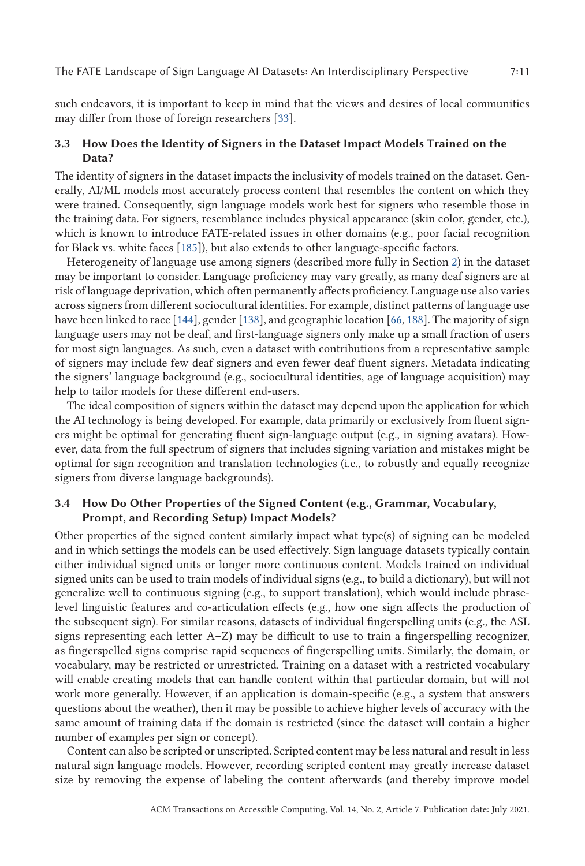The FATE Landscape of Sign Language AI Datasets: An Interdisciplinary Perspective 7:11

such endeavors, it is important to keep in mind that the views and desires of local communities may differ from those of foreign researchers [\[33\]](#page-37-0).

# **3.3 How Does the Identity of Signers in the Dataset Impact Models Trained on the Data?**

The identity of signers in the dataset impacts the inclusivity of models trained on the dataset. Generally, AI/ML models most accurately process content that resembles the content on which they were trained. Consequently, sign language models work best for signers who resemble those in the training data. For signers, resemblance includes physical appearance (skin color, gender, etc.), which is known to introduce FATE-related issues in other domains (e.g., poor facial recognition for Black vs. white faces [\[185\]](#page-43-0)), but also extends to other language-specific factors.

Heterogeneity of language use among signers (described more fully in Section [2\)](#page-3-0) in the dataset may be important to consider. Language proficiency may vary greatly, as many deaf signers are at risk of language deprivation, which often permanently affects proficiency. Language use also varies across signers from different sociocultural identities. For example, distinct patterns of language use have been linked to race [\[144\]](#page-41-0), gender [\[138\]](#page-41-0), and geographic location [\[66,](#page-38-0) [188\]](#page-43-0). The majority of sign language users may not be deaf, and first-language signers only make up a small fraction of users for most sign languages. As such, even a dataset with contributions from a representative sample of signers may include few deaf signers and even fewer deaf fluent signers. Metadata indicating the signers' language background (e.g., sociocultural identities, age of language acquisition) may help to tailor models for these different end-users.

The ideal composition of signers within the dataset may depend upon the application for which the AI technology is being developed. For example, data primarily or exclusively from fluent signers might be optimal for generating fluent sign-language output (e.g., in signing avatars). However, data from the full spectrum of signers that includes signing variation and mistakes might be optimal for sign recognition and translation technologies (i.e., to robustly and equally recognize signers from diverse language backgrounds).

# **3.4 How Do Other Properties of the Signed Content (e.g., Grammar, Vocabulary, Prompt, and Recording Setup) Impact Models?**

Other properties of the signed content similarly impact what type(s) of signing can be modeled and in which settings the models can be used effectively. Sign language datasets typically contain either individual signed units or longer more continuous content. Models trained on individual signed units can be used to train models of individual signs (e.g., to build a dictionary), but will not generalize well to continuous signing (e.g., to support translation), which would include phraselevel linguistic features and co-articulation effects (e.g., how one sign affects the production of the subsequent sign). For similar reasons, datasets of individual fingerspelling units (e.g., the ASL signs representing each letter A–Z) may be difficult to use to train a fingerspelling recognizer, as fingerspelled signs comprise rapid sequences of fingerspelling units. Similarly, the domain, or vocabulary, may be restricted or unrestricted. Training on a dataset with a restricted vocabulary will enable creating models that can handle content within that particular domain, but will not work more generally. However, if an application is domain-specific (e.g., a system that answers questions about the weather), then it may be possible to achieve higher levels of accuracy with the same amount of training data if the domain is restricted (since the dataset will contain a higher number of examples per sign or concept).

Content can also be scripted or unscripted. Scripted content may be less natural and result in less natural sign language models. However, recording scripted content may greatly increase dataset size by removing the expense of labeling the content afterwards (and thereby improve model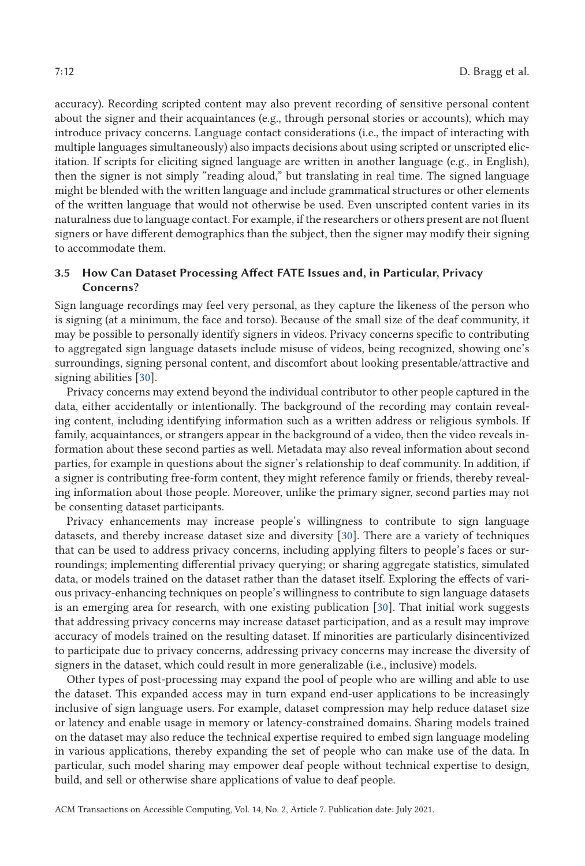accuracy). Recording scripted content may also prevent recording of sensitive personal content about the signer and their acquaintances (e.g., through personal stories or accounts), which may introduce privacy concerns. Language contact considerations (i.e., the impact of interacting with multiple languages simultaneously) also impacts decisions about using scripted or unscripted elicitation. If scripts for eliciting signed language are written in another language (e.g., in English), then the signer is not simply "reading aloud," but translating in real time. The signed language might be blended with the written language and include grammatical structures or other elements of the written language that would not otherwise be used. Even unscripted content varies in its naturalness due to language contact. For example, if the researchers or others present are not fluent signers or have different demographics than the subject, then the signer may modify their signing to accommodate them.

# **3.5 How Can Dataset Processing Affect FATE Issues and, in Particular, Privacy Concerns?**

Sign language recordings may feel very personal, as they capture the likeness of the person who is signing (at a minimum, the face and torso). Because of the small size of the deaf community, it may be possible to personally identify signers in videos. Privacy concerns specific to contributing to aggregated sign language datasets include misuse of videos, being recognized, showing one's surroundings, signing personal content, and discomfort about looking presentable/attractive and signing abilities [\[30\]](#page-37-0).

Privacy concerns may extend beyond the individual contributor to other people captured in the data, either accidentally or intentionally. The background of the recording may contain revealing content, including identifying information such as a written address or religious symbols. If family, acquaintances, or strangers appear in the background of a video, then the video reveals information about these second parties as well. Metadata may also reveal information about second parties, for example in questions about the signer's relationship to deaf community. In addition, if a signer is contributing free-form content, they might reference family or friends, thereby revealing information about those people. Moreover, unlike the primary signer, second parties may not be consenting dataset participants.

Privacy enhancements may increase people's willingness to contribute to sign language datasets, and thereby increase dataset size and diversity [\[30\]](#page-37-0). There are a variety of techniques that can be used to address privacy concerns, including applying filters to people's faces or surroundings; implementing differential privacy querying; or sharing aggregate statistics, simulated data, or models trained on the dataset rather than the dataset itself. Exploring the effects of various privacy-enhancing techniques on people's willingness to contribute to sign language datasets is an emerging area for research, with one existing publication [\[30\]](#page-37-0). That initial work suggests that addressing privacy concerns may increase dataset participation, and as a result may improve accuracy of models trained on the resulting dataset. If minorities are particularly disincentivized to participate due to privacy concerns, addressing privacy concerns may increase the diversity of signers in the dataset, which could result in more generalizable (i.e., inclusive) models.

Other types of post-processing may expand the pool of people who are willing and able to use the dataset. This expanded access may in turn expand end-user applications to be increasingly inclusive of sign language users. For example, dataset compression may help reduce dataset size or latency and enable usage in memory or latency-constrained domains. Sharing models trained on the dataset may also reduce the technical expertise required to embed sign language modeling in various applications, thereby expanding the set of people who can make use of the data. In particular, such model sharing may empower deaf people without technical expertise to design, build, and sell or otherwise share applications of value to deaf people.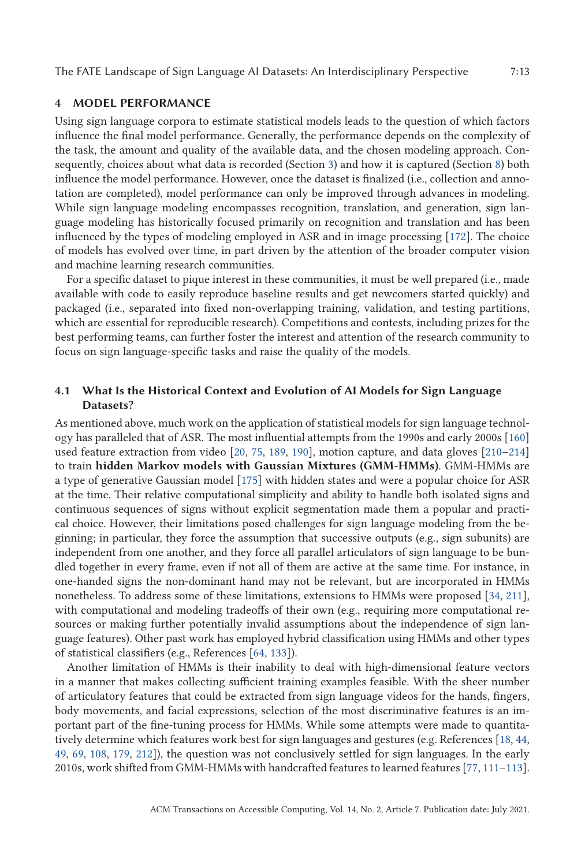### <span id="page-12-0"></span>**4 MODEL PERFORMANCE**

Using sign language corpora to estimate statistical models leads to the question of which factors influence the final model performance. Generally, the performance depends on the complexity of the task, the amount and quality of the available data, and the chosen modeling approach. Consequently, choices about what data is recorded (Section [3\)](#page-7-0) and how it is captured (Section [8\)](#page-26-0) both influence the model performance. However, once the dataset is finalized (i.e., collection and annotation are completed), model performance can only be improved through advances in modeling. While sign language modeling encompasses recognition, translation, and generation, sign language modeling has historically focused primarily on recognition and translation and has been influenced by the types of modeling employed in ASR and in image processing [\[172\]](#page-42-0). The choice of models has evolved over time, in part driven by the attention of the broader computer vision and machine learning research communities.

For a specific dataset to pique interest in these communities, it must be well prepared (i.e., made available with code to easily reproduce baseline results and get newcomers started quickly) and packaged (i.e., separated into fixed non-overlapping training, validation, and testing partitions, which are essential for reproducible research). Competitions and contests, including prizes for the best performing teams, can further foster the interest and attention of the research community to focus on sign language-specific tasks and raise the quality of the models.

# **4.1 What Is the Historical Context and Evolution of AI Models for Sign Language Datasets?**

As mentioned above, much work on the application of statistical models for sign language technology has paralleled that of ASR. The most influential attempts from the 1990s and early 2000s [\[160\]](#page-42-0) used feature extraction from video [\[20,](#page-36-0) [75,](#page-39-0) [189,](#page-43-0) [190\]](#page-43-0), motion capture, and data gloves [\[210–214\]](#page-44-0) to train **hidden Markov models with Gaussian Mixtures (GMM-HMMs)**. GMM-HMMs are a type of generative Gaussian model [\[175\]](#page-42-0) with hidden states and were a popular choice for ASR at the time. Their relative computational simplicity and ability to handle both isolated signs and continuous sequences of signs without explicit segmentation made them a popular and practical choice. However, their limitations posed challenges for sign language modeling from the beginning; in particular, they force the assumption that successive outputs (e.g., sign subunits) are independent from one another, and they force all parallel articulators of sign language to be bundled together in every frame, even if not all of them are active at the same time. For instance, in one-handed signs the non-dominant hand may not be relevant, but are incorporated in HMMs nonetheless. To address some of these limitations, extensions to HMMs were proposed [\[34,](#page-37-0) [211\]](#page-44-0), with computational and modeling tradeoffs of their own (e.g., requiring more computational resources or making further potentially invalid assumptions about the independence of sign language features). Other past work has employed hybrid classification using HMMs and other types of statistical classifiers (e.g., References [\[64,](#page-38-0) [133\]](#page-41-0)).

Another limitation of HMMs is their inability to deal with high-dimensional feature vectors in a manner that makes collecting sufficient training examples feasible. With the sheer number of articulatory features that could be extracted from sign language videos for the hands, fingers, body movements, and facial expressions, selection of the most discriminative features is an important part of the fine-tuning process for HMMs. While some attempts were made to quantitatively determine which features work best for sign languages and gestures (e.g. References [\[18,](#page-36-0) [44,](#page-37-0) [49,](#page-37-0) [69,](#page-38-0) [108,](#page-40-0) [179,](#page-43-0) [212\]](#page-44-0)), the question was not conclusively settled for sign languages. In the early 2010s, work shifted from GMM-HMMs with handcrafted features to learned features [\[77,](#page-39-0) [111–113\]](#page-40-0).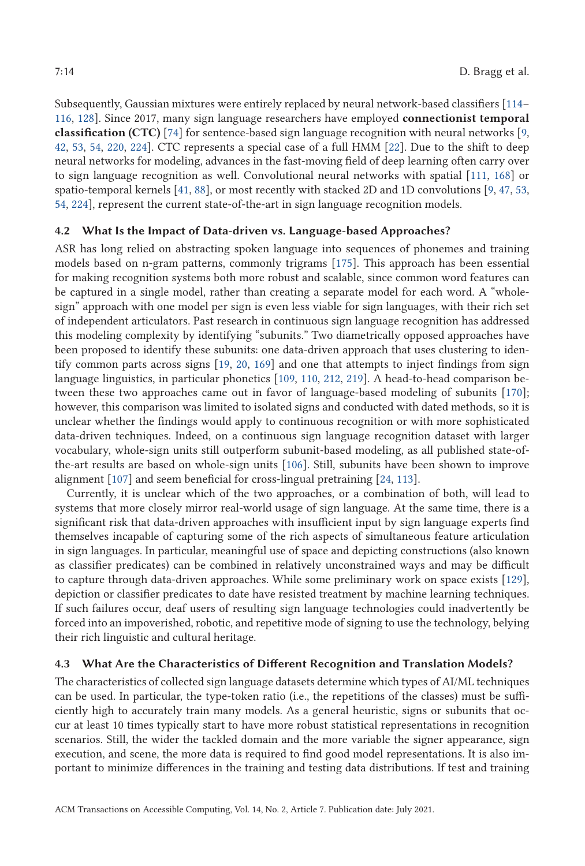Subsequently, Gaussian mixtures were entirely replaced by neural network-based classifiers [\[114–](#page-40-0) [116,](#page-40-0) [128\]](#page-41-0). Since 2017, many sign language researchers have employed **connectionist temporal classification (CTC)** [\[74\]](#page-38-0) for sentence-based sign language recognition with neural networks [\[9,](#page-36-0) [42,](#page-37-0) [53,](#page-38-0) [54,](#page-38-0) [220,](#page-44-0) [224\]](#page-44-0). CTC represents a special case of a full HMM [\[22\]](#page-36-0). Due to the shift to deep neural networks for modeling, advances in the fast-moving field of deep learning often carry over to sign language recognition as well. Convolutional neural networks with spatial [\[111,](#page-40-0) [168\]](#page-42-0) or spatio-temporal kernels [\[41,](#page-37-0) [88\]](#page-39-0), or most recently with stacked 2D and 1D convolutions [\[9,](#page-36-0) [47,](#page-37-0) [53,](#page-38-0) [54,](#page-38-0) [224\]](#page-44-0), represent the current state-of-the-art in sign language recognition models.

#### **4.2 What Is the Impact of Data-driven vs. Language-based Approaches?**

ASR has long relied on abstracting spoken language into sequences of phonemes and training models based on n-gram patterns, commonly trigrams [\[175\]](#page-42-0). This approach has been essential for making recognition systems both more robust and scalable, since common word features can be captured in a single model, rather than creating a separate model for each word. A "wholesign" approach with one model per sign is even less viable for sign languages, with their rich set of independent articulators. Past research in continuous sign language recognition has addressed this modeling complexity by identifying "subunits." Two diametrically opposed approaches have been proposed to identify these subunits: one data-driven approach that uses clustering to identify common parts across signs [\[19,](#page-36-0) [20,](#page-36-0) [169\]](#page-42-0) and one that attempts to inject findings from sign language linguistics, in particular phonetics [\[109,](#page-40-0) [110,](#page-40-0) [212,](#page-44-0) [219\]](#page-44-0). A head-to-head comparison between these two approaches came out in favor of language-based modeling of subunits [\[170\]](#page-42-0); however, this comparison was limited to isolated signs and conducted with dated methods, so it is unclear whether the findings would apply to continuous recognition or with more sophisticated data-driven techniques. Indeed, on a continuous sign language recognition dataset with larger vocabulary, whole-sign units still outperform subunit-based modeling, as all published state-ofthe-art results are based on whole-sign units [\[106\]](#page-40-0). Still, subunits have been shown to improve alignment [\[107\]](#page-40-0) and seem beneficial for cross-lingual pretraining [\[24,](#page-36-0) [113\]](#page-40-0).

Currently, it is unclear which of the two approaches, or a combination of both, will lead to systems that more closely mirror real-world usage of sign language. At the same time, there is a significant risk that data-driven approaches with insufficient input by sign language experts find themselves incapable of capturing some of the rich aspects of simultaneous feature articulation in sign languages. In particular, meaningful use of space and depicting constructions (also known as classifier predicates) can be combined in relatively unconstrained ways and may be difficult to capture through data-driven approaches. While some preliminary work on space exists [\[129\]](#page-41-0), depiction or classifier predicates to date have resisted treatment by machine learning techniques. If such failures occur, deaf users of resulting sign language technologies could inadvertently be forced into an impoverished, robotic, and repetitive mode of signing to use the technology, belying their rich linguistic and cultural heritage.

### **4.3 What Are the Characteristics of Different Recognition and Translation Models?**

The characteristics of collected sign language datasets determine which types of AI/ML techniques can be used. In particular, the type-token ratio (i.e., the repetitions of the classes) must be sufficiently high to accurately train many models. As a general heuristic, signs or subunits that occur at least 10 times typically start to have more robust statistical representations in recognition scenarios. Still, the wider the tackled domain and the more variable the signer appearance, sign execution, and scene, the more data is required to find good model representations. It is also important to minimize differences in the training and testing data distributions. If test and training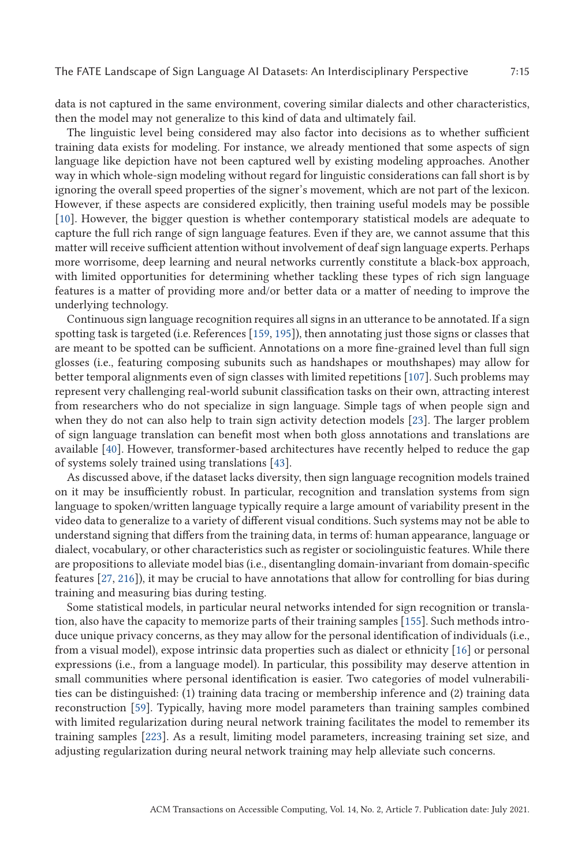data is not captured in the same environment, covering similar dialects and other characteristics, then the model may not generalize to this kind of data and ultimately fail.

The linguistic level being considered may also factor into decisions as to whether sufficient training data exists for modeling. For instance, we already mentioned that some aspects of sign language like depiction have not been captured well by existing modeling approaches. Another way in which whole-sign modeling without regard for linguistic considerations can fall short is by ignoring the overall speed properties of the signer's movement, which are not part of the lexicon. However, if these aspects are considered explicitly, then training useful models may be possible [\[10\]](#page-36-0). However, the bigger question is whether contemporary statistical models are adequate to capture the full rich range of sign language features. Even if they are, we cannot assume that this matter will receive sufficient attention without involvement of deaf sign language experts. Perhaps more worrisome, deep learning and neural networks currently constitute a black-box approach, with limited opportunities for determining whether tackling these types of rich sign language features is a matter of providing more and/or better data or a matter of needing to improve the underlying technology.

Continuous sign language recognition requires all signs in an utterance to be annotated. If a sign spotting task is targeted (i.e. References [\[159,](#page-42-0) [195\]](#page-43-0)), then annotating just those signs or classes that are meant to be spotted can be sufficient. Annotations on a more fine-grained level than full sign glosses (i.e., featuring composing subunits such as handshapes or mouthshapes) may allow for better temporal alignments even of sign classes with limited repetitions [\[107\]](#page-40-0). Such problems may represent very challenging real-world subunit classification tasks on their own, attracting interest from researchers who do not specialize in sign language. Simple tags of when people sign and when they do not can also help to train sign activity detection models [\[23\]](#page-36-0). The larger problem of sign language translation can benefit most when both gloss annotations and translations are available [\[40\]](#page-37-0). However, transformer-based architectures have recently helped to reduce the gap of systems solely trained using translations [\[43\]](#page-37-0).

As discussed above, if the dataset lacks diversity, then sign language recognition models trained on it may be insufficiently robust. In particular, recognition and translation systems from sign language to spoken/written language typically require a large amount of variability present in the video data to generalize to a variety of different visual conditions. Such systems may not be able to understand signing that differs from the training data, in terms of: human appearance, language or dialect, vocabulary, or other characteristics such as register or sociolinguistic features. While there are propositions to alleviate model bias (i.e., disentangling domain-invariant from domain-specific features [\[27,](#page-37-0) [216\]](#page-44-0)), it may be crucial to have annotations that allow for controlling for bias during training and measuring bias during testing.

Some statistical models, in particular neural networks intended for sign recognition or translation, also have the capacity to memorize parts of their training samples [\[155\]](#page-42-0). Such methods introduce unique privacy concerns, as they may allow for the personal identification of individuals (i.e., from a visual model), expose intrinsic data properties such as dialect or ethnicity [\[16\]](#page-36-0) or personal expressions (i.e., from a language model). In particular, this possibility may deserve attention in small communities where personal identification is easier. Two categories of model vulnerabilities can be distinguished: (1) training data tracing or membership inference and (2) training data reconstruction [\[59\]](#page-38-0). Typically, having more model parameters than training samples combined with limited regularization during neural network training facilitates the model to remember its training samples [\[223\]](#page-44-0). As a result, limiting model parameters, increasing training set size, and adjusting regularization during neural network training may help alleviate such concerns.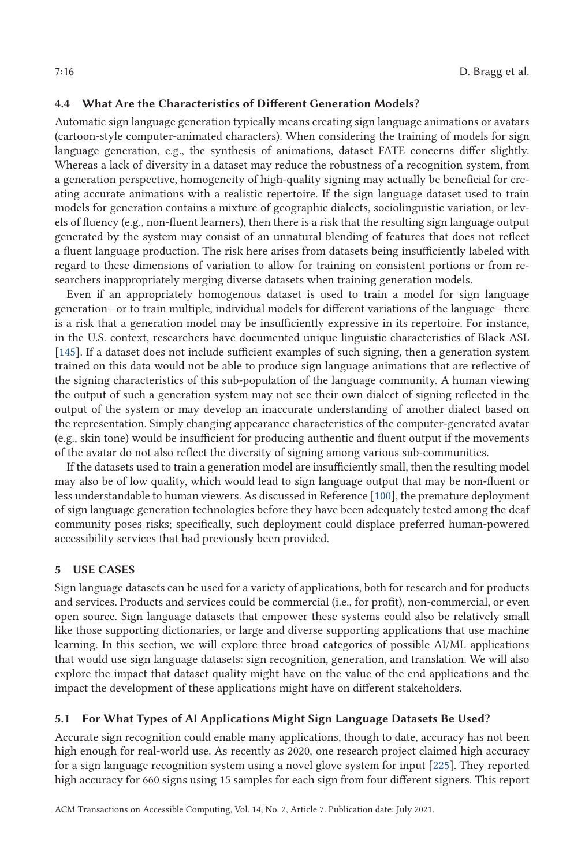# <span id="page-15-0"></span>**4.4 What Are the Characteristics of Different Generation Models?**

Automatic sign language generation typically means creating sign language animations or avatars (cartoon-style computer-animated characters). When considering the training of models for sign language generation, e.g., the synthesis of animations, dataset FATE concerns differ slightly. Whereas a lack of diversity in a dataset may reduce the robustness of a recognition system, from a generation perspective, homogeneity of high-quality signing may actually be beneficial for creating accurate animations with a realistic repertoire. If the sign language dataset used to train models for generation contains a mixture of geographic dialects, sociolinguistic variation, or levels of fluency (e.g., non-fluent learners), then there is a risk that the resulting sign language output generated by the system may consist of an unnatural blending of features that does not reflect a fluent language production. The risk here arises from datasets being insufficiently labeled with regard to these dimensions of variation to allow for training on consistent portions or from researchers inappropriately merging diverse datasets when training generation models.

Even if an appropriately homogenous dataset is used to train a model for sign language generation—or to train multiple, individual models for different variations of the language—there is a risk that a generation model may be insufficiently expressive in its repertoire. For instance, in the U.S. context, researchers have documented unique linguistic characteristics of Black ASL [\[145\]](#page-41-0). If a dataset does not include sufficient examples of such signing, then a generation system trained on this data would not be able to produce sign language animations that are reflective of the signing characteristics of this sub-population of the language community. A human viewing the output of such a generation system may not see their own dialect of signing reflected in the output of the system or may develop an inaccurate understanding of another dialect based on the representation. Simply changing appearance characteristics of the computer-generated avatar (e.g., skin tone) would be insufficient for producing authentic and fluent output if the movements of the avatar do not also reflect the diversity of signing among various sub-communities.

If the datasets used to train a generation model are insufficiently small, then the resulting model may also be of low quality, which would lead to sign language output that may be non-fluent or less understandable to human viewers. As discussed in Reference [\[100\]](#page-39-0), the premature deployment of sign language generation technologies before they have been adequately tested among the deaf community poses risks; specifically, such deployment could displace preferred human-powered accessibility services that had previously been provided.

# **5 USE CASES**

Sign language datasets can be used for a variety of applications, both for research and for products and services. Products and services could be commercial (i.e., for profit), non-commercial, or even open source. Sign language datasets that empower these systems could also be relatively small like those supporting dictionaries, or large and diverse supporting applications that use machine learning. In this section, we will explore three broad categories of possible AI/ML applications that would use sign language datasets: sign recognition, generation, and translation. We will also explore the impact that dataset quality might have on the value of the end applications and the impact the development of these applications might have on different stakeholders.

#### **5.1 For What Types of AI Applications Might Sign Language Datasets Be Used?**

Accurate sign recognition could enable many applications, though to date, accuracy has not been high enough for real-world use. As recently as 2020, one research project claimed high accuracy for a sign language recognition system using a novel glove system for input [\[225\]](#page-44-0). They reported high accuracy for 660 signs using 15 samples for each sign from four different signers. This report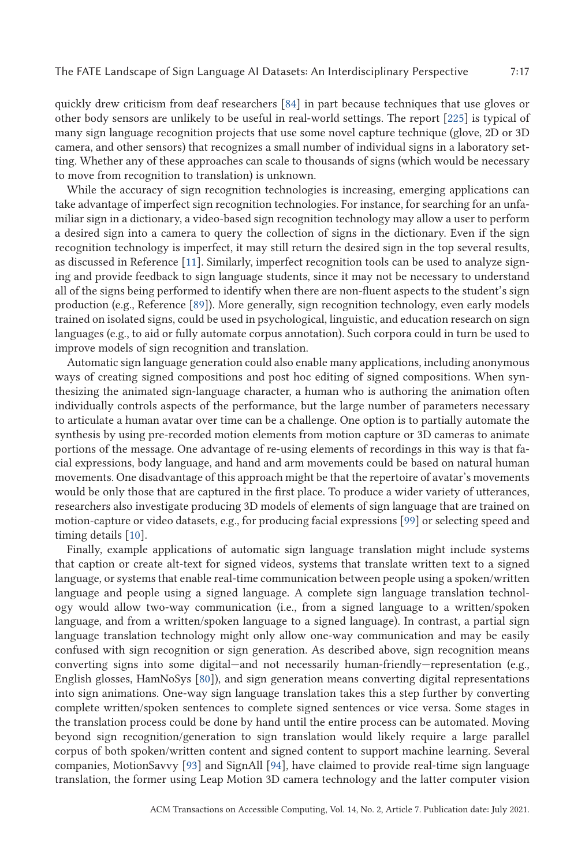quickly drew criticism from deaf researchers [\[84\]](#page-39-0) in part because techniques that use gloves or other body sensors are unlikely to be useful in real-world settings. The report [\[225\]](#page-44-0) is typical of many sign language recognition projects that use some novel capture technique (glove, 2D or 3D camera, and other sensors) that recognizes a small number of individual signs in a laboratory setting. Whether any of these approaches can scale to thousands of signs (which would be necessary to move from recognition to translation) is unknown.

While the accuracy of sign recognition technologies is increasing, emerging applications can take advantage of imperfect sign recognition technologies. For instance, for searching for an unfamiliar sign in a dictionary, a video-based sign recognition technology may allow a user to perform a desired sign into a camera to query the collection of signs in the dictionary. Even if the sign recognition technology is imperfect, it may still return the desired sign in the top several results, as discussed in Reference [\[11\]](#page-36-0). Similarly, imperfect recognition tools can be used to analyze signing and provide feedback to sign language students, since it may not be necessary to understand all of the signs being performed to identify when there are non-fluent aspects to the student's sign production (e.g., Reference [\[89\]](#page-39-0)). More generally, sign recognition technology, even early models trained on isolated signs, could be used in psychological, linguistic, and education research on sign languages (e.g., to aid or fully automate corpus annotation). Such corpora could in turn be used to improve models of sign recognition and translation.

Automatic sign language generation could also enable many applications, including anonymous ways of creating signed compositions and post hoc editing of signed compositions. When synthesizing the animated sign-language character, a human who is authoring the animation often individually controls aspects of the performance, but the large number of parameters necessary to articulate a human avatar over time can be a challenge. One option is to partially automate the synthesis by using pre-recorded motion elements from motion capture or 3D cameras to animate portions of the message. One advantage of re-using elements of recordings in this way is that facial expressions, body language, and hand and arm movements could be based on natural human movements. One disadvantage of this approach might be that the repertoire of avatar's movements would be only those that are captured in the first place. To produce a wider variety of utterances, researchers also investigate producing 3D models of elements of sign language that are trained on motion-capture or video datasets, e.g., for producing facial expressions [\[99\]](#page-39-0) or selecting speed and timing details [\[10\]](#page-36-0).

Finally, example applications of automatic sign language translation might include systems that caption or create alt-text for signed videos, systems that translate written text to a signed language, or systems that enable real-time communication between people using a spoken/written language and people using a signed language. A complete sign language translation technology would allow two-way communication (i.e., from a signed language to a written/spoken language, and from a written/spoken language to a signed language). In contrast, a partial sign language translation technology might only allow one-way communication and may be easily confused with sign recognition or sign generation. As described above, sign recognition means converting signs into some digital—and not necessarily human-friendly—representation (e.g., English glosses, HamNoSys [\[80\]](#page-39-0)), and sign generation means converting digital representations into sign animations. One-way sign language translation takes this a step further by converting complete written/spoken sentences to complete signed sentences or vice versa. Some stages in the translation process could be done by hand until the entire process can be automated. Moving beyond sign recognition/generation to sign translation would likely require a large parallel corpus of both spoken/written content and signed content to support machine learning. Several companies, MotionSavvy [\[93\]](#page-39-0) and SignAll [\[94\]](#page-39-0), have claimed to provide real-time sign language translation, the former using Leap Motion 3D camera technology and the latter computer vision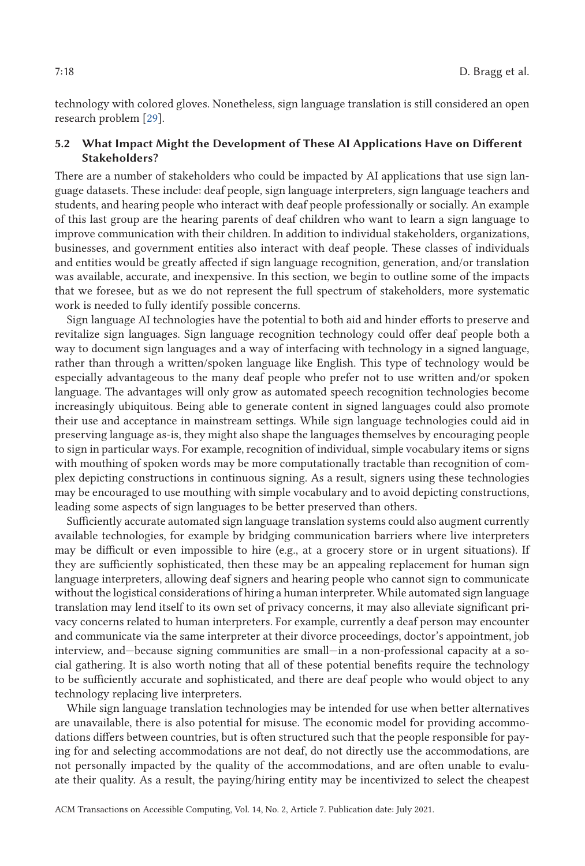technology with colored gloves. Nonetheless, sign language translation is still considered an open research problem [\[29\]](#page-37-0).

# **5.2 What Impact Might the Development of These AI Applications Have on Different Stakeholders?**

There are a number of stakeholders who could be impacted by AI applications that use sign language datasets. These include: deaf people, sign language interpreters, sign language teachers and students, and hearing people who interact with deaf people professionally or socially. An example of this last group are the hearing parents of deaf children who want to learn a sign language to improve communication with their children. In addition to individual stakeholders, organizations, businesses, and government entities also interact with deaf people. These classes of individuals and entities would be greatly affected if sign language recognition, generation, and/or translation was available, accurate, and inexpensive. In this section, we begin to outline some of the impacts that we foresee, but as we do not represent the full spectrum of stakeholders, more systematic work is needed to fully identify possible concerns.

Sign language AI technologies have the potential to both aid and hinder efforts to preserve and revitalize sign languages. Sign language recognition technology could offer deaf people both a way to document sign languages and a way of interfacing with technology in a signed language, rather than through a written/spoken language like English. This type of technology would be especially advantageous to the many deaf people who prefer not to use written and/or spoken language. The advantages will only grow as automated speech recognition technologies become increasingly ubiquitous. Being able to generate content in signed languages could also promote their use and acceptance in mainstream settings. While sign language technologies could aid in preserving language as-is, they might also shape the languages themselves by encouraging people to sign in particular ways. For example, recognition of individual, simple vocabulary items or signs with mouthing of spoken words may be more computationally tractable than recognition of complex depicting constructions in continuous signing. As a result, signers using these technologies may be encouraged to use mouthing with simple vocabulary and to avoid depicting constructions, leading some aspects of sign languages to be better preserved than others.

Sufficiently accurate automated sign language translation systems could also augment currently available technologies, for example by bridging communication barriers where live interpreters may be difficult or even impossible to hire (e.g., at a grocery store or in urgent situations). If they are sufficiently sophisticated, then these may be an appealing replacement for human sign language interpreters, allowing deaf signers and hearing people who cannot sign to communicate without the logistical considerations of hiring a human interpreter. While automated sign language translation may lend itself to its own set of privacy concerns, it may also alleviate significant privacy concerns related to human interpreters. For example, currently a deaf person may encounter and communicate via the same interpreter at their divorce proceedings, doctor's appointment, job interview, and—because signing communities are small—in a non-professional capacity at a social gathering. It is also worth noting that all of these potential benefits require the technology to be sufficiently accurate and sophisticated, and there are deaf people who would object to any technology replacing live interpreters.

While sign language translation technologies may be intended for use when better alternatives are unavailable, there is also potential for misuse. The economic model for providing accommodations differs between countries, but is often structured such that the people responsible for paying for and selecting accommodations are not deaf, do not directly use the accommodations, are not personally impacted by the quality of the accommodations, and are often unable to evaluate their quality. As a result, the paying/hiring entity may be incentivized to select the cheapest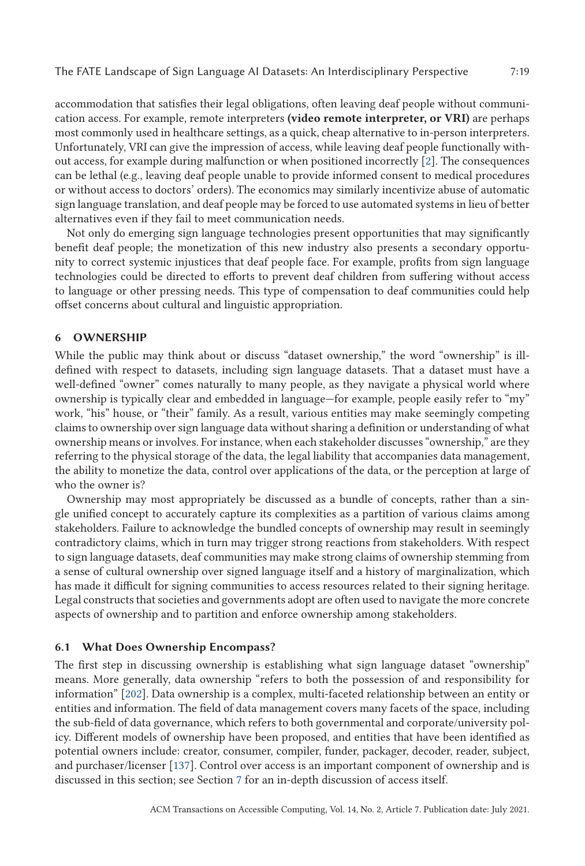<span id="page-18-0"></span>accommodation that satisfies their legal obligations, often leaving deaf people without communication access. For example, remote interpreters **(video remote interpreter, or VRI)** are perhaps most commonly used in healthcare settings, as a quick, cheap alternative to in-person interpreters. Unfortunately, VRI can give the impression of access, while leaving deaf people functionally without access, for example during malfunction or when positioned incorrectly [\[2\]](#page-35-0). The consequences can be lethal (e.g., leaving deaf people unable to provide informed consent to medical procedures or without access to doctors' orders). The economics may similarly incentivize abuse of automatic sign language translation, and deaf people may be forced to use automated systems in lieu of better alternatives even if they fail to meet communication needs.

Not only do emerging sign language technologies present opportunities that may significantly benefit deaf people; the monetization of this new industry also presents a secondary opportunity to correct systemic injustices that deaf people face. For example, profits from sign language technologies could be directed to efforts to prevent deaf children from suffering without access to language or other pressing needs. This type of compensation to deaf communities could help offset concerns about cultural and linguistic appropriation.

#### **6 OWNERSHIP**

While the public may think about or discuss "dataset ownership," the word "ownership" is illdefined with respect to datasets, including sign language datasets. That a dataset must have a well-defined "owner" comes naturally to many people, as they navigate a physical world where ownership is typically clear and embedded in language—for example, people easily refer to "my" work, "his" house, or "their" family. As a result, various entities may make seemingly competing claims to ownership over sign language data without sharing a definition or understanding of what ownership means or involves. For instance, when each stakeholder discusses "ownership," are they referring to the physical storage of the data, the legal liability that accompanies data management, the ability to monetize the data, control over applications of the data, or the perception at large of who the owner is?

Ownership may most appropriately be discussed as a bundle of concepts, rather than a single unified concept to accurately capture its complexities as a partition of various claims among stakeholders. Failure to acknowledge the bundled concepts of ownership may result in seemingly contradictory claims, which in turn may trigger strong reactions from stakeholders. With respect to sign language datasets, deaf communities may make strong claims of ownership stemming from a sense of cultural ownership over signed language itself and a history of marginalization, which has made it difficult for signing communities to access resources related to their signing heritage. Legal constructs that societies and governments adopt are often used to navigate the more concrete aspects of ownership and to partition and enforce ownership among stakeholders.

#### **6.1 What Does Ownership Encompass?**

The first step in discussing ownership is establishing what sign language dataset "ownership" means. More generally, data ownership "refers to both the possession of and responsibility for information" [\[202\]](#page-43-0). Data ownership is a complex, multi-faceted relationship between an entity or entities and information. The field of data management covers many facets of the space, including the sub-field of data governance, which refers to both governmental and corporate/university policy. Different models of ownership have been proposed, and entities that have been identified as potential owners include: creator, consumer, compiler, funder, packager, decoder, reader, subject, and purchaser/licenser [\[137\]](#page-41-0). Control over access is an important component of ownership and is discussed in this section; see Section [7](#page-23-0) for an in-depth discussion of access itself.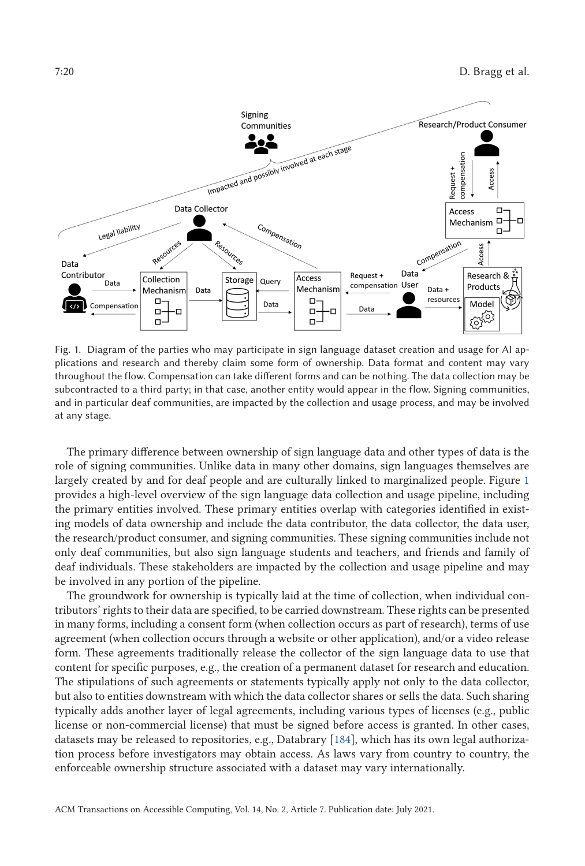

Fig. 1. Diagram of the parties who may participate in sign language dataset creation and usage for AI applications and research and thereby claim some form of ownership. Data format and content may vary throughout the flow. Compensation can take different forms and can be nothing. The data collection may be subcontracted to a third party; in that case, another entity would appear in the flow. Signing communities, and in particular deaf communities, are impacted by the collection and usage process, and may be involved at any stage.

The primary difference between ownership of sign language data and other types of data is the role of signing communities. Unlike data in many other domains, sign languages themselves are largely created by and for deaf people and are culturally linked to marginalized people. Figure 1 provides a high-level overview of the sign language data collection and usage pipeline, including the primary entities involved. These primary entities overlap with categories identified in existing models of data ownership and include the data contributor, the data collector, the data user, the research/product consumer, and signing communities. These signing communities include not only deaf communities, but also sign language students and teachers, and friends and family of deaf individuals. These stakeholders are impacted by the collection and usage pipeline and may be involved in any portion of the pipeline.

The groundwork for ownership is typically laid at the time of collection, when individual contributors' rights to their data are specified, to be carried downstream. These rights can be presented in many forms, including a consent form (when collection occurs as part of research), terms of use agreement (when collection occurs through a website or other application), and/or a video release form. These agreements traditionally release the collector of the sign language data to use that content for specific purposes, e.g., the creation of a permanent dataset for research and education. The stipulations of such agreements or statements typically apply not only to the data collector, but also to entities downstream with which the data collector shares or sells the data. Such sharing typically adds another layer of legal agreements, including various types of licenses (e.g., public license or non-commercial license) that must be signed before access is granted. In other cases, datasets may be released to repositories, e.g., Databrary [\[184\]](#page-43-0), which has its own legal authorization process before investigators may obtain access. As laws vary from country to country, the enforceable ownership structure associated with a dataset may vary internationally.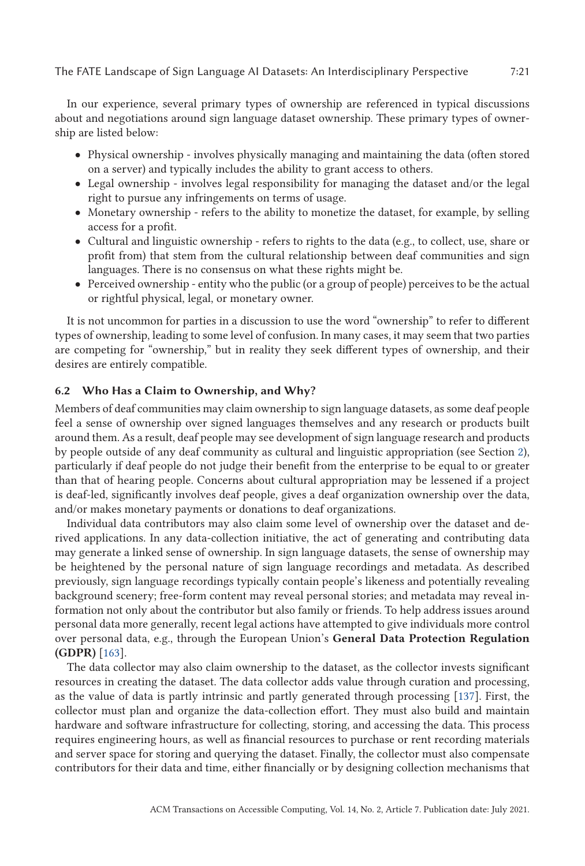In our experience, several primary types of ownership are referenced in typical discussions about and negotiations around sign language dataset ownership. These primary types of ownership are listed below:

- Physical ownership involves physically managing and maintaining the data (often stored on a server) and typically includes the ability to grant access to others.
- Legal ownership involves legal responsibility for managing the dataset and/or the legal right to pursue any infringements on terms of usage.
- Monetary ownership refers to the ability to monetize the dataset, for example, by selling access for a profit.
- Cultural and linguistic ownership refers to rights to the data (e.g., to collect, use, share or profit from) that stem from the cultural relationship between deaf communities and sign languages. There is no consensus on what these rights might be.
- Perceived ownership entity who the public (or a group of people) perceives to be the actual or rightful physical, legal, or monetary owner.

It is not uncommon for parties in a discussion to use the word "ownership" to refer to different types of ownership, leading to some level of confusion. In many cases, it may seem that two parties are competing for "ownership," but in reality they seek different types of ownership, and their desires are entirely compatible.

#### **6.2 Who Has a Claim to Ownership, and Why?**

Members of deaf communities may claim ownership to sign language datasets, as some deaf people feel a sense of ownership over signed languages themselves and any research or products built around them. As a result, deaf people may see development of sign language research and products by people outside of any deaf community as cultural and linguistic appropriation (see Section [2\)](#page-3-0), particularly if deaf people do not judge their benefit from the enterprise to be equal to or greater than that of hearing people. Concerns about cultural appropriation may be lessened if a project is deaf-led, significantly involves deaf people, gives a deaf organization ownership over the data, and/or makes monetary payments or donations to deaf organizations.

Individual data contributors may also claim some level of ownership over the dataset and derived applications. In any data-collection initiative, the act of generating and contributing data may generate a linked sense of ownership. In sign language datasets, the sense of ownership may be heightened by the personal nature of sign language recordings and metadata. As described previously, sign language recordings typically contain people's likeness and potentially revealing background scenery; free-form content may reveal personal stories; and metadata may reveal information not only about the contributor but also family or friends. To help address issues around personal data more generally, recent legal actions have attempted to give individuals more control over personal data, e.g., through the European Union's **General Data Protection Regulation (GDPR)** [\[163\]](#page-42-0).

The data collector may also claim ownership to the dataset, as the collector invests significant resources in creating the dataset. The data collector adds value through curation and processing, as the value of data is partly intrinsic and partly generated through processing [\[137\]](#page-41-0). First, the collector must plan and organize the data-collection effort. They must also build and maintain hardware and software infrastructure for collecting, storing, and accessing the data. This process requires engineering hours, as well as financial resources to purchase or rent recording materials and server space for storing and querying the dataset. Finally, the collector must also compensate contributors for their data and time, either financially or by designing collection mechanisms that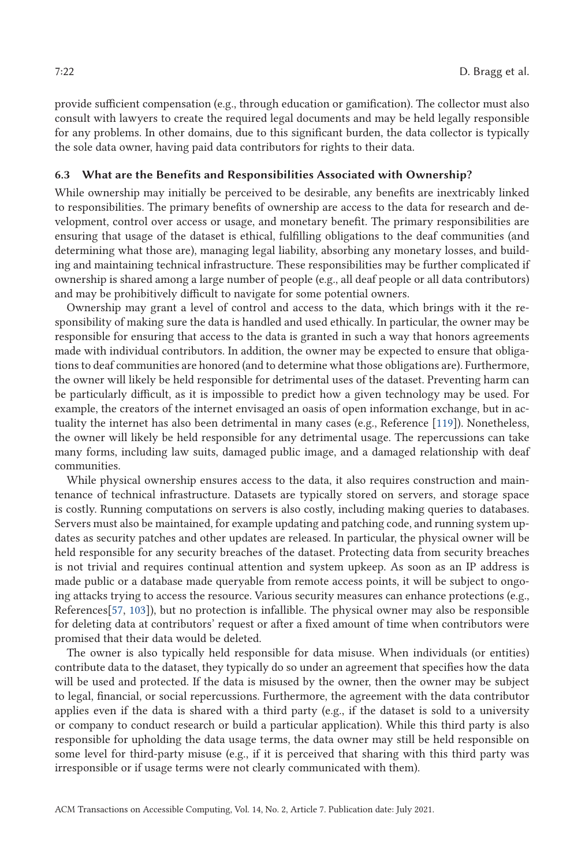provide sufficient compensation (e.g., through education or gamification). The collector must also consult with lawyers to create the required legal documents and may be held legally responsible for any problems. In other domains, due to this significant burden, the data collector is typically the sole data owner, having paid data contributors for rights to their data.

#### **6.3 What are the Benefits and Responsibilities Associated with Ownership?**

While ownership may initially be perceived to be desirable, any benefits are inextricably linked to responsibilities. The primary benefits of ownership are access to the data for research and development, control over access or usage, and monetary benefit. The primary responsibilities are ensuring that usage of the dataset is ethical, fulfilling obligations to the deaf communities (and determining what those are), managing legal liability, absorbing any monetary losses, and building and maintaining technical infrastructure. These responsibilities may be further complicated if ownership is shared among a large number of people (e.g., all deaf people or all data contributors) and may be prohibitively difficult to navigate for some potential owners.

Ownership may grant a level of control and access to the data, which brings with it the responsibility of making sure the data is handled and used ethically. In particular, the owner may be responsible for ensuring that access to the data is granted in such a way that honors agreements made with individual contributors. In addition, the owner may be expected to ensure that obligations to deaf communities are honored (and to determine what those obligations are). Furthermore, the owner will likely be held responsible for detrimental uses of the dataset. Preventing harm can be particularly difficult, as it is impossible to predict how a given technology may be used. For example, the creators of the internet envisaged an oasis of open information exchange, but in actuality the internet has also been detrimental in many cases (e.g., Reference [\[119\]](#page-40-0)). Nonetheless, the owner will likely be held responsible for any detrimental usage. The repercussions can take many forms, including law suits, damaged public image, and a damaged relationship with deaf communities.

While physical ownership ensures access to the data, it also requires construction and maintenance of technical infrastructure. Datasets are typically stored on servers, and storage space is costly. Running computations on servers is also costly, including making queries to databases. Servers must also be maintained, for example updating and patching code, and running system updates as security patches and other updates are released. In particular, the physical owner will be held responsible for any security breaches of the dataset. Protecting data from security breaches is not trivial and requires continual attention and system upkeep. As soon as an IP address is made public or a database made queryable from remote access points, it will be subject to ongoing attacks trying to access the resource. Various security measures can enhance protections (e.g., References[\[57,](#page-38-0) [103\]](#page-40-0)), but no protection is infallible. The physical owner may also be responsible for deleting data at contributors' request or after a fixed amount of time when contributors were promised that their data would be deleted.

The owner is also typically held responsible for data misuse. When individuals (or entities) contribute data to the dataset, they typically do so under an agreement that specifies how the data will be used and protected. If the data is misused by the owner, then the owner may be subject to legal, financial, or social repercussions. Furthermore, the agreement with the data contributor applies even if the data is shared with a third party (e.g., if the dataset is sold to a university or company to conduct research or build a particular application). While this third party is also responsible for upholding the data usage terms, the data owner may still be held responsible on some level for third-party misuse (e.g., if it is perceived that sharing with this third party was irresponsible or if usage terms were not clearly communicated with them).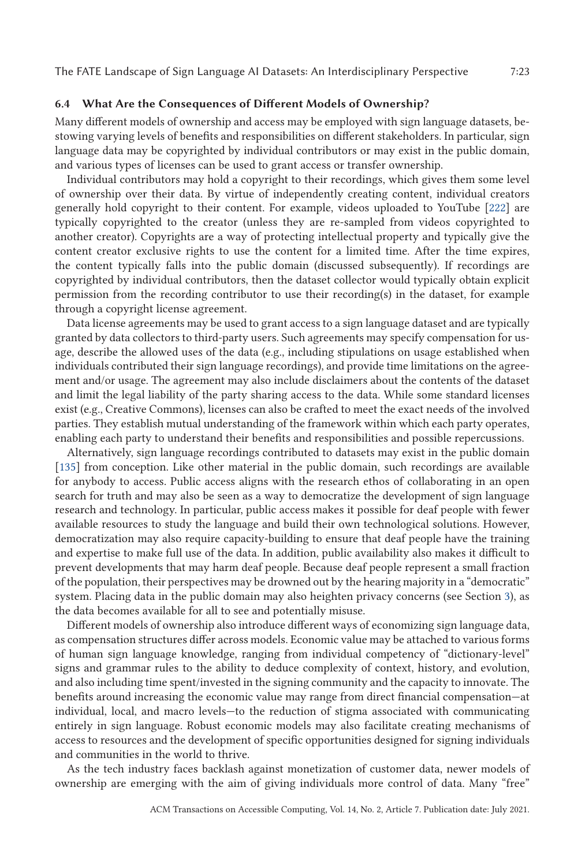### **6.4 What Are the Consequences of Different Models of Ownership?**

Many different models of ownership and access may be employed with sign language datasets, bestowing varying levels of benefits and responsibilities on different stakeholders. In particular, sign language data may be copyrighted by individual contributors or may exist in the public domain, and various types of licenses can be used to grant access or transfer ownership.

Individual contributors may hold a copyright to their recordings, which gives them some level of ownership over their data. By virtue of independently creating content, individual creators generally hold copyright to their content. For example, videos uploaded to YouTube [\[222\]](#page-44-0) are typically copyrighted to the creator (unless they are re-sampled from videos copyrighted to another creator). Copyrights are a way of protecting intellectual property and typically give the content creator exclusive rights to use the content for a limited time. After the time expires, the content typically falls into the public domain (discussed subsequently). If recordings are copyrighted by individual contributors, then the dataset collector would typically obtain explicit permission from the recording contributor to use their recording(s) in the dataset, for example through a copyright license agreement.

Data license agreements may be used to grant access to a sign language dataset and are typically granted by data collectors to third-party users. Such agreements may specify compensation for usage, describe the allowed uses of the data (e.g., including stipulations on usage established when individuals contributed their sign language recordings), and provide time limitations on the agreement and/or usage. The agreement may also include disclaimers about the contents of the dataset and limit the legal liability of the party sharing access to the data. While some standard licenses exist (e.g., Creative Commons), licenses can also be crafted to meet the exact needs of the involved parties. They establish mutual understanding of the framework within which each party operates, enabling each party to understand their benefits and responsibilities and possible repercussions.

Alternatively, sign language recordings contributed to datasets may exist in the public domain [\[135\]](#page-41-0) from conception. Like other material in the public domain, such recordings are available for anybody to access. Public access aligns with the research ethos of collaborating in an open search for truth and may also be seen as a way to democratize the development of sign language research and technology. In particular, public access makes it possible for deaf people with fewer available resources to study the language and build their own technological solutions. However, democratization may also require capacity-building to ensure that deaf people have the training and expertise to make full use of the data. In addition, public availability also makes it difficult to prevent developments that may harm deaf people. Because deaf people represent a small fraction of the population, their perspectives may be drowned out by the hearing majority in a "democratic" system. Placing data in the public domain may also heighten privacy concerns (see Section [3\)](#page-7-0), as the data becomes available for all to see and potentially misuse.

Different models of ownership also introduce different ways of economizing sign language data, as compensation structures differ across models. Economic value may be attached to various forms of human sign language knowledge, ranging from individual competency of "dictionary-level" signs and grammar rules to the ability to deduce complexity of context, history, and evolution, and also including time spent/invested in the signing community and the capacity to innovate. The benefits around increasing the economic value may range from direct financial compensation—at individual, local, and macro levels—to the reduction of stigma associated with communicating entirely in sign language. Robust economic models may also facilitate creating mechanisms of access to resources and the development of specific opportunities designed for signing individuals and communities in the world to thrive.

As the tech industry faces backlash against monetization of customer data, newer models of ownership are emerging with the aim of giving individuals more control of data. Many "free"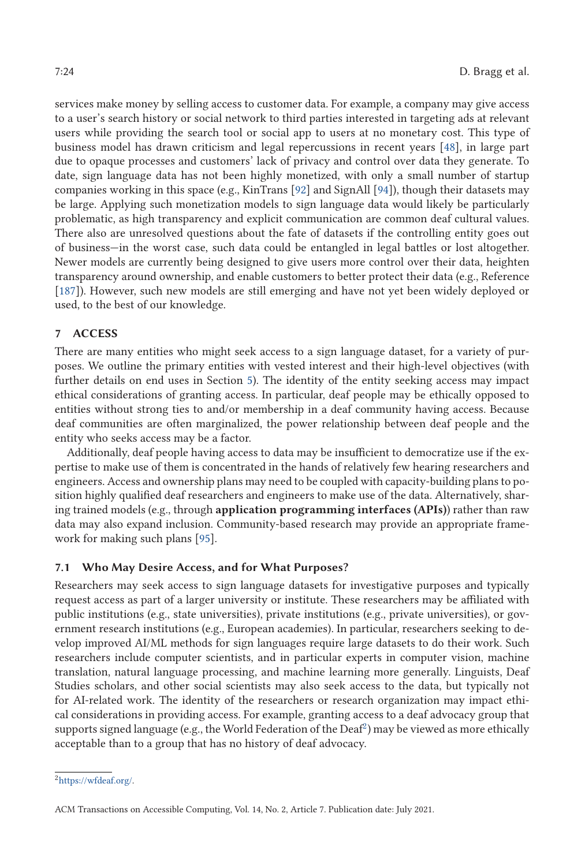<span id="page-23-0"></span>services make money by selling access to customer data. For example, a company may give access to a user's search history or social network to third parties interested in targeting ads at relevant users while providing the search tool or social app to users at no monetary cost. This type of business model has drawn criticism and legal repercussions in recent years [\[48\]](#page-37-0), in large part due to opaque processes and customers' lack of privacy and control over data they generate. To date, sign language data has not been highly monetized, with only a small number of startup companies working in this space (e.g., KinTrans [\[92\]](#page-39-0) and SignAll [\[94\]](#page-39-0)), though their datasets may be large. Applying such monetization models to sign language data would likely be particularly problematic, as high transparency and explicit communication are common deaf cultural values. There also are unresolved questions about the fate of datasets if the controlling entity goes out of business—in the worst case, such data could be entangled in legal battles or lost altogether. Newer models are currently being designed to give users more control over their data, heighten transparency around ownership, and enable customers to better protect their data (e.g., Reference [\[187\]](#page-43-0)). However, such new models are still emerging and have not yet been widely deployed or used, to the best of our knowledge.

### **7 ACCESS**

There are many entities who might seek access to a sign language dataset, for a variety of purposes. We outline the primary entities with vested interest and their high-level objectives (with further details on end uses in Section [5\)](#page-15-0). The identity of the entity seeking access may impact ethical considerations of granting access. In particular, deaf people may be ethically opposed to entities without strong ties to and/or membership in a deaf community having access. Because deaf communities are often marginalized, the power relationship between deaf people and the entity who seeks access may be a factor.

Additionally, deaf people having access to data may be insufficient to democratize use if the expertise to make use of them is concentrated in the hands of relatively few hearing researchers and engineers. Access and ownership plans may need to be coupled with capacity-building plans to position highly qualified deaf researchers and engineers to make use of the data. Alternatively, sharing trained models (e.g., through **application programming interfaces (APIs)**) rather than raw data may also expand inclusion. Community-based research may provide an appropriate framework for making such plans [\[95\]](#page-39-0).

#### **7.1 Who May Desire Access, and for What Purposes?**

Researchers may seek access to sign language datasets for investigative purposes and typically request access as part of a larger university or institute. These researchers may be affiliated with public institutions (e.g., state universities), private institutions (e.g., private universities), or government research institutions (e.g., European academies). In particular, researchers seeking to develop improved AI/ML methods for sign languages require large datasets to do their work. Such researchers include computer scientists, and in particular experts in computer vision, machine translation, natural language processing, and machine learning more generally. Linguists, Deaf Studies scholars, and other social scientists may also seek access to the data, but typically not for AI-related work. The identity of the researchers or research organization may impact ethical considerations in providing access. For example, granting access to a deaf advocacy group that supports signed language (e.g., the World Federation of the Deaf<sup>2</sup>) may be viewed as more ethically acceptable than to a group that has no history of deaf advocacy.

[<sup>2</sup>https://wfdeaf.org/.](https://wfdeaf.org/)

ACM Transactions on Accessible Computing, Vol. 14, No. 2, Article 7. Publication date: July 2021.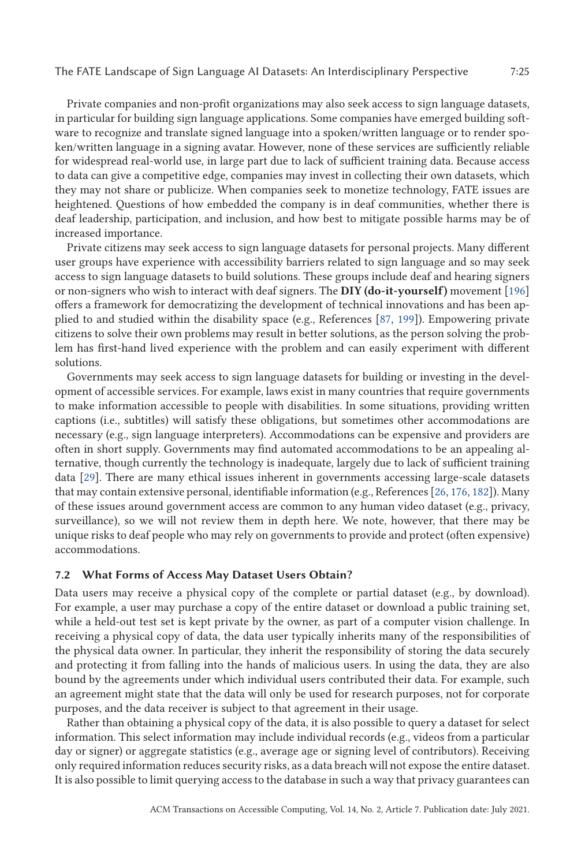Private companies and non-profit organizations may also seek access to sign language datasets, in particular for building sign language applications. Some companies have emerged building software to recognize and translate signed language into a spoken/written language or to render spoken/written language in a signing avatar. However, none of these services are sufficiently reliable for widespread real-world use, in large part due to lack of sufficient training data. Because access to data can give a competitive edge, companies may invest in collecting their own datasets, which they may not share or publicize. When companies seek to monetize technology, FATE issues are heightened. Questions of how embedded the company is in deaf communities, whether there is deaf leadership, participation, and inclusion, and how best to mitigate possible harms may be of increased importance.

Private citizens may seek access to sign language datasets for personal projects. Many different user groups have experience with accessibility barriers related to sign language and so may seek access to sign language datasets to build solutions. These groups include deaf and hearing signers or non-signers who wish to interact with deaf signers. The **DIY (do-it-yourself)** movement [\[196\]](#page-43-0) offers a framework for democratizing the development of technical innovations and has been applied to and studied within the disability space (e.g., References [\[87,](#page-39-0) [199\]](#page-43-0)). Empowering private citizens to solve their own problems may result in better solutions, as the person solving the problem has first-hand lived experience with the problem and can easily experiment with different solutions.

Governments may seek access to sign language datasets for building or investing in the development of accessible services. For example, laws exist in many countries that require governments to make information accessible to people with disabilities. In some situations, providing written captions (i.e., subtitles) will satisfy these obligations, but sometimes other accommodations are necessary (e.g., sign language interpreters). Accommodations can be expensive and providers are often in short supply. Governments may find automated accommodations to be an appealing alternative, though currently the technology is inadequate, largely due to lack of sufficient training data [\[29\]](#page-37-0). There are many ethical issues inherent in governments accessing large-scale datasets that may contain extensive personal, identifiable information (e.g., References [\[26,](#page-37-0) [176,](#page-42-0) [182\]](#page-43-0)). Many of these issues around government access are common to any human video dataset (e.g., privacy, surveillance), so we will not review them in depth here. We note, however, that there may be unique risks to deaf people who may rely on governments to provide and protect (often expensive) accommodations.

## **7.2 What Forms of Access May Dataset Users Obtain?**

Data users may receive a physical copy of the complete or partial dataset (e.g., by download). For example, a user may purchase a copy of the entire dataset or download a public training set, while a held-out test set is kept private by the owner, as part of a computer vision challenge. In receiving a physical copy of data, the data user typically inherits many of the responsibilities of the physical data owner. In particular, they inherit the responsibility of storing the data securely and protecting it from falling into the hands of malicious users. In using the data, they are also bound by the agreements under which individual users contributed their data. For example, such an agreement might state that the data will only be used for research purposes, not for corporate purposes, and the data receiver is subject to that agreement in their usage.

Rather than obtaining a physical copy of the data, it is also possible to query a dataset for select information. This select information may include individual records (e.g., videos from a particular day or signer) or aggregate statistics (e.g., average age or signing level of contributors). Receiving only required information reduces security risks, as a data breach will not expose the entire dataset. It is also possible to limit querying access to the database in such a way that privacy guarantees can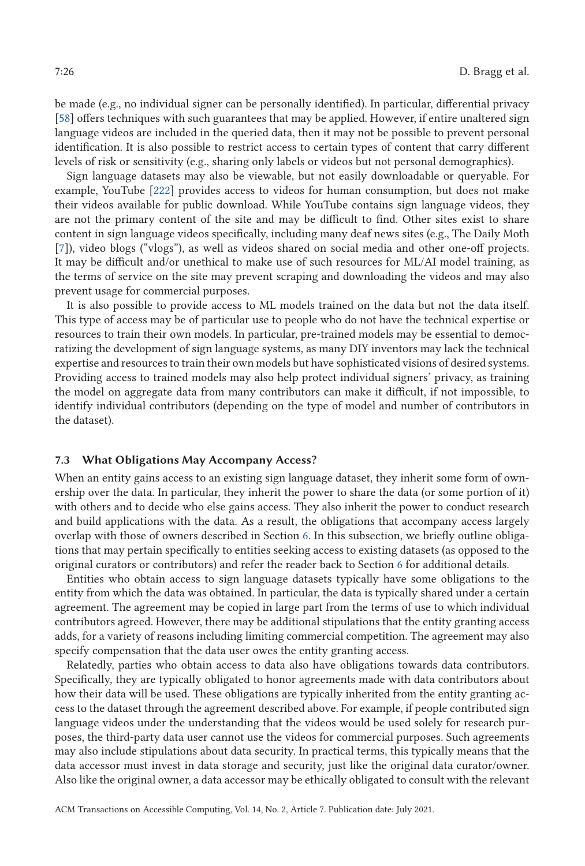be made (e.g., no individual signer can be personally identified). In particular, differential privacy [\[58\]](#page-38-0) offers techniques with such guarantees that may be applied. However, if entire unaltered sign language videos are included in the queried data, then it may not be possible to prevent personal identification. It is also possible to restrict access to certain types of content that carry different levels of risk or sensitivity (e.g., sharing only labels or videos but not personal demographics).

Sign language datasets may also be viewable, but not easily downloadable or queryable. For example, YouTube [\[222\]](#page-44-0) provides access to videos for human consumption, but does not make their videos available for public download. While YouTube contains sign language videos, they are not the primary content of the site and may be difficult to find. Other sites exist to share content in sign language videos specifically, including many deaf news sites (e.g., The Daily Moth [\[7\]](#page-36-0)), video blogs ("vlogs"), as well as videos shared on social media and other one-off projects. It may be difficult and/or unethical to make use of such resources for ML/AI model training, as the terms of service on the site may prevent scraping and downloading the videos and may also prevent usage for commercial purposes.

It is also possible to provide access to ML models trained on the data but not the data itself. This type of access may be of particular use to people who do not have the technical expertise or resources to train their own models. In particular, pre-trained models may be essential to democratizing the development of sign language systems, as many DIY inventors may lack the technical expertise and resources to train their own models but have sophisticated visions of desired systems. Providing access to trained models may also help protect individual signers' privacy, as training the model on aggregate data from many contributors can make it difficult, if not impossible, to identify individual contributors (depending on the type of model and number of contributors in the dataset).

#### **7.3 What Obligations May Accompany Access?**

When an entity gains access to an existing sign language dataset, they inherit some form of ownership over the data. In particular, they inherit the power to share the data (or some portion of it) with others and to decide who else gains access. They also inherit the power to conduct research and build applications with the data. As a result, the obligations that accompany access largely overlap with those of owners described in Section [6.](#page-18-0) In this subsection, we briefly outline obligations that may pertain specifically to entities seeking access to existing datasets (as opposed to the original curators or contributors) and refer the reader back to Section [6](#page-18-0) for additional details.

Entities who obtain access to sign language datasets typically have some obligations to the entity from which the data was obtained. In particular, the data is typically shared under a certain agreement. The agreement may be copied in large part from the terms of use to which individual contributors agreed. However, there may be additional stipulations that the entity granting access adds, for a variety of reasons including limiting commercial competition. The agreement may also specify compensation that the data user owes the entity granting access.

Relatedly, parties who obtain access to data also have obligations towards data contributors. Specifically, they are typically obligated to honor agreements made with data contributors about how their data will be used. These obligations are typically inherited from the entity granting access to the dataset through the agreement described above. For example, if people contributed sign language videos under the understanding that the videos would be used solely for research purposes, the third-party data user cannot use the videos for commercial purposes. Such agreements may also include stipulations about data security. In practical terms, this typically means that the data accessor must invest in data storage and security, just like the original data curator/owner. Also like the original owner, a data accessor may be ethically obligated to consult with the relevant

ACM Transactions on Accessible Computing, Vol. 14, No. 2, Article 7. Publication date: July 2021.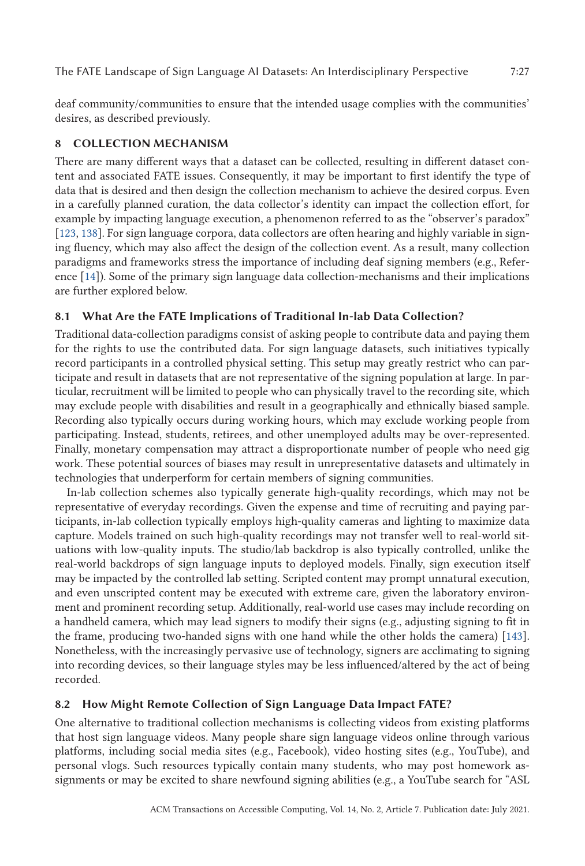<span id="page-26-0"></span>The FATE Landscape of Sign Language AI Datasets: An Interdisciplinary Perspective 7:27

deaf community/communities to ensure that the intended usage complies with the communities' desires, as described previously.

# **8 COLLECTION MECHANISM**

There are many different ways that a dataset can be collected, resulting in different dataset content and associated FATE issues. Consequently, it may be important to first identify the type of data that is desired and then design the collection mechanism to achieve the desired corpus. Even in a carefully planned curation, the data collector's identity can impact the collection effort, for example by impacting language execution, a phenomenon referred to as the "observer's paradox" [\[123,](#page-40-0) [138\]](#page-41-0). For sign language corpora, data collectors are often hearing and highly variable in signing fluency, which may also affect the design of the collection event. As a result, many collection paradigms and frameworks stress the importance of including deaf signing members (e.g., Reference [\[14\]](#page-36-0)). Some of the primary sign language data collection-mechanisms and their implications are further explored below.

# **8.1 What Are the FATE Implications of Traditional In-lab Data Collection?**

Traditional data-collection paradigms consist of asking people to contribute data and paying them for the rights to use the contributed data. For sign language datasets, such initiatives typically record participants in a controlled physical setting. This setup may greatly restrict who can participate and result in datasets that are not representative of the signing population at large. In particular, recruitment will be limited to people who can physically travel to the recording site, which may exclude people with disabilities and result in a geographically and ethnically biased sample. Recording also typically occurs during working hours, which may exclude working people from participating. Instead, students, retirees, and other unemployed adults may be over-represented. Finally, monetary compensation may attract a disproportionate number of people who need gig work. These potential sources of biases may result in unrepresentative datasets and ultimately in technologies that underperform for certain members of signing communities.

In-lab collection schemes also typically generate high-quality recordings, which may not be representative of everyday recordings. Given the expense and time of recruiting and paying participants, in-lab collection typically employs high-quality cameras and lighting to maximize data capture. Models trained on such high-quality recordings may not transfer well to real-world situations with low-quality inputs. The studio/lab backdrop is also typically controlled, unlike the real-world backdrops of sign language inputs to deployed models. Finally, sign execution itself may be impacted by the controlled lab setting. Scripted content may prompt unnatural execution, and even unscripted content may be executed with extreme care, given the laboratory environment and prominent recording setup. Additionally, real-world use cases may include recording on a handheld camera, which may lead signers to modify their signs (e.g., adjusting signing to fit in the frame, producing two-handed signs with one hand while the other holds the camera) [\[143\]](#page-41-0). Nonetheless, with the increasingly pervasive use of technology, signers are acclimating to signing into recording devices, so their language styles may be less influenced/altered by the act of being recorded.

# **8.2 How Might Remote Collection of Sign Language Data Impact FATE?**

One alternative to traditional collection mechanisms is collecting videos from existing platforms that host sign language videos. Many people share sign language videos online through various platforms, including social media sites (e.g., Facebook), video hosting sites (e.g., YouTube), and personal vlogs. Such resources typically contain many students, who may post homework assignments or may be excited to share newfound signing abilities (e.g., a YouTube search for "ASL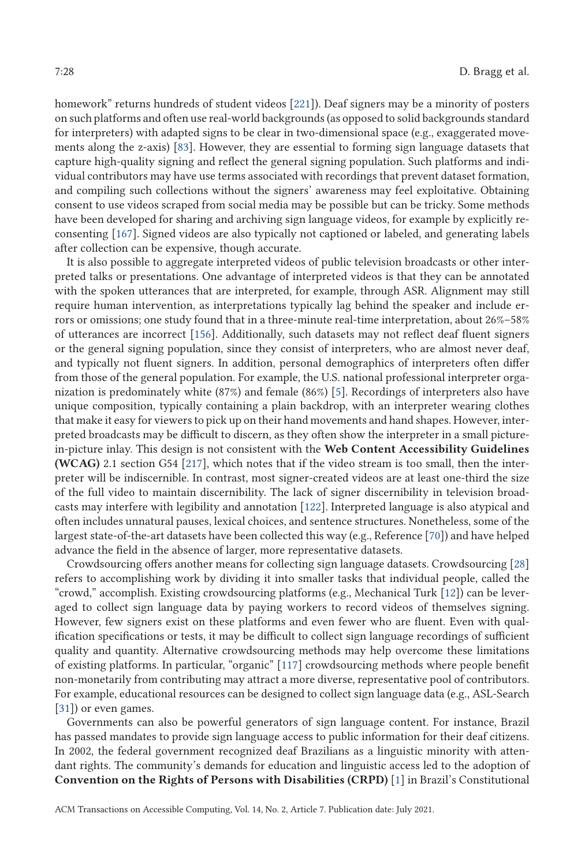homework" returns hundreds of student videos [\[221\]](#page-44-0)). Deaf signers may be a minority of posters on such platforms and often use real-world backgrounds (as opposed to solid backgrounds standard for interpreters) with adapted signs to be clear in two-dimensional space (e.g., exaggerated movements along the z-axis) [\[83\]](#page-39-0). However, they are essential to forming sign language datasets that capture high-quality signing and reflect the general signing population. Such platforms and individual contributors may have use terms associated with recordings that prevent dataset formation, and compiling such collections without the signers' awareness may feel exploitative. Obtaining consent to use videos scraped from social media may be possible but can be tricky. Some methods have been developed for sharing and archiving sign language videos, for example by explicitly reconsenting [\[167\]](#page-42-0). Signed videos are also typically not captioned or labeled, and generating labels after collection can be expensive, though accurate.

It is also possible to aggregate interpreted videos of public television broadcasts or other interpreted talks or presentations. One advantage of interpreted videos is that they can be annotated with the spoken utterances that are interpreted, for example, through ASR. Alignment may still require human intervention, as interpretations typically lag behind the speaker and include errors or omissions; one study found that in a three-minute real-time interpretation, about 26%–58% of utterances are incorrect [\[156\]](#page-42-0). Additionally, such datasets may not reflect deaf fluent signers or the general signing population, since they consist of interpreters, who are almost never deaf, and typically not fluent signers. In addition, personal demographics of interpreters often differ from those of the general population. For example, the U.S. national professional interpreter organization is predominately white (87%) and female (86%) [\[5\]](#page-36-0). Recordings of interpreters also have unique composition, typically containing a plain backdrop, with an interpreter wearing clothes that make it easy for viewers to pick up on their hand movements and hand shapes. However, interpreted broadcasts may be difficult to discern, as they often show the interpreter in a small picturein-picture inlay. This design is not consistent with the **Web Content Accessibility Guidelines (WCAG)** 2.1 section G54 [\[217\]](#page-44-0), which notes that if the video stream is too small, then the interpreter will be indiscernible. In contrast, most signer-created videos are at least one-third the size of the full video to maintain discernibility. The lack of signer discernibility in television broadcasts may interfere with legibility and annotation [\[122\]](#page-40-0). Interpreted language is also atypical and often includes unnatural pauses, lexical choices, and sentence structures. Nonetheless, some of the largest state-of-the-art datasets have been collected this way (e.g., Reference [\[70\]](#page-38-0)) and have helped advance the field in the absence of larger, more representative datasets.

Crowdsourcing offers another means for collecting sign language datasets. Crowdsourcing [\[28\]](#page-37-0) refers to accomplishing work by dividing it into smaller tasks that individual people, called the "crowd," accomplish. Existing crowdsourcing platforms (e.g., Mechanical Turk [\[12\]](#page-36-0)) can be leveraged to collect sign language data by paying workers to record videos of themselves signing. However, few signers exist on these platforms and even fewer who are fluent. Even with qualification specifications or tests, it may be difficult to collect sign language recordings of sufficient quality and quantity. Alternative crowdsourcing methods may help overcome these limitations of existing platforms. In particular, "organic" [\[117\]](#page-40-0) crowdsourcing methods where people benefit non-monetarily from contributing may attract a more diverse, representative pool of contributors. For example, educational resources can be designed to collect sign language data (e.g., ASL-Search [\[31\]](#page-37-0)) or even games.

Governments can also be powerful generators of sign language content. For instance, Brazil has passed mandates to provide sign language access to public information for their deaf citizens. In 2002, the federal government recognized deaf Brazilians as a linguistic minority with attendant rights. The community's demands for education and linguistic access led to the adoption of **Convention on the Rights of Persons with Disabilities (CRPD)** [\[1\]](#page-35-0) in Brazil's Constitutional

ACM Transactions on Accessible Computing, Vol. 14, No. 2, Article 7. Publication date: July 2021.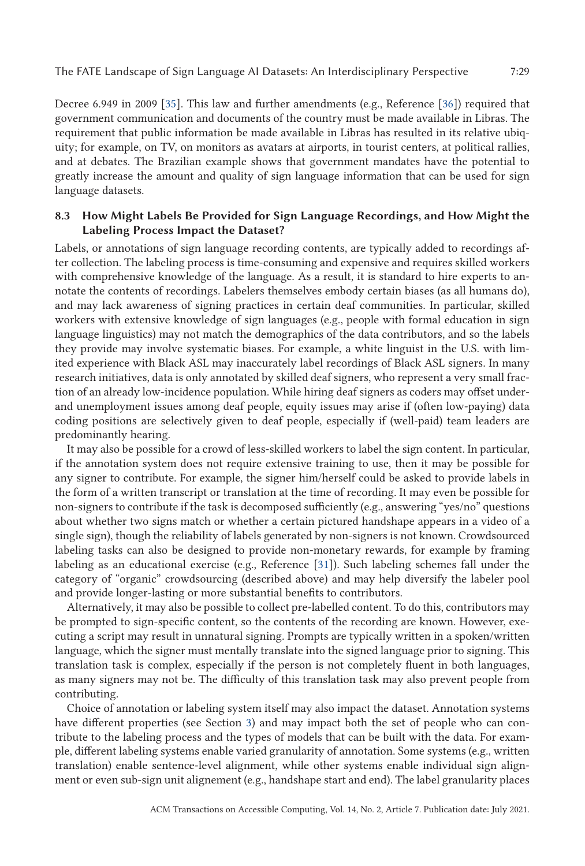Decree 6.949 in 2009 [\[35\]](#page-37-0). This law and further amendments (e.g., Reference [\[36\]](#page-37-0)) required that government communication and documents of the country must be made available in Libras. The requirement that public information be made available in Libras has resulted in its relative ubiquity; for example, on TV, on monitors as avatars at airports, in tourist centers, at political rallies, and at debates. The Brazilian example shows that government mandates have the potential to greatly increase the amount and quality of sign language information that can be used for sign

language datasets.

# **8.3 How Might Labels Be Provided for Sign Language Recordings, and How Might the Labeling Process Impact the Dataset?**

Labels, or annotations of sign language recording contents, are typically added to recordings after collection. The labeling process is time-consuming and expensive and requires skilled workers with comprehensive knowledge of the language. As a result, it is standard to hire experts to annotate the contents of recordings. Labelers themselves embody certain biases (as all humans do), and may lack awareness of signing practices in certain deaf communities. In particular, skilled workers with extensive knowledge of sign languages (e.g., people with formal education in sign language linguistics) may not match the demographics of the data contributors, and so the labels they provide may involve systematic biases. For example, a white linguist in the U.S. with limited experience with Black ASL may inaccurately label recordings of Black ASL signers. In many research initiatives, data is only annotated by skilled deaf signers, who represent a very small fraction of an already low-incidence population. While hiring deaf signers as coders may offset underand unemployment issues among deaf people, equity issues may arise if (often low-paying) data coding positions are selectively given to deaf people, especially if (well-paid) team leaders are predominantly hearing.

It may also be possible for a crowd of less-skilled workers to label the sign content. In particular, if the annotation system does not require extensive training to use, then it may be possible for any signer to contribute. For example, the signer him/herself could be asked to provide labels in the form of a written transcript or translation at the time of recording. It may even be possible for non-signers to contribute if the task is decomposed sufficiently (e.g., answering "yes/no" questions about whether two signs match or whether a certain pictured handshape appears in a video of a single sign), though the reliability of labels generated by non-signers is not known. Crowdsourced labeling tasks can also be designed to provide non-monetary rewards, for example by framing labeling as an educational exercise (e.g., Reference [\[31\]](#page-37-0)). Such labeling schemes fall under the category of "organic" crowdsourcing (described above) and may help diversify the labeler pool and provide longer-lasting or more substantial benefits to contributors.

Alternatively, it may also be possible to collect pre-labelled content. To do this, contributors may be prompted to sign-specific content, so the contents of the recording are known. However, executing a script may result in unnatural signing. Prompts are typically written in a spoken/written language, which the signer must mentally translate into the signed language prior to signing. This translation task is complex, especially if the person is not completely fluent in both languages, as many signers may not be. The difficulty of this translation task may also prevent people from contributing.

Choice of annotation or labeling system itself may also impact the dataset. Annotation systems have different properties (see Section [3\)](#page-7-0) and may impact both the set of people who can contribute to the labeling process and the types of models that can be built with the data. For example, different labeling systems enable varied granularity of annotation. Some systems (e.g., written translation) enable sentence-level alignment, while other systems enable individual sign alignment or even sub-sign unit alignement (e.g., handshape start and end). The label granularity places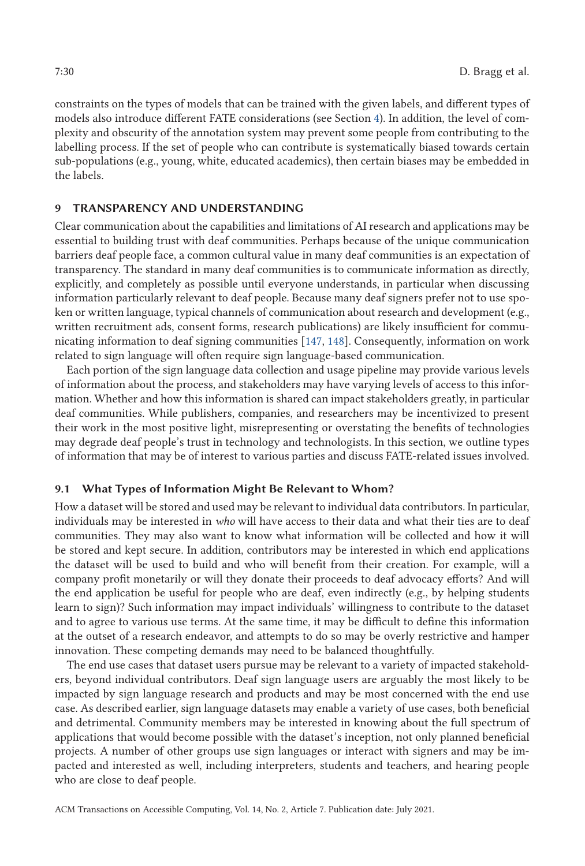<span id="page-29-0"></span>constraints on the types of models that can be trained with the given labels, and different types of models also introduce different FATE considerations (see Section [4\)](#page-12-0). In addition, the level of complexity and obscurity of the annotation system may prevent some people from contributing to the labelling process. If the set of people who can contribute is systematically biased towards certain sub-populations (e.g., young, white, educated academics), then certain biases may be embedded in the labels.

# **9 TRANSPARENCY AND UNDERSTANDING**

Clear communication about the capabilities and limitations of AI research and applications may be essential to building trust with deaf communities. Perhaps because of the unique communication barriers deaf people face, a common cultural value in many deaf communities is an expectation of transparency. The standard in many deaf communities is to communicate information as directly, explicitly, and completely as possible until everyone understands, in particular when discussing information particularly relevant to deaf people. Because many deaf signers prefer not to use spoken or written language, typical channels of communication about research and development (e.g., written recruitment ads, consent forms, research publications) are likely insufficient for communicating information to deaf signing communities [\[147,](#page-41-0) [148\]](#page-41-0). Consequently, information on work related to sign language will often require sign language-based communication.

Each portion of the sign language data collection and usage pipeline may provide various levels of information about the process, and stakeholders may have varying levels of access to this information. Whether and how this information is shared can impact stakeholders greatly, in particular deaf communities. While publishers, companies, and researchers may be incentivized to present their work in the most positive light, misrepresenting or overstating the benefits of technologies may degrade deaf people's trust in technology and technologists. In this section, we outline types of information that may be of interest to various parties and discuss FATE-related issues involved.

# **9.1 What Types of Information Might Be Relevant to Whom?**

How a dataset will be stored and used may be relevant to individual data contributors. In particular, individuals may be interested in *who* will have access to their data and what their ties are to deaf communities. They may also want to know what information will be collected and how it will be stored and kept secure. In addition, contributors may be interested in which end applications the dataset will be used to build and who will benefit from their creation. For example, will a company profit monetarily or will they donate their proceeds to deaf advocacy efforts? And will the end application be useful for people who are deaf, even indirectly (e.g., by helping students learn to sign)? Such information may impact individuals' willingness to contribute to the dataset and to agree to various use terms. At the same time, it may be difficult to define this information at the outset of a research endeavor, and attempts to do so may be overly restrictive and hamper innovation. These competing demands may need to be balanced thoughtfully.

The end use cases that dataset users pursue may be relevant to a variety of impacted stakeholders, beyond individual contributors. Deaf sign language users are arguably the most likely to be impacted by sign language research and products and may be most concerned with the end use case. As described earlier, sign language datasets may enable a variety of use cases, both beneficial and detrimental. Community members may be interested in knowing about the full spectrum of applications that would become possible with the dataset's inception, not only planned beneficial projects. A number of other groups use sign languages or interact with signers and may be impacted and interested as well, including interpreters, students and teachers, and hearing people who are close to deaf people.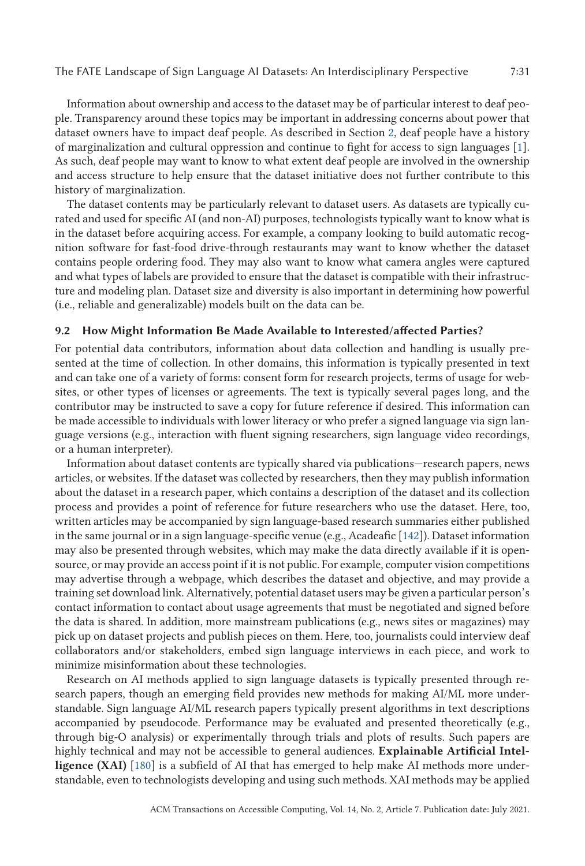Information about ownership and access to the dataset may be of particular interest to deaf people. Transparency around these topics may be important in addressing concerns about power that dataset owners have to impact deaf people. As described in Section [2,](#page-3-0) deaf people have a history of marginalization and cultural oppression and continue to fight for access to sign languages [\[1\]](#page-35-0). As such, deaf people may want to know to what extent deaf people are involved in the ownership and access structure to help ensure that the dataset initiative does not further contribute to this history of marginalization.

The dataset contents may be particularly relevant to dataset users. As datasets are typically curated and used for specific AI (and non-AI) purposes, technologists typically want to know what is in the dataset before acquiring access. For example, a company looking to build automatic recognition software for fast-food drive-through restaurants may want to know whether the dataset contains people ordering food. They may also want to know what camera angles were captured and what types of labels are provided to ensure that the dataset is compatible with their infrastructure and modeling plan. Dataset size and diversity is also important in determining how powerful (i.e., reliable and generalizable) models built on the data can be.

#### **9.2 How Might Information Be Made Available to Interested/affected Parties?**

For potential data contributors, information about data collection and handling is usually presented at the time of collection. In other domains, this information is typically presented in text and can take one of a variety of forms: consent form for research projects, terms of usage for websites, or other types of licenses or agreements. The text is typically several pages long, and the contributor may be instructed to save a copy for future reference if desired. This information can be made accessible to individuals with lower literacy or who prefer a signed language via sign language versions (e.g., interaction with fluent signing researchers, sign language video recordings, or a human interpreter).

Information about dataset contents are typically shared via publications—research papers, news articles, or websites. If the dataset was collected by researchers, then they may publish information about the dataset in a research paper, which contains a description of the dataset and its collection process and provides a point of reference for future researchers who use the dataset. Here, too, written articles may be accompanied by sign language-based research summaries either published in the same journal or in a sign language-specific venue (e.g., Acadeafic [\[142\]](#page-41-0)). Dataset information may also be presented through websites, which may make the data directly available if it is opensource, or may provide an access point if it is not public. For example, computer vision competitions may advertise through a webpage, which describes the dataset and objective, and may provide a training set download link. Alternatively, potential dataset users may be given a particular person's contact information to contact about usage agreements that must be negotiated and signed before the data is shared. In addition, more mainstream publications (e.g., news sites or magazines) may pick up on dataset projects and publish pieces on them. Here, too, journalists could interview deaf collaborators and/or stakeholders, embed sign language interviews in each piece, and work to minimize misinformation about these technologies.

Research on AI methods applied to sign language datasets is typically presented through research papers, though an emerging field provides new methods for making AI/ML more understandable. Sign language AI/ML research papers typically present algorithms in text descriptions accompanied by pseudocode. Performance may be evaluated and presented theoretically (e.g., through big-O analysis) or experimentally through trials and plots of results. Such papers are highly technical and may not be accessible to general audiences. **Explainable Artificial Intelligence (XAI)** [\[180\]](#page-43-0) is a subfield of AI that has emerged to help make AI methods more understandable, even to technologists developing and using such methods. XAI methods may be applied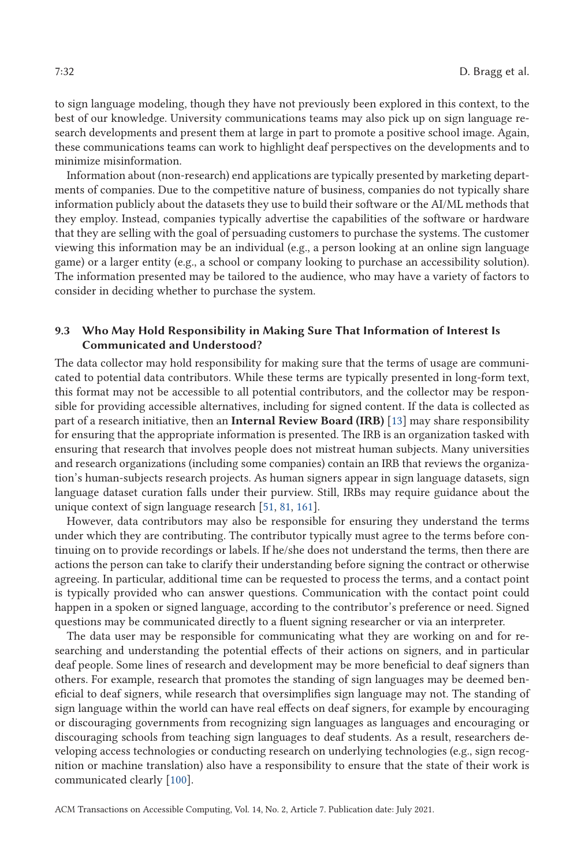to sign language modeling, though they have not previously been explored in this context, to the best of our knowledge. University communications teams may also pick up on sign language research developments and present them at large in part to promote a positive school image. Again, these communications teams can work to highlight deaf perspectives on the developments and to minimize misinformation.

Information about (non-research) end applications are typically presented by marketing departments of companies. Due to the competitive nature of business, companies do not typically share information publicly about the datasets they use to build their software or the AI/ML methods that they employ. Instead, companies typically advertise the capabilities of the software or hardware that they are selling with the goal of persuading customers to purchase the systems. The customer viewing this information may be an individual (e.g., a person looking at an online sign language game) or a larger entity (e.g., a school or company looking to purchase an accessibility solution). The information presented may be tailored to the audience, who may have a variety of factors to consider in deciding whether to purchase the system.

# **9.3 Who May Hold Responsibility in Making Sure That Information of Interest Is Communicated and Understood?**

The data collector may hold responsibility for making sure that the terms of usage are communicated to potential data contributors. While these terms are typically presented in long-form text, this format may not be accessible to all potential contributors, and the collector may be responsible for providing accessible alternatives, including for signed content. If the data is collected as part of a research initiative, then an **Internal Review Board (IRB)** [\[13\]](#page-36-0) may share responsibility for ensuring that the appropriate information is presented. The IRB is an organization tasked with ensuring that research that involves people does not mistreat human subjects. Many universities and research organizations (including some companies) contain an IRB that reviews the organization's human-subjects research projects. As human signers appear in sign language datasets, sign language dataset curation falls under their purview. Still, IRBs may require guidance about the unique context of sign language research [\[51,](#page-38-0) [81,](#page-39-0) [161\]](#page-42-0).

However, data contributors may also be responsible for ensuring they understand the terms under which they are contributing. The contributor typically must agree to the terms before continuing on to provide recordings or labels. If he/she does not understand the terms, then there are actions the person can take to clarify their understanding before signing the contract or otherwise agreeing. In particular, additional time can be requested to process the terms, and a contact point is typically provided who can answer questions. Communication with the contact point could happen in a spoken or signed language, according to the contributor's preference or need. Signed questions may be communicated directly to a fluent signing researcher or via an interpreter.

The data user may be responsible for communicating what they are working on and for researching and understanding the potential effects of their actions on signers, and in particular deaf people. Some lines of research and development may be more beneficial to deaf signers than others. For example, research that promotes the standing of sign languages may be deemed beneficial to deaf signers, while research that oversimplifies sign language may not. The standing of sign language within the world can have real effects on deaf signers, for example by encouraging or discouraging governments from recognizing sign languages as languages and encouraging or discouraging schools from teaching sign languages to deaf students. As a result, researchers developing access technologies or conducting research on underlying technologies (e.g., sign recognition or machine translation) also have a responsibility to ensure that the state of their work is communicated clearly [\[100\]](#page-39-0).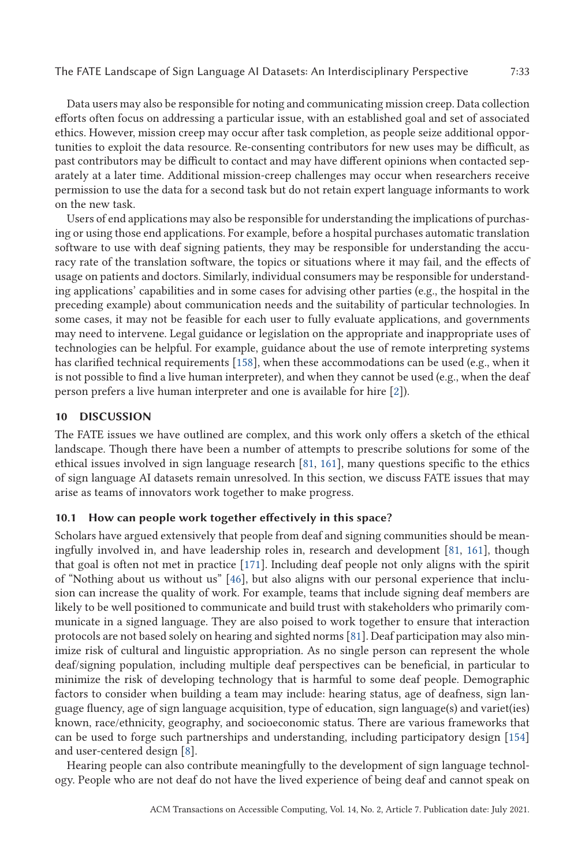The FATE Landscape of Sign Language AI Datasets: An Interdisciplinary Perspective 7:33

Data users may also be responsible for noting and communicating mission creep. Data collection efforts often focus on addressing a particular issue, with an established goal and set of associated ethics. However, mission creep may occur after task completion, as people seize additional opportunities to exploit the data resource. Re-consenting contributors for new uses may be difficult, as past contributors may be difficult to contact and may have different opinions when contacted separately at a later time. Additional mission-creep challenges may occur when researchers receive permission to use the data for a second task but do not retain expert language informants to work on the new task.

Users of end applications may also be responsible for understanding the implications of purchasing or using those end applications. For example, before a hospital purchases automatic translation software to use with deaf signing patients, they may be responsible for understanding the accuracy rate of the translation software, the topics or situations where it may fail, and the effects of usage on patients and doctors. Similarly, individual consumers may be responsible for understanding applications' capabilities and in some cases for advising other parties (e.g., the hospital in the preceding example) about communication needs and the suitability of particular technologies. In some cases, it may not be feasible for each user to fully evaluate applications, and governments may need to intervene. Legal guidance or legislation on the appropriate and inappropriate uses of technologies can be helpful. For example, guidance about the use of remote interpreting systems has clarified technical requirements [\[158\]](#page-42-0), when these accommodations can be used (e.g., when it is not possible to find a live human interpreter), and when they cannot be used (e.g., when the deaf person prefers a live human interpreter and one is available for hire [\[2\]](#page-35-0)).

# **10 DISCUSSION**

The FATE issues we have outlined are complex, and this work only offers a sketch of the ethical landscape. Though there have been a number of attempts to prescribe solutions for some of the ethical issues involved in sign language research [\[81,](#page-39-0) [161\]](#page-42-0), many questions specific to the ethics of sign language AI datasets remain unresolved. In this section, we discuss FATE issues that may arise as teams of innovators work together to make progress.

### **10.1 How can people work together effectively in this space?**

Scholars have argued extensively that people from deaf and signing communities should be meaningfully involved in, and have leadership roles in, research and development [\[81,](#page-39-0) [161\]](#page-42-0), though that goal is often not met in practice [\[171\]](#page-42-0). Including deaf people not only aligns with the spirit of "Nothing about us without us" [\[46\]](#page-37-0), but also aligns with our personal experience that inclusion can increase the quality of work. For example, teams that include signing deaf members are likely to be well positioned to communicate and build trust with stakeholders who primarily communicate in a signed language. They are also poised to work together to ensure that interaction protocols are not based solely on hearing and sighted norms [\[81\]](#page-39-0). Deaf participation may also minimize risk of cultural and linguistic appropriation. As no single person can represent the whole deaf/signing population, including multiple deaf perspectives can be beneficial, in particular to minimize the risk of developing technology that is harmful to some deaf people. Demographic factors to consider when building a team may include: hearing status, age of deafness, sign language fluency, age of sign language acquisition, type of education, sign language(s) and variet(ies) known, race/ethnicity, geography, and socioeconomic status. There are various frameworks that can be used to forge such partnerships and understanding, including participatory design [\[154\]](#page-41-0) and user-centered design [\[8\]](#page-36-0).

Hearing people can also contribute meaningfully to the development of sign language technology. People who are not deaf do not have the lived experience of being deaf and cannot speak on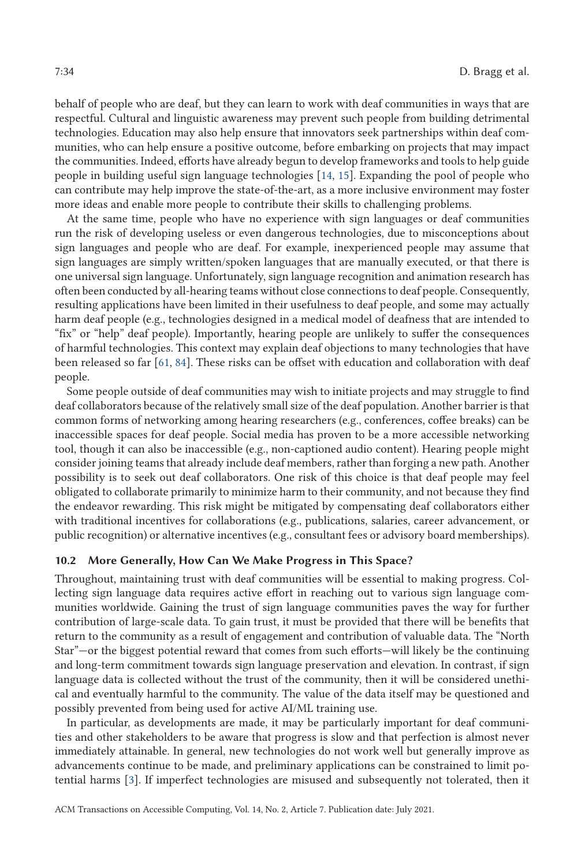behalf of people who are deaf, but they can learn to work with deaf communities in ways that are respectful. Cultural and linguistic awareness may prevent such people from building detrimental technologies. Education may also help ensure that innovators seek partnerships within deaf communities, who can help ensure a positive outcome, before embarking on projects that may impact the communities. Indeed, efforts have already begun to develop frameworks and tools to help guide people in building useful sign language technologies [\[14,](#page-36-0) [15\]](#page-36-0). Expanding the pool of people who can contribute may help improve the state-of-the-art, as a more inclusive environment may foster more ideas and enable more people to contribute their skills to challenging problems.

At the same time, people who have no experience with sign languages or deaf communities run the risk of developing useless or even dangerous technologies, due to misconceptions about sign languages and people who are deaf. For example, inexperienced people may assume that sign languages are simply written/spoken languages that are manually executed, or that there is one universal sign language. Unfortunately, sign language recognition and animation research has often been conducted by all-hearing teams without close connections to deaf people. Consequently, resulting applications have been limited in their usefulness to deaf people, and some may actually harm deaf people (e.g., technologies designed in a medical model of deafness that are intended to "fix" or "help" deaf people). Importantly, hearing people are unlikely to suffer the consequences of harmful technologies. This context may explain deaf objections to many technologies that have been released so far [\[61,](#page-38-0) [84\]](#page-39-0). These risks can be offset with education and collaboration with deaf people.

Some people outside of deaf communities may wish to initiate projects and may struggle to find deaf collaborators because of the relatively small size of the deaf population. Another barrier is that common forms of networking among hearing researchers (e.g., conferences, coffee breaks) can be inaccessible spaces for deaf people. Social media has proven to be a more accessible networking tool, though it can also be inaccessible (e.g., non-captioned audio content). Hearing people might consider joining teams that already include deaf members, rather than forging a new path. Another possibility is to seek out deaf collaborators. One risk of this choice is that deaf people may feel obligated to collaborate primarily to minimize harm to their community, and not because they find the endeavor rewarding. This risk might be mitigated by compensating deaf collaborators either with traditional incentives for collaborations (e.g., publications, salaries, career advancement, or public recognition) or alternative incentives (e.g., consultant fees or advisory board memberships).

## **10.2 More Generally, How Can We Make Progress in This Space?**

Throughout, maintaining trust with deaf communities will be essential to making progress. Collecting sign language data requires active effort in reaching out to various sign language communities worldwide. Gaining the trust of sign language communities paves the way for further contribution of large-scale data. To gain trust, it must be provided that there will be benefits that return to the community as a result of engagement and contribution of valuable data. The "North Star"—or the biggest potential reward that comes from such efforts—will likely be the continuing and long-term commitment towards sign language preservation and elevation. In contrast, if sign language data is collected without the trust of the community, then it will be considered unethical and eventually harmful to the community. The value of the data itself may be questioned and possibly prevented from being used for active AI/ML training use.

In particular, as developments are made, it may be particularly important for deaf communities and other stakeholders to be aware that progress is slow and that perfection is almost never immediately attainable. In general, new technologies do not work well but generally improve as advancements continue to be made, and preliminary applications can be constrained to limit potential harms [\[3\]](#page-35-0). If imperfect technologies are misused and subsequently not tolerated, then it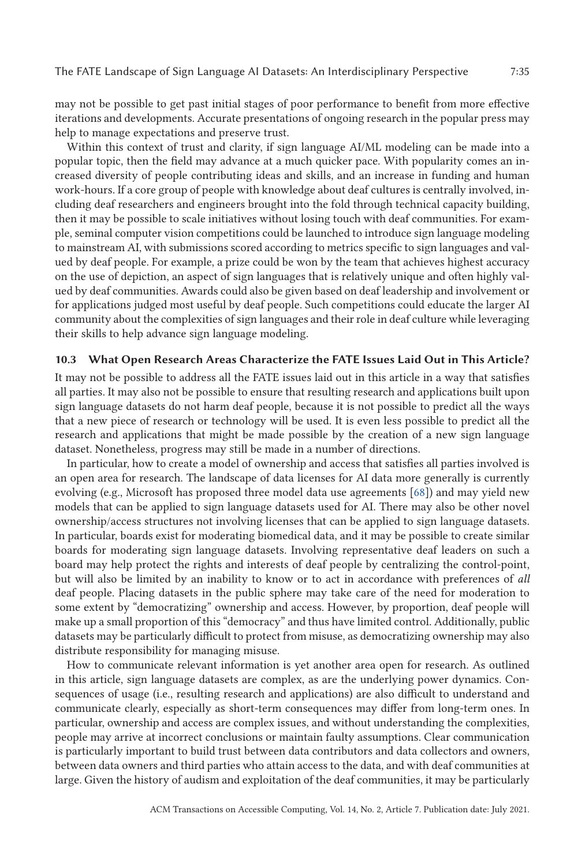may not be possible to get past initial stages of poor performance to benefit from more effective iterations and developments. Accurate presentations of ongoing research in the popular press may help to manage expectations and preserve trust.

Within this context of trust and clarity, if sign language AI/ML modeling can be made into a popular topic, then the field may advance at a much quicker pace. With popularity comes an increased diversity of people contributing ideas and skills, and an increase in funding and human work-hours. If a core group of people with knowledge about deaf cultures is centrally involved, including deaf researchers and engineers brought into the fold through technical capacity building, then it may be possible to scale initiatives without losing touch with deaf communities. For example, seminal computer vision competitions could be launched to introduce sign language modeling to mainstream AI, with submissions scored according to metrics specific to sign languages and valued by deaf people. For example, a prize could be won by the team that achieves highest accuracy on the use of depiction, an aspect of sign languages that is relatively unique and often highly valued by deaf communities. Awards could also be given based on deaf leadership and involvement or for applications judged most useful by deaf people. Such competitions could educate the larger AI community about the complexities of sign languages and their role in deaf culture while leveraging their skills to help advance sign language modeling.

### **10.3 What Open Research Areas Characterize the FATE Issues Laid Out in This Article?**

It may not be possible to address all the FATE issues laid out in this article in a way that satisfies all parties. It may also not be possible to ensure that resulting research and applications built upon sign language datasets do not harm deaf people, because it is not possible to predict all the ways that a new piece of research or technology will be used. It is even less possible to predict all the research and applications that might be made possible by the creation of a new sign language dataset. Nonetheless, progress may still be made in a number of directions.

In particular, how to create a model of ownership and access that satisfies all parties involved is an open area for research. The landscape of data licenses for AI data more generally is currently evolving (e.g., Microsoft has proposed three model data use agreements [\[68\]](#page-38-0)) and may yield new models that can be applied to sign language datasets used for AI. There may also be other novel ownership/access structures not involving licenses that can be applied to sign language datasets. In particular, boards exist for moderating biomedical data, and it may be possible to create similar boards for moderating sign language datasets. Involving representative deaf leaders on such a board may help protect the rights and interests of deaf people by centralizing the control-point, but will also be limited by an inability to know or to act in accordance with preferences of *all* deaf people. Placing datasets in the public sphere may take care of the need for moderation to some extent by "democratizing" ownership and access. However, by proportion, deaf people will make up a small proportion of this "democracy" and thus have limited control. Additionally, public datasets may be particularly difficult to protect from misuse, as democratizing ownership may also distribute responsibility for managing misuse.

How to communicate relevant information is yet another area open for research. As outlined in this article, sign language datasets are complex, as are the underlying power dynamics. Consequences of usage (i.e., resulting research and applications) are also difficult to understand and communicate clearly, especially as short-term consequences may differ from long-term ones. In particular, ownership and access are complex issues, and without understanding the complexities, people may arrive at incorrect conclusions or maintain faulty assumptions. Clear communication is particularly important to build trust between data contributors and data collectors and owners, between data owners and third parties who attain access to the data, and with deaf communities at large. Given the history of audism and exploitation of the deaf communities, it may be particularly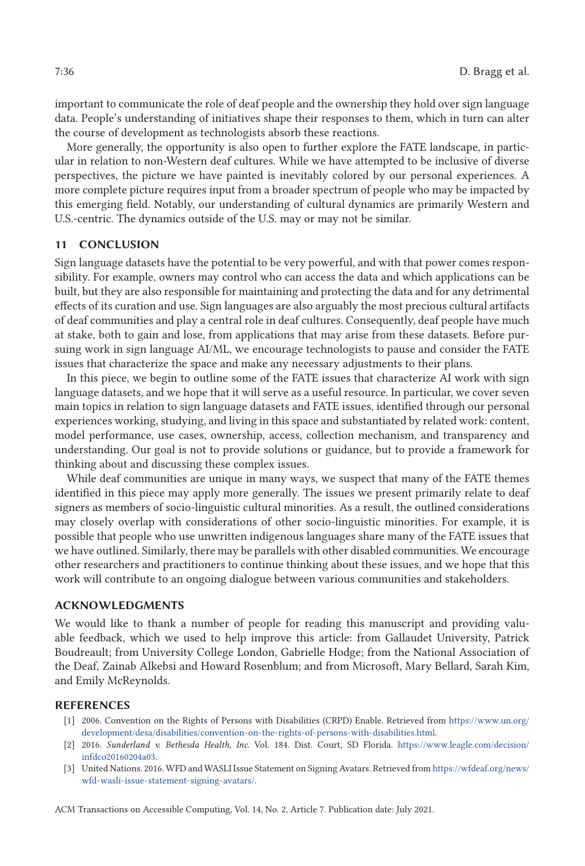<span id="page-35-0"></span>important to communicate the role of deaf people and the ownership they hold over sign language data. People's understanding of initiatives shape their responses to them, which in turn can alter the course of development as technologists absorb these reactions.

More generally, the opportunity is also open to further explore the FATE landscape, in particular in relation to non-Western deaf cultures. While we have attempted to be inclusive of diverse perspectives, the picture we have painted is inevitably colored by our personal experiences. A more complete picture requires input from a broader spectrum of people who may be impacted by this emerging field. Notably, our understanding of cultural dynamics are primarily Western and U.S.-centric. The dynamics outside of the U.S. may or may not be similar.

# **11 CONCLUSION**

Sign language datasets have the potential to be very powerful, and with that power comes responsibility. For example, owners may control who can access the data and which applications can be built, but they are also responsible for maintaining and protecting the data and for any detrimental effects of its curation and use. Sign languages are also arguably the most precious cultural artifacts of deaf communities and play a central role in deaf cultures. Consequently, deaf people have much at stake, both to gain and lose, from applications that may arise from these datasets. Before pursuing work in sign language AI/ML, we encourage technologists to pause and consider the FATE issues that characterize the space and make any necessary adjustments to their plans.

In this piece, we begin to outline some of the FATE issues that characterize AI work with sign language datasets, and we hope that it will serve as a useful resource. In particular, we cover seven main topics in relation to sign language datasets and FATE issues, identified through our personal experiences working, studying, and living in this space and substantiated by related work: content, model performance, use cases, ownership, access, collection mechanism, and transparency and understanding. Our goal is not to provide solutions or guidance, but to provide a framework for thinking about and discussing these complex issues.

While deaf communities are unique in many ways, we suspect that many of the FATE themes identified in this piece may apply more generally. The issues we present primarily relate to deaf signers as members of socio-linguistic cultural minorities. As a result, the outlined considerations may closely overlap with considerations of other socio-linguistic minorities. For example, it is possible that people who use unwritten indigenous languages share many of the FATE issues that we have outlined. Similarly, there may be parallels with other disabled communities. We encourage other researchers and practitioners to continue thinking about these issues, and we hope that this work will contribute to an ongoing dialogue between various communities and stakeholders.

### **ACKNOWLEDGMENTS**

We would like to thank a number of people for reading this manuscript and providing valuable feedback, which we used to help improve this article: from Gallaudet University, Patrick Boudreault; from University College London, Gabrielle Hodge; from the National Association of the Deaf, Zainab Alkebsi and Howard Rosenblum; and from Microsoft, Mary Bellard, Sarah Kim, and Emily McReynolds.

### **REFERENCES**

- [1] 2006. Convention on the Rights of Persons with Disabilities (CRPD) Enable. Retrieved from [https://www.un.org/](https://www.un.org/development/desa/disabilities/convention-on-the-rights-of-persons-with-disabilities.html) [development/desa/disabilities/convention-on-the-rights-of-persons-with-disabilities.html.](https://www.un.org/development/desa/disabilities/convention-on-the-rights-of-persons-with-disabilities.html)
- [2] 2016. *Sunderland v. Bethesda Health, Inc.* Vol. 184. Dist. Court, SD Florida. [https://www.leagle.com/decision/](https://www.leagle.com/decision/infdco20160204a03) [infdco20160204a03.](https://www.leagle.com/decision/infdco20160204a03)
- [3] United Nations. 2016. WFD and WASLI Issue Statement on Signing Avatars. Retrieved from [https://wfdeaf.org/news/](https://wfdeaf.org/news/wfd-wasli-issue-statement-signing-avatars/) [wfd-wasli-issue-statement-signing-avatars/.](https://wfdeaf.org/news/wfd-wasli-issue-statement-signing-avatars/)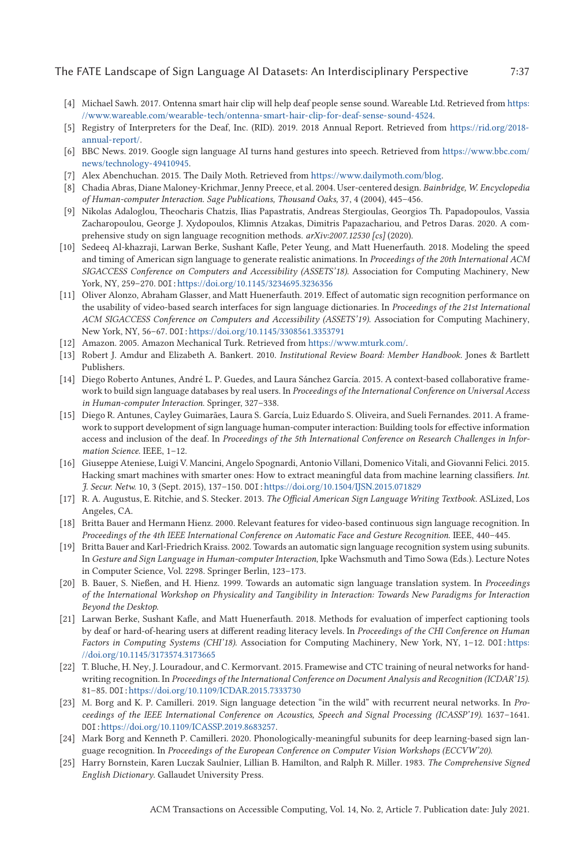- <span id="page-36-0"></span>[4] Michael Sawh. 2017. Ontenna smart hair clip will help deaf people sense sound. Wareable Ltd. Retrieved from [https:](https://www.wareable.com/wearable-tech/ontenna-smart-hair-clip-for-deaf-sense-sound-4524) [//www.wareable.com/wearable-tech/ontenna-smart-hair-clip-for-deaf-sense-sound-4524.](https://www.wareable.com/wearable-tech/ontenna-smart-hair-clip-for-deaf-sense-sound-4524)
- [5] Registry of Interpreters for the Deaf, Inc. (RID). 2019. 2018 Annual Report. Retrieved from [https://rid.org/2018](https://rid.org/2018-annual-report/) [annual-report/.](https://rid.org/2018-annual-report/)
- [6] BBC News. 2019. Google sign language AI turns hand gestures into speech. Retrieved from [https://www.bbc.com/](https://www.bbc.com/news/technology-49410945) [news/technology-49410945.](https://www.bbc.com/news/technology-49410945)
- [7] Alex Abenchuchan. 2015. The Daily Moth. Retrieved from [https://www.dailymoth.com/blog.](https://www.dailymoth.com/blog)
- [8] Chadia Abras, Diane Maloney-Krichmar, Jenny Preece, et al. 2004. User-centered design. *Bainbridge, W. Encyclopedia of Human-computer Interaction. Sage Publications, Thousand Oaks,* 37, 4 (2004), 445–456.
- [9] Nikolas Adaloglou, Theocharis Chatzis, Ilias Papastratis, Andreas Stergioulas, Georgios Th. Papadopoulos, Vassia Zacharopoulou, George J. Xydopoulos, Klimnis Atzakas, Dimitris Papazachariou, and Petros Daras. 2020. A comprehensive study on sign language recognition methods. *arXiv:2007.12530 [cs]* (2020).
- [10] Sedeeq Al-khazraji, Larwan Berke, Sushant Kafle, Peter Yeung, and Matt Huenerfauth. 2018. Modeling the speed and timing of American sign language to generate realistic animations. In *Proceedings of the 20th International ACM SIGACCESS Conference on Computers and Accessibility (ASSETS'18)*. Association for Computing Machinery, New York, NY, 259–270. DOI:<https://doi.org/10.1145/3234695.3236356>
- [11] Oliver Alonzo, Abraham Glasser, and Matt Huenerfauth. 2019. Effect of automatic sign recognition performance on the usability of video-based search interfaces for sign language dictionaries. In *Proceedings of the 21st International ACM SIGACCESS Conference on Computers and Accessibility (ASSETS'19)*. Association for Computing Machinery, New York, NY, 56–67. DOI:<https://doi.org/10.1145/3308561.3353791>
- [12] Amazon. 2005. Amazon Mechanical Turk. Retrieved from [https://www.mturk.com/.](https://www.mturk.com/)
- [13] Robert J. Amdur and Elizabeth A. Bankert. 2010. *Institutional Review Board: Member Handbook*. Jones & Bartlett Publishers.
- [14] Diego Roberto Antunes, André L. P. Guedes, and Laura Sánchez García. 2015. A context-based collaborative framework to build sign language databases by real users. In *Proceedings of the International Conference on Universal Access in Human-computer Interaction*. Springer, 327–338.
- [15] Diego R. Antunes, Cayley Guimarães, Laura S. García, Luiz Eduardo S. Oliveira, and Sueli Fernandes. 2011. A framework to support development of sign language human-computer interaction: Building tools for effective information access and inclusion of the deaf. In *Proceedings of the 5th International Conference on Research Challenges in Information Science*. IEEE, 1–12.
- [16] Giuseppe Ateniese, Luigi V. Mancini, Angelo Spognardi, Antonio Villani, Domenico Vitali, and Giovanni Felici. 2015. Hacking smart machines with smarter ones: How to extract meaningful data from machine learning classifiers. *Int. J. Secur. Netw.* 10, 3 (Sept. 2015), 137–150. DOI:<https://doi.org/10.1504/IJSN.2015.071829>
- [17] R. A. Augustus, E. Ritchie, and S. Stecker. 2013. *The Official American Sign Language Writing Textbook.* ASLized, Los Angeles, CA.
- [18] Britta Bauer and Hermann Hienz. 2000. Relevant features for video-based continuous sign language recognition. In *Proceedings of the 4th IEEE International Conference on Automatic Face and Gesture Recognition*. IEEE, 440–445.
- [19] Britta Bauer and Karl-Friedrich Kraiss. 2002. Towards an automatic sign language recognition system using subunits. In *Gesture and Sign Language in Human-computer Interaction*, Ipke Wachsmuth and Timo Sowa (Eds.). Lecture Notes in Computer Science, Vol. 2298. Springer Berlin, 123–173.
- [20] B. Bauer, S. Nießen, and H. Hienz. 1999. Towards an automatic sign language translation system. In *Proceedings of the International Workshop on Physicality and Tangibility in Interaction: Towards New Paradigms for Interaction Beyond the Desktop*.
- [21] Larwan Berke, Sushant Kafle, and Matt Huenerfauth. 2018. Methods for evaluation of imperfect captioning tools by deaf or hard-of-hearing users at different reading literacy levels. In *Proceedings of the CHI Conference on Human Factors in Computing Systems (CHI'18)*. Association for Computing Machinery, New York, NY, 1–12. DOI:[https:](https://doi.org/10.1145/3173574.3173665) [//doi.org/10.1145/3173574.3173665](https://doi.org/10.1145/3173574.3173665)
- [22] T. Bluche, H. Ney, J. Louradour, and C. Kermorvant. 2015. Framewise and CTC training of neural networks for handwriting recognition. In *Proceedings of the International Conference on Document Analysis and Recognition (ICDAR'15)*. 81–85. DOI:<https://doi.org/10.1109/ICDAR.2015.7333730>
- [23] M. Borg and K. P. Camilleri. 2019. Sign language detection "in the wild" with recurrent neural networks. In *Proceedings of the IEEE International Conference on Acoustics, Speech and Signal Processing (ICASSP'19)*. 1637–1641. DOI:[https://doi.org/10.1109/ICASSP.2019.8683257.](https://doi.org/10.1109/ICASSP.2019.8683257)
- [24] Mark Borg and Kenneth P. Camilleri. 2020. Phonologically-meaningful subunits for deep learning-based sign language recognition. In *Proceedings of the European Conference on Computer Vision Workshops (ECCVW'20)*.
- [25] Harry Bornstein, Karen Luczak Saulnier, Lillian B. Hamilton, and Ralph R. Miller. 1983. *The Comprehensive Signed English Dictionary*. Gallaudet University Press.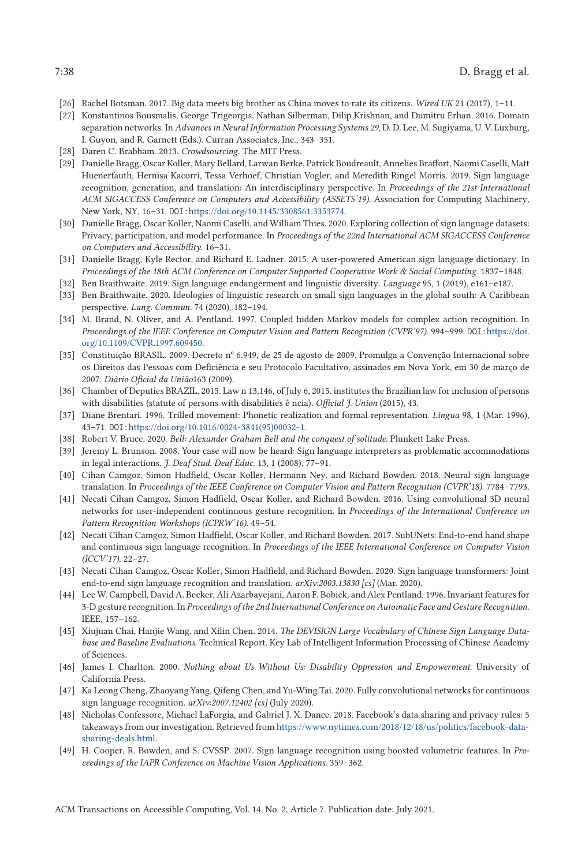- <span id="page-37-0"></span>[26] Rachel Botsman. 2017. Big data meets big brother as China moves to rate its citizens. *Wired UK* 21 (2017), 1–11.
- [27] Konstantinos Bousmalis, George Trigeorgis, Nathan Silberman, Dilip Krishnan, and Dumitru Erhan. 2016. Domain separation networks. In *Advances in Neural Information Processing Systems 29*, D. D. Lee, M. Sugiyama, U. V. Luxburg, I. Guyon, and R. Garnett (Eds.). Curran Associates, Inc., 343–351.
- [28] Daren C. Brabham. 2013. *Crowdsourcing*. The MIT Press.
- [29] Danielle Bragg, Oscar Koller, Mary Bellard, Larwan Berke, Patrick Boudreault, Annelies Braffort, Naomi Caselli, Matt Huenerfauth, Hernisa Kacorri, Tessa Verhoef, Christian Vogler, and Meredith Ringel Morris. 2019. Sign language recognition, generation, and translation: An interdisciplinary perspective. In *Proceedings of the 21st International ACM SIGACCESS Conference on Computers and Accessibility (ASSETS'19)*. Association for Computing Machinery, New York, NY, 16–31. DOI:[https://doi.org/10.1145/3308561.3353774.](https://doi.org/10.1145/3308561.3353774)
- [30] Danielle Bragg, Oscar Koller, Naomi Caselli, and William Thies. 2020. Exploring collection of sign language datasets: Privacy, participation, and model performance. In *Proceedings of the 22nd International ACM SIGACCESS Conference on Computers and Accessibility*. 16–31.
- [31] Danielle Bragg, Kyle Rector, and Richard E. Ladner. 2015. A user-powered American sign language dictionary. In *Proceedings of the 18th ACM Conference on Computer Supported Cooperative Work & Social Computing*. 1837–1848.
- [32] Ben Braithwaite. 2019. Sign language endangerment and linguistic diversity. *Language* 95, 1 (2019), e161–e187.
- [33] Ben Braithwaite. 2020. Ideologies of linguistic research on small sign languages in the global south: A Caribbean perspective. *Lang. Commun.* 74 (2020), 182–194.
- [34] M. Brand, N. Oliver, and A. Pentland. 1997. Coupled hidden Markov models for complex action recognition. In *Proceedings of the IEEE Conference on Computer Vision and Pattern Recognition (CVPR'97)*. 994–999. DOI:[https://doi.](https://doi.org/10.1109/CVPR.1997.609450) [org/10.1109/CVPR.1997.609450.](https://doi.org/10.1109/CVPR.1997.609450)
- [35] Constituição BRASIL. 2009. Decreto nº 6.949, de 25 de agosto de 2009. Promulga a Convenção Internacional sobre os Direitos das Pessoas com Deficiência e seu Protocolo Facultativo, assinados em Nova York, em 30 de março de 2007. *Diário Oficial da União*163 (2009).
- [36] Chamber of Deputies BRAZIL. 2015. Law n 13,146, of July 6, 2015. institutes the Brazilian law for inclusion of persons with disabilities (statute of persons with disabilities ê ncia). *Official J. Union* (2015), 43.
- [37] Diane Brentari. 1996. Trilled movement: Phonetic realization and formal representation. *Lingua* 98, 1 (Mar. 1996), 43–71. DOI:[https://doi.org/10.1016/0024-3841\(95\)00032-1.](https://doi.org/10.1016/0024-3841(95)00032-1)
- [38] Robert V. Bruce. 2020. *Bell: Alexander Graham Bell and the conquest of solitude*. Plunkett Lake Press.
- [39] Jeremy L. Brunson. 2008. Your case will now be heard: Sign language interpreters as problematic accommodations in legal interactions. *J. Deaf Stud. Deaf Educ.* 13, 1 (2008), 77–91.
- [40] Cihan Camgoz, Simon Hadfield, Oscar Koller, Hermann Ney, and Richard Bowden. 2018. Neural sign language translation. In *Proceedings of the IEEE Conference on Computer Vision and Pattern Recognition (CVPR'18)*. 7784–7793.
- [41] Necati Cihan Camgoz, Simon Hadfield, Oscar Koller, and Richard Bowden. 2016. Using convolutional 3D neural networks for user-independent continuous gesture recognition. In *Proceedings of the International Conference on Pattern Recognition Workshops (ICPRW'16)*. 49–54.
- [42] Necati Cihan Camgoz, Simon Hadfield, Oscar Koller, and Richard Bowden. 2017. SubUNets: End-to-end hand shape and continuous sign language recognition. In *Proceedings of the IEEE International Conference on Computer Vision (ICCV'17)*. 22–27.
- [43] Necati Cihan Camgoz, Oscar Koller, Simon Hadfield, and Richard Bowden. 2020. Sign language transformers: Joint end-to-end sign language recognition and translation. *arXiv:2003.13830 [cs]* (Mar. 2020).
- [44] Lee W. Campbell, David A. Becker, Ali Azarbayejani, Aaron F. Bobick, and Alex Pentland. 1996. Invariant features for 3-D gesture recognition. In *Proceedings of the 2nd International Conference on Automatic Face and Gesture Recognition*. IEEE, 157–162.
- [45] Xiujuan Chai, Hanjie Wang, and Xilin Chen. 2014. *The DEVISIGN Large Vocabulary of Chinese Sign Language Database and Baseline Evaluations*. Technical Report. Key Lab of Intelligent Information Processing of Chinese Academy of Sciences.
- [46] James I. Charlton. 2000. *Nothing about Us Without Us: Disability Oppression and Empowerment*. University of California Press.
- [47] Ka Leong Cheng, Zhaoyang Yang, Qifeng Chen, and Yu-Wing Tai. 2020. Fully convolutional networks for continuous sign language recognition. *arXiv:2007.12402 [cs]* (July 2020).
- [48] Nicholas Confessore, Michael LaForgia, and Gabriel J. X. Dance. 2018. Facebook's data sharing and privacy rules: 5 takeaways from our investigation. Retrieved from [https://www.nytimes.com/2018/12/18/us/politics/facebook-data](https://www.nytimes.com/2018/12/18/us/politics/facebook-data-sharing-deals.html)[sharing-deals.html.](https://www.nytimes.com/2018/12/18/us/politics/facebook-data-sharing-deals.html)
- [49] H. Cooper, R. Bowden, and S. CVSSP. 2007. Sign language recognition using boosted volumetric features. In *Proceedings of the IAPR Conference on Machine Vision Applications*. 359–362.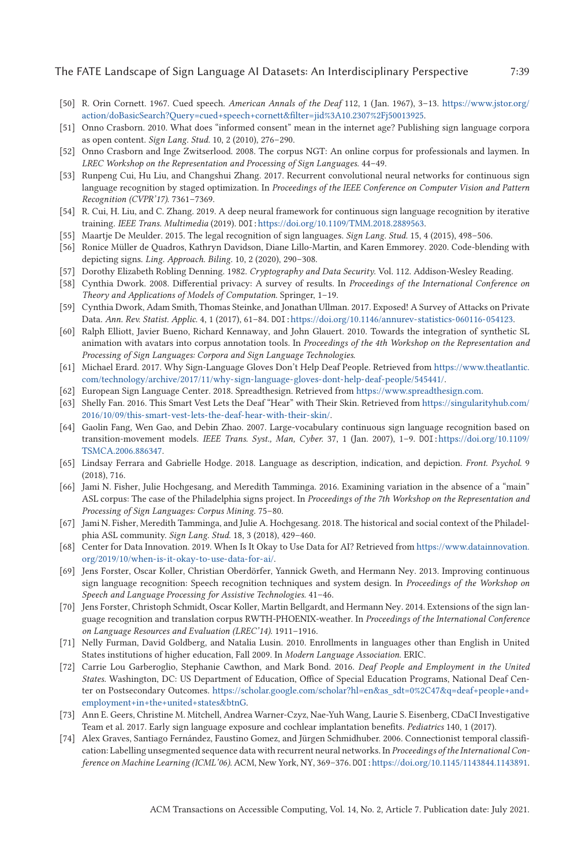- <span id="page-38-0"></span>[50] R. Orin Cornett. 1967. Cued speech. *American Annals of the Deaf* 112, 1 (Jan. 1967), 3–13. [https://www.jstor.org/](https://www.jstor.org/action/doBasicSearch?Query=cued+speech+cornett&filter=jid%3A10.2307%2Fj50013925) [action/doBasicSearch?Query=cued+speech+cornett&filter=jid%3A10.2307%2Fj50013925.](https://www.jstor.org/action/doBasicSearch?Query=cued+speech+cornett&filter=jid%3A10.2307%2Fj50013925)
- [51] Onno Crasborn. 2010. What does "informed consent" mean in the internet age? Publishing sign language corpora as open content. *Sign Lang. Stud.* 10, 2 (2010), 276–290.
- [52] Onno Crasborn and Inge Zwitserlood. 2008. The corpus NGT: An online corpus for professionals and laymen. In *LREC Workshop on the Representation and Processing of Sign Languages*. 44–49.
- [53] Runpeng Cui, Hu Liu, and Changshui Zhang. 2017. Recurrent convolutional neural networks for continuous sign language recognition by staged optimization. In *Proceedings of the IEEE Conference on Computer Vision and Pattern Recognition (CVPR'17)*. 7361–7369.
- [54] R. Cui, H. Liu, and C. Zhang. 2019. A deep neural framework for continuous sign language recognition by iterative training. *IEEE Trans. Multimedia* (2019). DOI:[https://doi.org/10.1109/TMM.2018.2889563.](https://doi.org/10.1109/TMM.2018.2889563)
- [55] Maartje De Meulder. 2015. The legal recognition of sign languages. *Sign Lang. Stud.* 15, 4 (2015), 498–506.
- [56] Ronice Müller de Quadros, Kathryn Davidson, Diane Lillo-Martin, and Karen Emmorey. 2020. Code-blending with depicting signs. *Ling. Approach. Biling.* 10, 2 (2020), 290–308.
- [57] Dorothy Elizabeth Robling Denning. 1982. *Cryptography and Data Security*. Vol. 112. Addison-Wesley Reading.
- [58] Cynthia Dwork. 2008. Differential privacy: A survey of results. In *Proceedings of the International Conference on Theory and Applications of Models of Computation*. Springer, 1–19.
- [59] Cynthia Dwork, Adam Smith, Thomas Steinke, and Jonathan Ullman. 2017. Exposed! A Survey of Attacks on Private Data. *Ann. Rev. Statist. Applic.* 4, 1 (2017), 61–84. DOI:[https://doi.org/10.1146/annurev-statistics-060116-054123.](https://doi.org/10.1146/annurev-statistics-060116-054123)
- [60] Ralph Elliott, Javier Bueno, Richard Kennaway, and John Glauert. 2010. Towards the integration of synthetic SL animation with avatars into corpus annotation tools. In *Proceedings of the 4th Workshop on the Representation and Processing of Sign Languages: Corpora and Sign Language Technologies*.
- [61] Michael Erard. 2017. Why Sign-Language Gloves Don't Help Deaf People. Retrieved from [https://www.theatlantic.](https://www.theatlantic.com/technology/archive/2017/11/why-sign-language-gloves-dont-help-deaf-people/545441/) [com/technology/archive/2017/11/why-sign-language-gloves-dont-help-deaf-people/545441/.](https://www.theatlantic.com/technology/archive/2017/11/why-sign-language-gloves-dont-help-deaf-people/545441/)
- [62] European Sign Language Center. 2018. Spreadthesign. Retrieved from [https://www.spreadthesign.com.](https://www.spreadthesign.com)
- [63] Shelly Fan. 2016. This Smart Vest Lets the Deaf "Hear" with Their Skin. Retrieved from [https://singularityhub.com/](https://singularityhub.com/2016/10/09/this-smart-vest-lets-the-deaf-hear-with-their-skin/) [2016/10/09/this-smart-vest-lets-the-deaf-hear-with-their-skin/.](https://singularityhub.com/2016/10/09/this-smart-vest-lets-the-deaf-hear-with-their-skin/)
- [64] Gaolin Fang, Wen Gao, and Debin Zhao. 2007. Large-vocabulary continuous sign language recognition based on transition-movement models. *IEEE Trans. Syst., Man, Cyber.* 37, 1 (Jan. 2007), 1–9. DOI:[https://doi.org/10.1109/](https://doi.org/10.1109/TSMCA.2006.886347) [TSMCA.2006.886347.](https://doi.org/10.1109/TSMCA.2006.886347)
- [65] Lindsay Ferrara and Gabrielle Hodge. 2018. Language as description, indication, and depiction. *Front. Psychol.* 9 (2018), 716.
- [66] Jami N. Fisher, Julie Hochgesang, and Meredith Tamminga. 2016. Examining variation in the absence of a "main" ASL corpus: The case of the Philadelphia signs project. In *Proceedings of the 7th Workshop on the Representation and Processing of Sign Languages: Corpus Mining*. 75–80.
- [67] Jami N. Fisher, Meredith Tamminga, and Julie A. Hochgesang. 2018. The historical and social context of the Philadelphia ASL community. *Sign Lang. Stud.* 18, 3 (2018), 429–460.
- [68] Center for Data Innovation. 2019. When Is It Okay to Use Data for AI? Retrieved from [https://www.datainnovation.](https://www.datainnovation.org/2019/10/when-is-it-okay-to-use-data-for-ai/) [org/2019/10/when-is-it-okay-to-use-data-for-ai/.](https://www.datainnovation.org/2019/10/when-is-it-okay-to-use-data-for-ai/)
- [69] Jens Forster, Oscar Koller, Christian Oberdörfer, Yannick Gweth, and Hermann Ney. 2013. Improving continuous sign language recognition: Speech recognition techniques and system design. In *Proceedings of the Workshop on Speech and Language Processing for Assistive Technologies*. 41–46.
- [70] Jens Forster, Christoph Schmidt, Oscar Koller, Martin Bellgardt, and Hermann Ney. 2014. Extensions of the sign language recognition and translation corpus RWTH-PHOENIX-weather. In *Proceedings of the International Conference on Language Resources and Evaluation (LREC'14)*. 1911–1916.
- [71] Nelly Furman, David Goldberg, and Natalia Lusin. 2010. Enrollments in languages other than English in United States institutions of higher education, Fall 2009. In *Modern Language Association*. ERIC.
- [72] Carrie Lou Garberoglio, Stephanie Cawthon, and Mark Bond. 2016. *Deaf People and Employment in the United States.* Washington, DC: US Department of Education, Office of Special Education Programs, National Deaf Center on Postsecondary Outcomes. [https://scholar.google.com/scholar?hl=en&as\\_sdt=0%2C47&q=deaf+people+and+](https://scholar.google.com/scholar?hl=en&as_sdt=0%2C47&q=deaf+people+and+employment+in+the+united+states&btnG) [employment+in+the+united+states&btnG.](https://scholar.google.com/scholar?hl=en&as_sdt=0%2C47&q=deaf+people+and+employment+in+the+united+states&btnG)
- [73] Ann E. Geers, Christine M. Mitchell, Andrea Warner-Czyz, Nae-Yuh Wang, Laurie S. Eisenberg, CDaCI Investigative Team et al. 2017. Early sign language exposure and cochlear implantation benefits. *Pediatrics* 140, 1 (2017).
- [74] Alex Graves, Santiago Fernández, Faustino Gomez, and Jürgen Schmidhuber. 2006. Connectionist temporal classification: Labelling unsegmented sequence data with recurrent neural networks. In *Proceedings of the International Conference on Machine Learning (ICML'06)*. ACM, New York, NY, 369–376. DOI:[https://doi.org/10.1145/1143844.1143891.](https://doi.org/10.1145/1143844.1143891)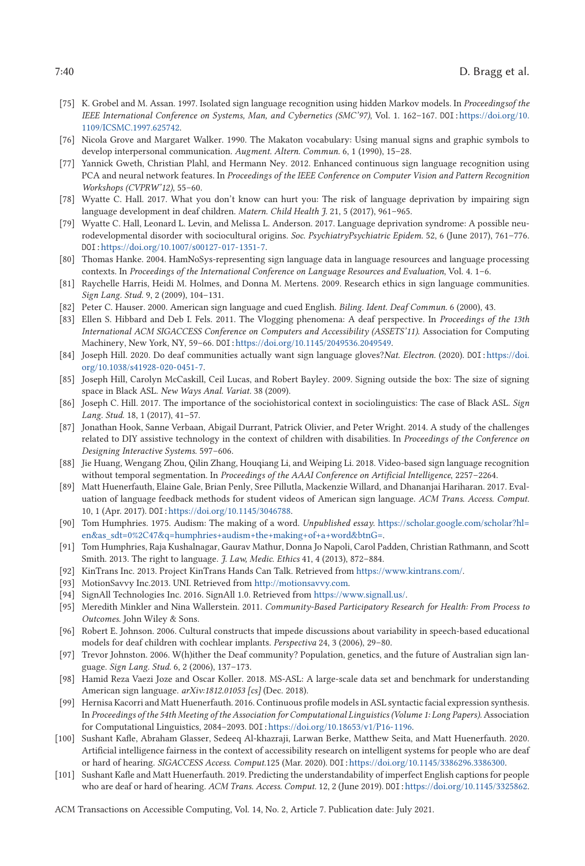- <span id="page-39-0"></span>[75] K. Grobel and M. Assan. 1997. Isolated sign language recognition using hidden Markov models. In *Proceedingsof the IEEE International Conference on Systems, Man, and Cybernetics (SMC'97)*, Vol. 1. 162–167. DOI:[https://doi.org/10.](https://doi.org/10.1109/ICSMC.1997.625742) [1109/ICSMC.1997.625742.](https://doi.org/10.1109/ICSMC.1997.625742)
- [76] Nicola Grove and Margaret Walker. 1990. The Makaton vocabulary: Using manual signs and graphic symbols to develop interpersonal communication. *Augment. Altern. Commun.* 6, 1 (1990), 15–28.
- [77] Yannick Gweth, Christian Plahl, and Hermann Ney. 2012. Enhanced continuous sign language recognition using PCA and neural network features. In *Proceedings of the IEEE Conference on Computer Vision and Pattern Recognition Workshops (CVPRW'12)*, 55–60.
- [78] Wyatte C. Hall. 2017. What you don't know can hurt you: The risk of language deprivation by impairing sign language development in deaf children. *Matern. Child Health J.* 21, 5 (2017), 961–965.
- [79] Wyatte C. Hall, Leonard L. Levin, and Melissa L. Anderson. 2017. Language deprivation syndrome: A possible neurodevelopmental disorder with sociocultural origins. *Soc. PsychiatryPsychiatric Epidem.* 52, 6 (June 2017), 761–776. DOI:[https://doi.org/10.1007/s00127-017-1351-7.](https://doi.org/10.1007/s00127-017-1351-7)
- [80] Thomas Hanke. 2004. HamNoSys-representing sign language data in language resources and language processing contexts. In *Proceedings of the International Conference on Language Resources and Evaluation*, Vol. 4. 1–6.
- [81] Raychelle Harris, Heidi M. Holmes, and Donna M. Mertens. 2009. Research ethics in sign language communities. *Sign Lang. Stud.* 9, 2 (2009), 104–131.
- [82] Peter C. Hauser. 2000. American sign language and cued English. *Biling. Ident. Deaf Commun.* 6 (2000), 43.
- [83] Ellen S. Hibbard and Deb I. Fels. 2011. The Vlogging phenomena: A deaf perspective. In *Proceedings of the 13th International ACM SIGACCESS Conference on Computers and Accessibility (ASSETS'11)*. Association for Computing Machinery, New York, NY, 59–66. DOI:[https://doi.org/10.1145/2049536.2049549.](https://doi.org/10.1145/2049536.2049549)
- [84] Joseph Hill. 2020. Do deaf communities actually want sign language gloves?*Nat. Electron.* (2020). DOI:[https://doi.](https://doi.org/10.1038/s41928-020-0451-7) [org/10.1038/s41928-020-0451-7.](https://doi.org/10.1038/s41928-020-0451-7)
- [85] Joseph Hill, Carolyn McCaskill, Ceil Lucas, and Robert Bayley. 2009. Signing outside the box: The size of signing space in Black ASL. *New Ways Anal. Variat.* 38 (2009).
- [86] Joseph C. Hill. 2017. The importance of the sociohistorical context in sociolinguistics: The case of Black ASL. *Sign Lang. Stud.* 18, 1 (2017), 41–57.
- [87] Jonathan Hook, Sanne Verbaan, Abigail Durrant, Patrick Olivier, and Peter Wright. 2014. A study of the challenges related to DIY assistive technology in the context of children with disabilities. In *Proceedings of the Conference on Designing Interactive Systems*. 597–606.
- [88] Jie Huang, Wengang Zhou, Qilin Zhang, Houqiang Li, and Weiping Li. 2018. Video-based sign language recognition without temporal segmentation. In *Proceedings of the AAAI Conference on Artificial Intelligence*, 2257–2264.
- [89] Matt Huenerfauth, Elaine Gale, Brian Penly, Sree Pillutla, Mackenzie Willard, and Dhananjai Hariharan. 2017. Evaluation of language feedback methods for student videos of American sign language. *ACM Trans. Access. Comput.* 10, 1 (Apr. 2017). DOI:[https://doi.org/10.1145/3046788.](https://doi.org/10.1145/3046788)
- [90] Tom Humphries. 1975. Audism: The making of a word. *Unpublished essay*. [https://scholar.google.com/scholar?hl=](https://scholar.google.com/scholar?hl=en&as_sdt=0%2C47&q=humphries+audism+the+making+of+a+word&btnG=) [en&as\\_sdt=0%2C47&q=humphries+audism+the+making+of+a+word&btnG=.](https://scholar.google.com/scholar?hl=en&as_sdt=0%2C47&q=humphries+audism+the+making+of+a+word&btnG=)
- [91] Tom Humphries, Raja Kushalnagar, Gaurav Mathur, Donna Jo Napoli, Carol Padden, Christian Rathmann, and Scott Smith. 2013. The right to language. *J. Law, Medic. Ethics* 41, 4 (2013), 872–884.
- [92] KinTrans Inc. 2013. Project KinTrans Hands Can Talk. Retrieved from [https://www.kintrans.com/.](https://www.kintrans.com/)
- [93] MotionSavvy Inc.2013. UNI. Retrieved from [http://motionsavvy.com.](http://motionsavvy.com)
- [94] SignAll Technologies Inc. 2016. SignAll 1.0. Retrieved from [https://www.signall.us/.](https://www.signall.us/)
- [95] Meredith Minkler and Nina Wallerstein. 2011. *Community-Based Participatory Research for Health: From Process to Outcomes*. John Wiley & Sons.
- [96] Robert E. Johnson. 2006. Cultural constructs that impede discussions about variability in speech-based educational models for deaf children with cochlear implants. *Perspectiva* 24, 3 (2006), 29–80.
- [97] Trevor Johnston. 2006. W(h)ither the Deaf community? Population, genetics, and the future of Australian sign language. *Sign Lang. Stud.* 6, 2 (2006), 137–173.
- [98] Hamid Reza Vaezi Joze and Oscar Koller. 2018. MS-ASL: A large-scale data set and benchmark for understanding American sign language. *arXiv:1812.01053 [cs]* (Dec. 2018).
- [99] Hernisa Kacorri and Matt Huenerfauth. 2016. Continuous profile models in ASL syntactic facial expression synthesis. In *Proceedings of the 54th Meeting of the Association for Computational Linguistics (Volume 1: Long Papers)*. Association for Computational Linguistics, 2084–2093. DOI:[https://doi.org/10.18653/v1/P16-1196.](https://doi.org/10.18653/v1/P16-1196)
- [100] Sushant Kafle, Abraham Glasser, Sedeeq Al-khazraji, Larwan Berke, Matthew Seita, and Matt Huenerfauth. 2020. Artificial intelligence fairness in the context of accessibility research on intelligent systems for people who are deaf or hard of hearing. *SIGACCESS Access. Comput.*125 (Mar. 2020). DOI:[https://doi.org/10.1145/3386296.3386300.](https://doi.org/10.1145/3386296.3386300)
- [101] Sushant Kafle and Matt Huenerfauth. 2019. Predicting the understandability of imperfect English captions for people who are deaf or hard of hearing. *ACM Trans. Access. Comput.* 12, 2 (June 2019). DOI:[https://doi.org/10.1145/3325862.](https://doi.org/10.1145/3325862)

ACM Transactions on Accessible Computing, Vol. 14, No. 2, Article 7. Publication date: July 2021.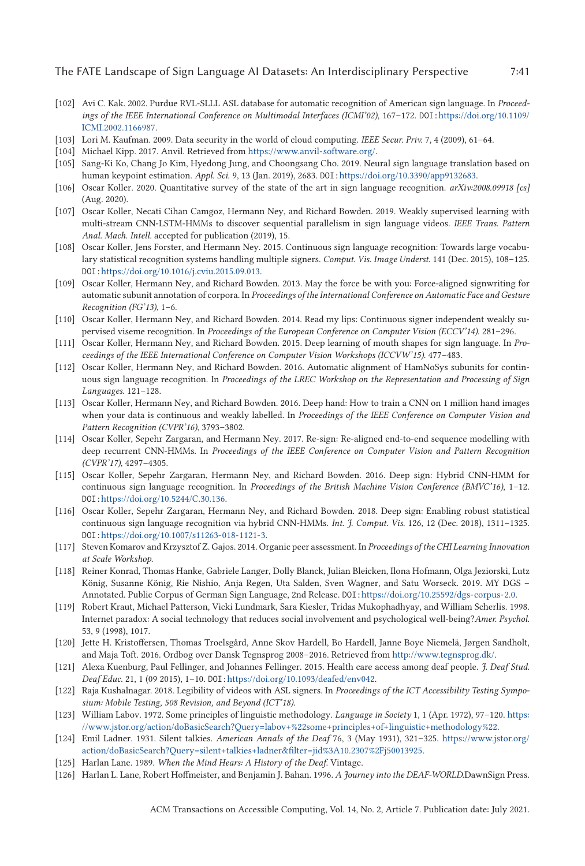#### <span id="page-40-0"></span>The FATE Landscape of Sign Language AI Datasets: An Interdisciplinary Perspective 7:41

- [102] Avi C. Kak. 2002. Purdue RVL-SLLL ASL database for automatic recognition of American sign language. In *Proceedings of the IEEE International Conference on Multimodal Interfaces (ICMI'02)*, 167–172. DOI:[https://doi.org/10.1109/](https://doi.org/10.1109/ICMI.2002.1166987) [ICMI.2002.1166987.](https://doi.org/10.1109/ICMI.2002.1166987)
- [103] Lori M. Kaufman. 2009. Data security in the world of cloud computing. *IEEE Secur. Priv.* 7, 4 (2009), 61–64.
- [104] Michael Kipp. 2017. Anvil. Retrieved from [https://www.anvil-software.org/.](https://www.anvil-software.org/)
- [105] Sang-Ki Ko, Chang Jo Kim, Hyedong Jung, and Choongsang Cho. 2019. Neural sign language translation based on human keypoint estimation. *Appl. Sci.* 9, 13 (Jan. 2019), 2683. DOI:[https://doi.org/10.3390/app9132683.](https://doi.org/10.3390/app9132683)
- [106] Oscar Koller. 2020. Quantitative survey of the state of the art in sign language recognition. *arXiv:2008.09918 [cs]* (Aug. 2020).
- [107] Oscar Koller, Necati Cihan Camgoz, Hermann Ney, and Richard Bowden. 2019. Weakly supervised learning with multi-stream CNN-LSTM-HMMs to discover sequential parallelism in sign language videos. *IEEE Trans. Pattern Anal. Mach. Intell.* accepted for publication (2019), 15.
- [108] Oscar Koller, Jens Forster, and Hermann Ney. 2015. Continuous sign language recognition: Towards large vocabulary statistical recognition systems handling multiple signers. *Comput. Vis. Image Underst.* 141 (Dec. 2015), 108–125. DOI:[https://doi.org/10.1016/j.cviu.2015.09.013.](https://doi.org/10.1016/j.cviu.2015.09.013)
- [109] Oscar Koller, Hermann Ney, and Richard Bowden. 2013. May the force be with you: Force-aligned signwriting for automatic subunit annotation of corpora. In *Proceedings of the International Conference on Automatic Face and Gesture Recognition (FG'13)*, 1–6.
- [110] Oscar Koller, Hermann Ney, and Richard Bowden. 2014. Read my lips: Continuous signer independent weakly supervised viseme recognition. In *Proceedings of the European Conference on Computer Vision (ECCV'14)*. 281–296.
- [111] Oscar Koller, Hermann Ney, and Richard Bowden. 2015. Deep learning of mouth shapes for sign language. In *Proceedings of the IEEE International Conference on Computer Vision Workshops (ICCVW'15)*. 477–483.
- [112] Oscar Koller, Hermann Ney, and Richard Bowden. 2016. Automatic alignment of HamNoSys subunits for continuous sign language recognition. In *Proceedings of the LREC Workshop on the Representation and Processing of Sign Languages*. 121–128.
- [113] Oscar Koller, Hermann Ney, and Richard Bowden. 2016. Deep hand: How to train a CNN on 1 million hand images when your data is continuous and weakly labelled. In *Proceedings of the IEEE Conference on Computer Vision and Pattern Recognition (CVPR'16)*, 3793–3802.
- [114] Oscar Koller, Sepehr Zargaran, and Hermann Ney. 2017. Re-sign: Re-aligned end-to-end sequence modelling with deep recurrent CNN-HMMs. In *Proceedings of the IEEE Conference on Computer Vision and Pattern Recognition (CVPR'17)*, 4297–4305.
- [115] Oscar Koller, Sepehr Zargaran, Hermann Ney, and Richard Bowden. 2016. Deep sign: Hybrid CNN-HMM for continuous sign language recognition. In *Proceedings of the British Machine Vision Conference (BMVC'16)*, 1–12. DOI:[https://doi.org/10.5244/C.30.136.](https://doi.org/10.5244/C.30.136)
- [116] Oscar Koller, Sepehr Zargaran, Hermann Ney, and Richard Bowden. 2018. Deep sign: Enabling robust statistical continuous sign language recognition via hybrid CNN-HMMs. *Int. J. Comput. Vis.* 126, 12 (Dec. 2018), 1311–1325. DOI:[https://doi.org/10.1007/s11263-018-1121-3.](https://doi.org/10.1007/s11263-018-1121-3)
- [117] Steven Komarov and Krzysztof Z. Gajos. 2014. Organic peer assessment. In *Proceedings of the CHI Learning Innovation at Scale Workshop*.
- [118] Reiner Konrad, Thomas Hanke, Gabriele Langer, Dolly Blanck, Julian Bleicken, Ilona Hofmann, Olga Jeziorski, Lutz König, Susanne König, Rie Nishio, Anja Regen, Uta Salden, Sven Wagner, and Satu Worseck. 2019. MY DGS – Annotated. Public Corpus of German Sign Language, 2nd Release. DOI:[https://doi.org/10.25592/dgs-corpus-2.0.](https://doi.org/10.25592/dgs-corpus-2.0)
- [119] Robert Kraut, Michael Patterson, Vicki Lundmark, Sara Kiesler, Tridas Mukophadhyay, and William Scherlis. 1998. Internet paradox: A social technology that reduces social involvement and psychological well-being?*Amer. Psychol.* 53, 9 (1998), 1017.
- [120] Jette H. Kristoffersen, Thomas Troelsgård, Anne Skov Hardell, Bo Hardell, Janne Boye Niemelä, Jørgen Sandholt, and Maja Toft. 2016. Ordbog over Dansk Tegnsprog 2008–2016. Retrieved from [http://www.tegnsprog.dk/.](http://www.tegnsprog.dk/)
- [121] Alexa Kuenburg, Paul Fellinger, and Johannes Fellinger. 2015. Health care access among deaf people. *J. Deaf Stud. Deaf Educ.* 21, 1 (09 2015), 1–10. DOI:[https://doi.org/10.1093/deafed/env042.](https://doi.org/10.1093/deafed/env042)
- [122] Raja Kushalnagar. 2018. Legibility of videos with ASL signers. In *Proceedings of the ICT Accessibility Testing Symposium: Mobile Testing, 508 Revision, and Beyond (ICT'18)*.
- [123] William Labov. 1972. Some principles of linguistic methodology. *Language in Society* 1, 1 (Apr. 1972), 97–120. [https:](https://www.jstor.org/action/doBasicSearch?Query=labov+%22some+principles+of+linguistic+methodology%22) [//www.jstor.org/action/doBasicSearch?Query=labov+%22some+principles+of+linguistic+methodology%22.](https://www.jstor.org/action/doBasicSearch?Query=labov+%22some+principles+of+linguistic+methodology%22)
- [124] Emil Ladner. 1931. Silent talkies. *American Annals of the Deaf* 76, 3 (May 1931), 321–325. [https://www.jstor.org/](https://www.jstor.org/action/doBasicSearch?Query=silent+talkies+ladner&filter=jid%3A10.2307%2Fj50013925) [action/doBasicSearch?Query=silent+talkies+ladner&filter=jid%3A10.2307%2Fj50013925.](https://www.jstor.org/action/doBasicSearch?Query=silent+talkies+ladner&filter=jid%3A10.2307%2Fj50013925)
- [125] Harlan Lane. 1989. *When the Mind Hears: A History of the Deaf*. Vintage.
- [126] Harlan L. Lane, Robert Hoffmeister, and Benjamin J. Bahan. 1996. *A Journey into the DEAF-WORLD.*DawnSign Press.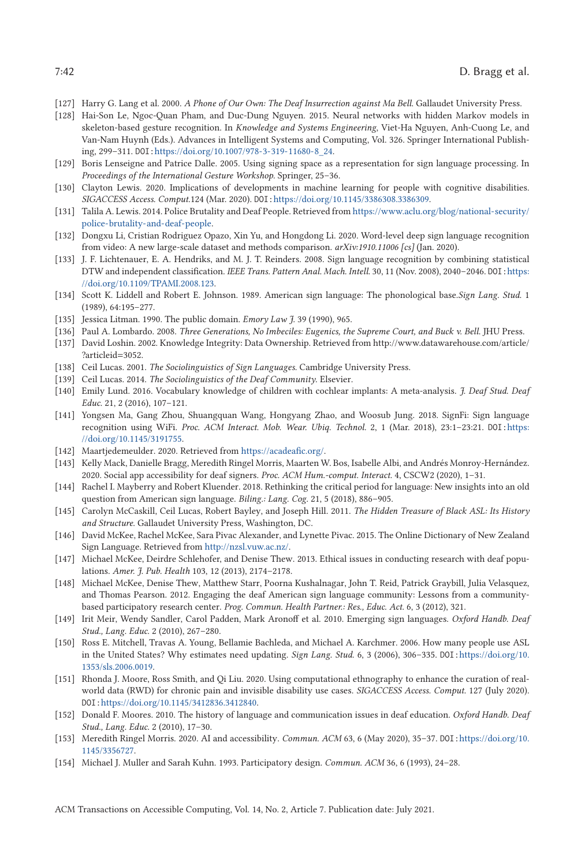- <span id="page-41-0"></span>[127] Harry G. Lang et al. 2000. *A Phone of Our Own: The Deaf Insurrection against Ma Bell*. Gallaudet University Press.
- [128] Hai-Son Le, Ngoc-Quan Pham, and Duc-Dung Nguyen. 2015. Neural networks with hidden Markov models in skeleton-based gesture recognition. In *Knowledge and Systems Engineering*, Viet-Ha Nguyen, Anh-Cuong Le, and Van-Nam Huynh (Eds.). Advances in Intelligent Systems and Computing, Vol. 326. Springer International Publishing, 299–311. DOI:[https://doi.org/10.1007/978-3-319-11680-8\\_24.](https://doi.org/10.1007/978-3-319-11680-8_24)
- [129] Boris Lenseigne and Patrice Dalle. 2005. Using signing space as a representation for sign language processing. In *Proceedings of the International Gesture Workshop*. Springer, 25–36.
- [130] Clayton Lewis. 2020. Implications of developments in machine learning for people with cognitive disabilities. *SIGACCESS Access. Comput.*124 (Mar. 2020). DOI:[https://doi.org/10.1145/3386308.3386309.](https://doi.org/10.1145/3386308.3386309)
- [131] Talila A. Lewis. 2014. Police Brutality and Deaf People. Retrieved from [https://www.aclu.org/blog/national-security/](https://www.aclu.org/blog/national-security/police-brutality-and-deaf-people) [police-brutality-and-deaf-people.](https://www.aclu.org/blog/national-security/police-brutality-and-deaf-people)
- [132] Dongxu Li, Cristian Rodriguez Opazo, Xin Yu, and Hongdong Li. 2020. Word-level deep sign language recognition from video: A new large-scale dataset and methods comparison. *arXiv:1910.11006 [cs]* (Jan. 2020).
- [133] J. F. Lichtenauer, E. A. Hendriks, and M. J. T. Reinders. 2008. Sign language recognition by combining statistical DTW and independent classification. *IEEE Trans. Pattern Anal. Mach. Intell.* 30, 11 (Nov. 2008), 2040-2046. DOI: [https:](https://doi.org/10.1109/TPAMI.2008.123) [//doi.org/10.1109/TPAMI.2008.123.](https://doi.org/10.1109/TPAMI.2008.123)
- [134] Scott K. Liddell and Robert E. Johnson. 1989. American sign language: The phonological base.*Sign Lang. Stud.* 1 (1989), 64:195–277.
- [135] Jessica Litman. 1990. The public domain. *Emory Law J.* 39 (1990), 965.
- [136] Paul A. Lombardo. 2008. *Three Generations, No Imbeciles: Eugenics, the Supreme Court, and Buck v. Bell*. JHU Press.
- [137] David Loshin. 2002. Knowledge Integrity: Data Ownership. Retrieved from http://www.datawarehouse.com/article/ ?articleid=3052.
- [138] Ceil Lucas. 2001. *The Sociolinguistics of Sign Languages*. Cambridge University Press.
- [139] Ceil Lucas. 2014. *The Sociolinguistics of the Deaf Community*. Elsevier.
- [140] Emily Lund. 2016. Vocabulary knowledge of children with cochlear implants: A meta-analysis. *J. Deaf Stud. Deaf Educ.* 21, 2 (2016), 107–121.
- [141] Yongsen Ma, Gang Zhou, Shuangquan Wang, Hongyang Zhao, and Woosub Jung. 2018. SignFi: Sign language recognition using WiFi. *Proc. ACM Interact. Mob. Wear. Ubiq. Technol.* 2, 1 (Mar. 2018), 23:1–23:21. DOI:[https:](https://doi.org/10.1145/3191755) [//doi.org/10.1145/3191755.](https://doi.org/10.1145/3191755)
- [142] Maartjedemeulder. 2020. Retrieved from [https://acadeafic.org/.](https://acadeafic.org/)
- [143] Kelly Mack, Danielle Bragg, Meredith Ringel Morris, Maarten W. Bos, Isabelle Albi, and Andrés Monroy-Hernández. 2020. Social app accessibility for deaf signers. *Proc. ACM Hum.-comput. Interact.* 4, CSCW2 (2020), 1–31.
- [144] Rachel I. Mayberry and Robert Kluender. 2018. Rethinking the critical period for language: New insights into an old question from American sign language. *Biling.: Lang. Cog.* 21, 5 (2018), 886–905.
- [145] Carolyn McCaskill, Ceil Lucas, Robert Bayley, and Joseph Hill. 2011. *The Hidden Treasure of Black ASL: Its History and Structure*. Gallaudet University Press, Washington, DC.
- [146] David McKee, Rachel McKee, Sara Pivac Alexander, and Lynette Pivac. 2015. The Online Dictionary of New Zealand Sign Language. Retrieved from [http://nzsl.vuw.ac.nz/.](http://nzsl.vuw.ac.nz/)
- [147] Michael McKee, Deirdre Schlehofer, and Denise Thew. 2013. Ethical issues in conducting research with deaf populations. *Amer. J. Pub. Health* 103, 12 (2013), 2174–2178.
- [148] Michael McKee, Denise Thew, Matthew Starr, Poorna Kushalnagar, John T. Reid, Patrick Graybill, Julia Velasquez, and Thomas Pearson. 2012. Engaging the deaf American sign language community: Lessons from a communitybased participatory research center. *Prog. Commun. Health Partner.: Res., Educ. Act.* 6, 3 (2012), 321.
- [149] Irit Meir, Wendy Sandler, Carol Padden, Mark Aronoff et al. 2010. Emerging sign languages. *Oxford Handb. Deaf Stud., Lang. Educ.* 2 (2010), 267–280.
- [150] Ross E. Mitchell, Travas A. Young, Bellamie Bachleda, and Michael A. Karchmer. 2006. How many people use ASL in the United States? Why estimates need updating. *Sign Lang. Stud.* 6, 3 (2006), 306–335. DOI:[https://doi.org/10.](https://doi.org/10.1353/sls.2006.0019) [1353/sls.2006.0019.](https://doi.org/10.1353/sls.2006.0019)
- [151] Rhonda J. Moore, Ross Smith, and Qi Liu. 2020. Using computational ethnography to enhance the curation of realworld data (RWD) for chronic pain and invisible disability use cases. *SIGACCESS Access. Comput.* 127 (July 2020). DOI:[https://doi.org/10.1145/3412836.3412840.](https://doi.org/10.1145/3412836.3412840)
- [152] Donald F. Moores. 2010. The history of language and communication issues in deaf education. *Oxford Handb. Deaf Stud., Lang. Educ.* 2 (2010), 17–30.
- [153] Meredith Ringel Morris. 2020. AI and accessibility. *Commun. ACM* 63, 6 (May 2020), 35–37. DOI:[https://doi.org/10.](https://doi.org/10.1145/3356727) [1145/3356727.](https://doi.org/10.1145/3356727)
- [154] Michael J. Muller and Sarah Kuhn. 1993. Participatory design. *Commun. ACM* 36, 6 (1993), 24–28.

ACM Transactions on Accessible Computing, Vol. 14, No. 2, Article 7. Publication date: July 2021.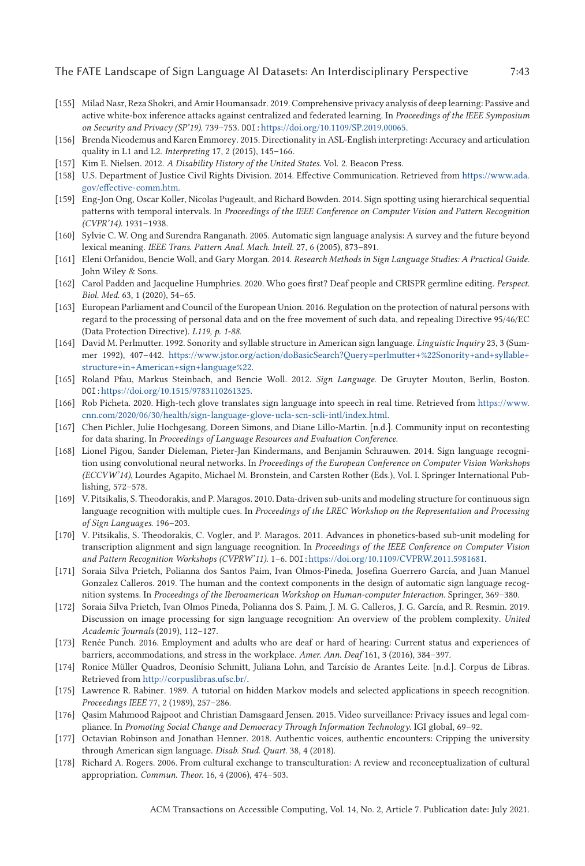- <span id="page-42-0"></span>[155] Milad Nasr, Reza Shokri, and Amir Houmansadr. 2019. Comprehensive privacy analysis of deep learning: Passive and active white-box inference attacks against centralized and federated learning. In *Proceedings of the IEEE Symposium on Security and Privacy (SP'19)*. 739–753. DOI:[https://doi.org/10.1109/SP.2019.00065.](https://doi.org/10.1109/SP.2019.00065)
- [156] Brenda Nicodemus and Karen Emmorey. 2015. Directionality in ASL-English interpreting: Accuracy and articulation quality in L1 and L2. *Interpreting* 17, 2 (2015), 145–166.
- [157] Kim E. Nielsen. 2012. *A Disability History of the United States*. Vol. 2. Beacon Press.
- [158] U.S. Department of Justice Civil Rights Division. 2014. Effective Communication. Retrieved from [https://www.ada.](https://www.ada.gov/effective-comm.htm) [gov/effective-comm.htm.](https://www.ada.gov/effective-comm.htm)
- [159] Eng-Jon Ong, Oscar Koller, Nicolas Pugeault, and Richard Bowden. 2014. Sign spotting using hierarchical sequential patterns with temporal intervals. In *Proceedings of the IEEE Conference on Computer Vision and Pattern Recognition (CVPR'14)*. 1931–1938.
- [160] Sylvie C. W. Ong and Surendra Ranganath. 2005. Automatic sign language analysis: A survey and the future beyond lexical meaning. *IEEE Trans. Pattern Anal. Mach. Intell.* 27, 6 (2005), 873–891.
- [161] Eleni Orfanidou, Bencie Woll, and Gary Morgan. 2014. *Research Methods in Sign Language Studies: A Practical Guide*. John Wiley & Sons.
- [162] Carol Padden and Jacqueline Humphries. 2020. Who goes first? Deaf people and CRISPR germline editing. *Perspect. Biol. Med.* 63, 1 (2020), 54–65.
- [163] European Parliament and Council of the European Union. 2016. Regulation on the protection of natural persons with regard to the processing of personal data and on the free movement of such data, and repealing Directive 95/46/EC (Data Protection Directive). *L119, p. 1-88*.
- [164] David M. Perlmutter. 1992. Sonority and syllable structure in American sign language. *Linguistic Inquiry* 23, 3 (Summer 1992), 407–442. [https://www.jstor.org/action/doBasicSearch?Query=perlmutter+%22Sonority+and+syllable+](https://www.jstor.org/action/doBasicSearch?Query=perlmutter+%22Sonority+and+syllable+structure+in+American+sign+language%22) [structure+in+American+sign+language%22.](https://www.jstor.org/action/doBasicSearch?Query=perlmutter+%22Sonority+and+syllable+structure+in+American+sign+language%22)
- [165] Roland Pfau, Markus Steinbach, and Bencie Woll. 2012. *Sign Language*. De Gruyter Mouton, Berlin, Boston. DOI:[https://doi.org/10.1515/9783110261325.](https://doi.org/10.1515/9783110261325)
- [166] Rob Picheta. 2020. High-tech glove translates sign language into speech in real time. Retrieved from [https://www.](https://www.cnn.com/2020/06/30/health/sign-language-glove-ucla-scn-scli-intl/index.html) [cnn.com/2020/06/30/health/sign-language-glove-ucla-scn-scli-intl/index.html.](https://www.cnn.com/2020/06/30/health/sign-language-glove-ucla-scn-scli-intl/index.html)
- [167] Chen Pichler, Julie Hochgesang, Doreen Simons, and Diane Lillo-Martin. [n.d.]. Community input on recontesting for data sharing. In *Proceedings of Language Resources and Evaluation Conference*.
- [168] Lionel Pigou, Sander Dieleman, Pieter-Jan Kindermans, and Benjamin Schrauwen. 2014. Sign language recognition using convolutional neural networks. In *Proceedings of the European Conference on Computer Vision Workshops (ECCVW'14)*, Lourdes Agapito, Michael M. Bronstein, and Carsten Rother (Eds.), Vol. I. Springer International Publishing, 572–578.
- [169] V. Pitsikalis, S. Theodorakis, and P. Maragos. 2010. Data-driven sub-units and modeling structure for continuous sign language recognition with multiple cues. In *Proceedings of the LREC Workshop on the Representation and Processing of Sign Languages*. 196–203.
- [170] V. Pitsikalis, S. Theodorakis, C. Vogler, and P. Maragos. 2011. Advances in phonetics-based sub-unit modeling for transcription alignment and sign language recognition. In *Proceedings of the IEEE Conference on Computer Vision and Pattern Recognition Workshops (CVPRW'11)*. 1–6. DOI:[https://doi.org/10.1109/CVPRW.2011.5981681.](https://doi.org/10.1109/CVPRW.2011.5981681)
- [171] Soraia Silva Prietch, Polianna dos Santos Paim, Ivan Olmos-Pineda, Josefina Guerrero García, and Juan Manuel Gonzalez Calleros. 2019. The human and the context components in the design of automatic sign language recognition systems. In *Proceedings of the Iberoamerican Workshop on Human-computer Interaction*. Springer, 369–380.
- [172] Soraia Silva Prietch, Ivan Olmos Pineda, Polianna dos S. Paim, J. M. G. Calleros, J. G. García, and R. Resmin. 2019. Discussion on image processing for sign language recognition: An overview of the problem complexity. *United Academic Journals* (2019), 112–127.
- [173] Renée Punch. 2016. Employment and adults who are deaf or hard of hearing: Current status and experiences of barriers, accommodations, and stress in the workplace. *Amer. Ann. Deaf* 161, 3 (2016), 384–397.
- [174] Ronice Müller Quadros, Deonísio Schmitt, Juliana Lohn, and Tarcísio de Arantes Leite. [n.d.]. Corpus de Libras. Retrieved from [http://corpuslibras.ufsc.br/.](http://corpuslibras.ufsc.br/)
- [175] Lawrence R. Rabiner. 1989. A tutorial on hidden Markov models and selected applications in speech recognition. *Proceedings IEEE* 77, 2 (1989), 257–286.
- [176] Qasim Mahmood Rajpoot and Christian Damsgaard Jensen. 2015. Video surveillance: Privacy issues and legal compliance. In *Promoting Social Change and Democracy Through Information Technology*. IGI global, 69–92.
- [177] Octavian Robinson and Jonathan Henner. 2018. Authentic voices, authentic encounters: Cripping the university through American sign language. *Disab. Stud. Quart.* 38, 4 (2018).
- [178] Richard A. Rogers. 2006. From cultural exchange to transculturation: A review and reconceptualization of cultural appropriation. *Commun. Theor.* 16, 4 (2006), 474–503.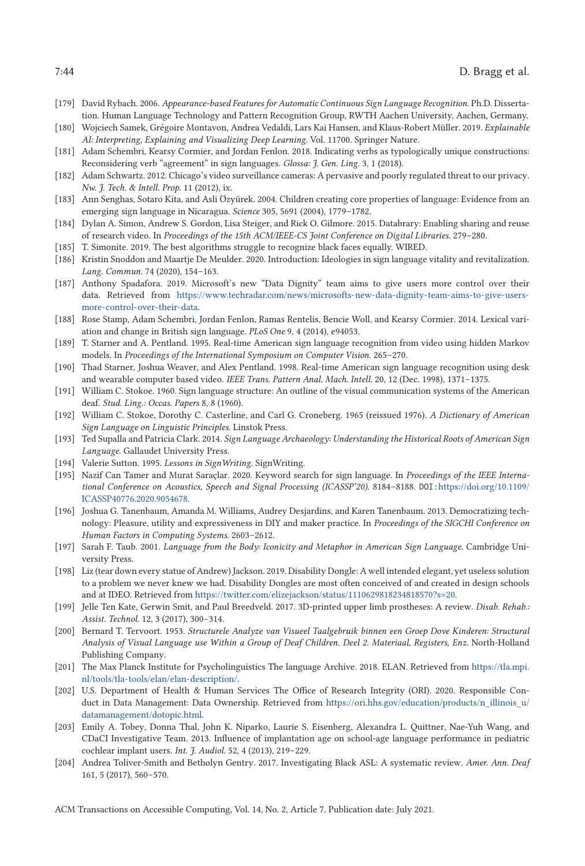- <span id="page-43-0"></span>[179] David Rybach. 2006. *Appearance-based Features for Automatic Continuous Sign Language Recognition*. Ph.D. Dissertation. Human Language Technology and Pattern Recognition Group, RWTH Aachen University, Aachen, Germany.
- [180] Wojciech Samek, Grégoire Montavon, Andrea Vedaldi, Lars Kai Hansen, and Klaus-Robert Müller. 2019. *Explainable AI: Interpreting, Explaining and Visualizing Deep Learning*. Vol. 11700. Springer Nature.
- [181] Adam Schembri, Kearsy Cormier, and Jordan Fenlon. 2018. Indicating verbs as typologically unique constructions: Reconsidering verb "agreement" in sign languages. *Glossa: J. Gen. Ling.* 3, 1 (2018).
- [182] Adam Schwartz. 2012. Chicago's video surveillance cameras: A pervasive and poorly regulated threat to our privacy. *Nw. J. Tech. & Intell. Prop.* 11 (2012), ix.
- [183] Ann Senghas, Sotaro Kita, and Asli Özyürek. 2004. Children creating core properties of language: Evidence from an emerging sign language in Nicaragua. *Science* 305, 5691 (2004), 1779–1782.
- [184] Dylan A. Simon, Andrew S. Gordon, Lisa Steiger, and Rick O. Gilmore. 2015. Databrary: Enabling sharing and reuse of research video. In *Proceedings of the 15th ACM/IEEE-CS Joint Conference on Digital Libraries*. 279–280.
- [185] T. Simonite. 2019. The best algorithms struggle to recognize black faces equally. WIRED.
- [186] Kristin Snoddon and Maartje De Meulder. 2020. Introduction: Ideologies in sign language vitality and revitalization. *Lang. Commun.* 74 (2020), 154–163.
- [187] Anthony Spadafora. 2019. Microsoft's new "Data Dignity" team aims to give users more control over their data. Retrieved from [https://www.techradar.com/news/microsofts-new-data-dignity-team-aims-to-give-users](https://www.techradar.com/news/microsofts-new-data-dignity-team-aims-to-give-users-more-control-over-their-data)[more-control-over-their-data.](https://www.techradar.com/news/microsofts-new-data-dignity-team-aims-to-give-users-more-control-over-their-data)
- [188] Rose Stamp, Adam Schembri, Jordan Fenlon, Ramas Rentelis, Bencie Woll, and Kearsy Cormier. 2014. Lexical variation and change in British sign language. *PLoS One* 9, 4 (2014), e94053.
- [189] T. Starner and A. Pentland. 1995. Real-time American sign language recognition from video using hidden Markov models. In *Proceedings of the International Symposium on Computer Vision*. 265–270.
- [190] Thad Starner, Joshua Weaver, and Alex Pentland. 1998. Real-time American sign language recognition using desk and wearable computer based video. *IEEE Trans. Pattern Anal. Mach. Intell.* 20, 12 (Dec. 1998), 1371–1375.
- [191] William C. Stokoe. 1960. Sign language structure: An outline of the visual communication systems of the American deaf. *Stud. Ling.: Occas. Papers* 8, 8 (1960).
- [192] William C. Stokoe, Dorothy C. Casterline, and Carl G. Croneberg. 1965 (reissued 1976). *A Dictionary of American Sign Language on Linguistic Principles*. Linstok Press.
- [193] Ted Supalla and Patricia Clark. 2014. *Sign Language Archaeology: Understanding the Historical Roots of American Sign Language*. Gallaudet University Press.
- [194] Valerie Sutton. 1995. *Lessons in SignWriting*. SignWriting.
- [195] Nazif Can Tamer and Murat Saraçlar. 2020. Keyword search for sign language. In *Proceedings of the IEEE International Conference on Acoustics, Speech and Signal Processing (ICASSP'20)*. 8184–8188. DOI:[https://doi.org/10.1109/](https://doi.org/10.1109/ICASSP40776.2020.9054678) [ICASSP40776.2020.9054678.](https://doi.org/10.1109/ICASSP40776.2020.9054678)
- [196] Joshua G. Tanenbaum, Amanda M. Williams, Audrey Desjardins, and Karen Tanenbaum. 2013. Democratizing technology: Pleasure, utility and expressiveness in DIY and maker practice. In *Proceedings of the SIGCHI Conference on Human Factors in Computing Systems*. 2603–2612.
- [197] Sarah F. Taub. 2001. *Language from the Body: Iconicity and Metaphor in American Sign Language*. Cambridge University Press.
- [198] Liz (tear down every statue of Andrew) Jackson. 2019. Disability Dongle: A well intended elegant, yet useless solution to a problem we never knew we had. Disability Dongles are most often conceived of and created in design schools and at IDEO. Retrieved from [https://twitter.com/elizejackson/status/1110629818234818570?s=20.](https://twitter.com/elizejackson/status/1110629818234818570?s$=$20)
- [199] Jelle Ten Kate, Gerwin Smit, and Paul Breedveld. 2017. 3D-printed upper limb prostheses: A review. *Disab. Rehab.: Assist. Technol.* 12, 3 (2017), 300–314.
- [200] Bernard T. Tervoort. 1953. *Structurele Analyze van Visueel Taalgebruik binnen een Groep Dove Kinderen: Structural Analysis of Visual Language use Within a Group of Deaf Children. Deel 2. Materiaal, Registers, Enz*. North-Holland Publishing Company.
- [201] The Max Planck Institute for Psycholinguistics The language Archive. 2018. ELAN. Retrieved from [https://tla.mpi.](https://tla.mpi.nl/tools/tla-tools/elan/elan-description/) [nl/tools/tla-tools/elan/elan-description/.](https://tla.mpi.nl/tools/tla-tools/elan/elan-description/)
- [202] U.S. Department of Health & Human Services The Office of Research Integrity (ORI). 2020. Responsible Conduct in Data Management: Data Ownership. Retrieved from [https://ori.hhs.gov/education/products/n\\_illinois\\_u/](https://ori.hhs.gov/education/products/n_illinois_u/datamanagement/dotopic.html) [datamanagement/dotopic.html.](https://ori.hhs.gov/education/products/n_illinois_u/datamanagement/dotopic.html)
- [203] Emily A. Tobey, Donna Thal, John K. Niparko, Laurie S. Eisenberg, Alexandra L. Quittner, Nae-Yuh Wang, and CDaCI Investigative Team. 2013. Influence of implantation age on school-age language performance in pediatric cochlear implant users. *Int. J. Audiol.* 52, 4 (2013), 219–229.
- [204] Andrea Toliver-Smith and Betholyn Gentry. 2017. Investigating Black ASL: A systematic review. *Amer. Ann. Deaf* 161, 5 (2017), 560–570.

ACM Transactions on Accessible Computing, Vol. 14, No. 2, Article 7. Publication date: July 2021.